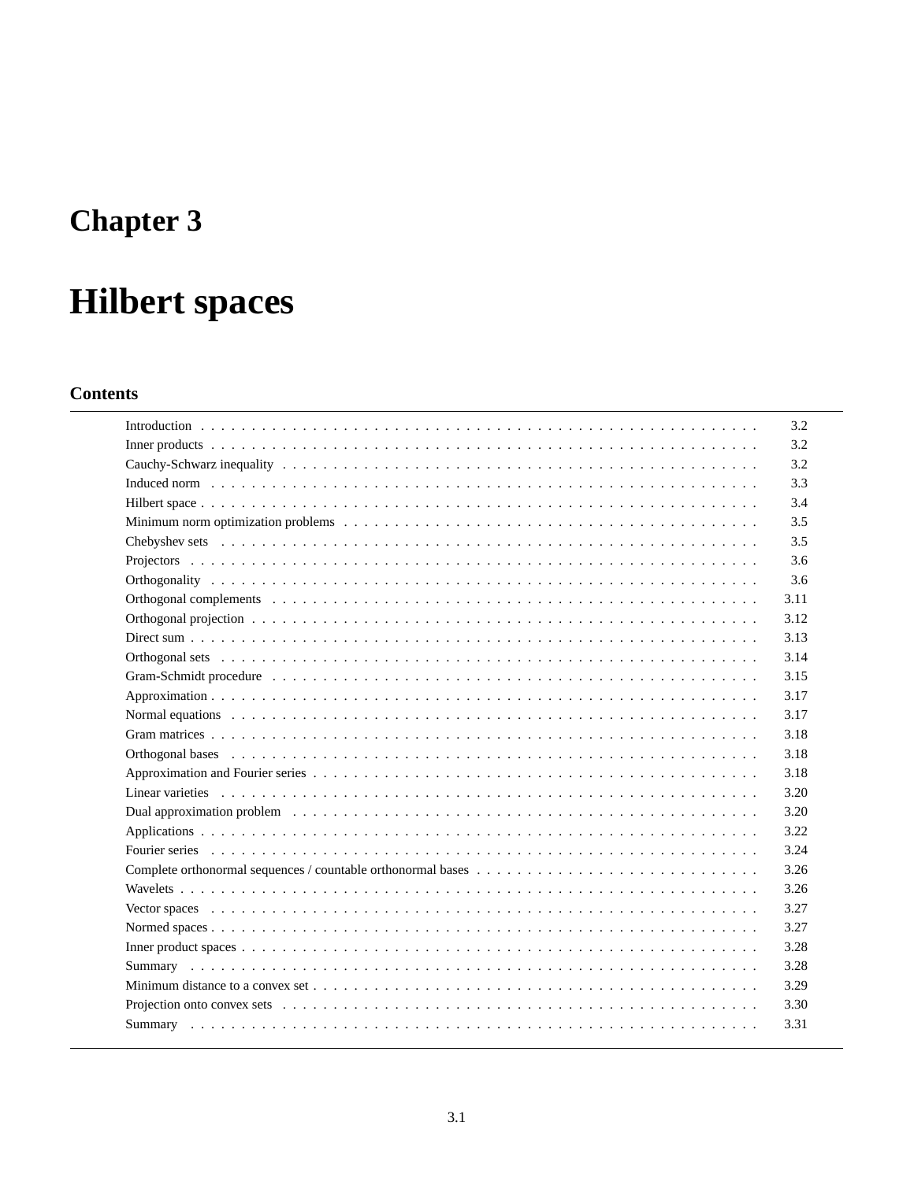# **Chapter 3**

# **Hilbert spaces**

# **Contents**

|                                                                                                                                                                                                                               | 3.2  |
|-------------------------------------------------------------------------------------------------------------------------------------------------------------------------------------------------------------------------------|------|
|                                                                                                                                                                                                                               | 3.2  |
|                                                                                                                                                                                                                               | 3.2  |
|                                                                                                                                                                                                                               | 3.3  |
|                                                                                                                                                                                                                               | 3.4  |
|                                                                                                                                                                                                                               | 3.5  |
|                                                                                                                                                                                                                               | 3.5  |
|                                                                                                                                                                                                                               | 3.6  |
|                                                                                                                                                                                                                               | 3.6  |
| Orthogonal complements in the contract of the contract of the contract of the contract of the contract of the contract of the contract of the contract of the contract of the contract of the contract of the contract of the | 3.11 |
|                                                                                                                                                                                                                               | 3.12 |
|                                                                                                                                                                                                                               | 3.13 |
|                                                                                                                                                                                                                               | 3.14 |
|                                                                                                                                                                                                                               | 3.15 |
|                                                                                                                                                                                                                               | 3.17 |
|                                                                                                                                                                                                                               | 3.17 |
|                                                                                                                                                                                                                               | 3.18 |
|                                                                                                                                                                                                                               | 3.18 |
|                                                                                                                                                                                                                               | 3.18 |
|                                                                                                                                                                                                                               | 3.20 |
|                                                                                                                                                                                                                               | 3.20 |
|                                                                                                                                                                                                                               | 3.22 |
|                                                                                                                                                                                                                               | 3.24 |
| Complete orthonormal sequences / countable orthonormal bases $\dots \dots \dots \dots \dots \dots \dots \dots \dots \dots \dots$                                                                                              | 3.26 |
|                                                                                                                                                                                                                               | 3.26 |
|                                                                                                                                                                                                                               | 3.27 |
|                                                                                                                                                                                                                               | 3.27 |
|                                                                                                                                                                                                                               | 3.28 |
|                                                                                                                                                                                                                               | 3.28 |
|                                                                                                                                                                                                                               | 3.29 |
|                                                                                                                                                                                                                               | 3.30 |
|                                                                                                                                                                                                                               | 3.31 |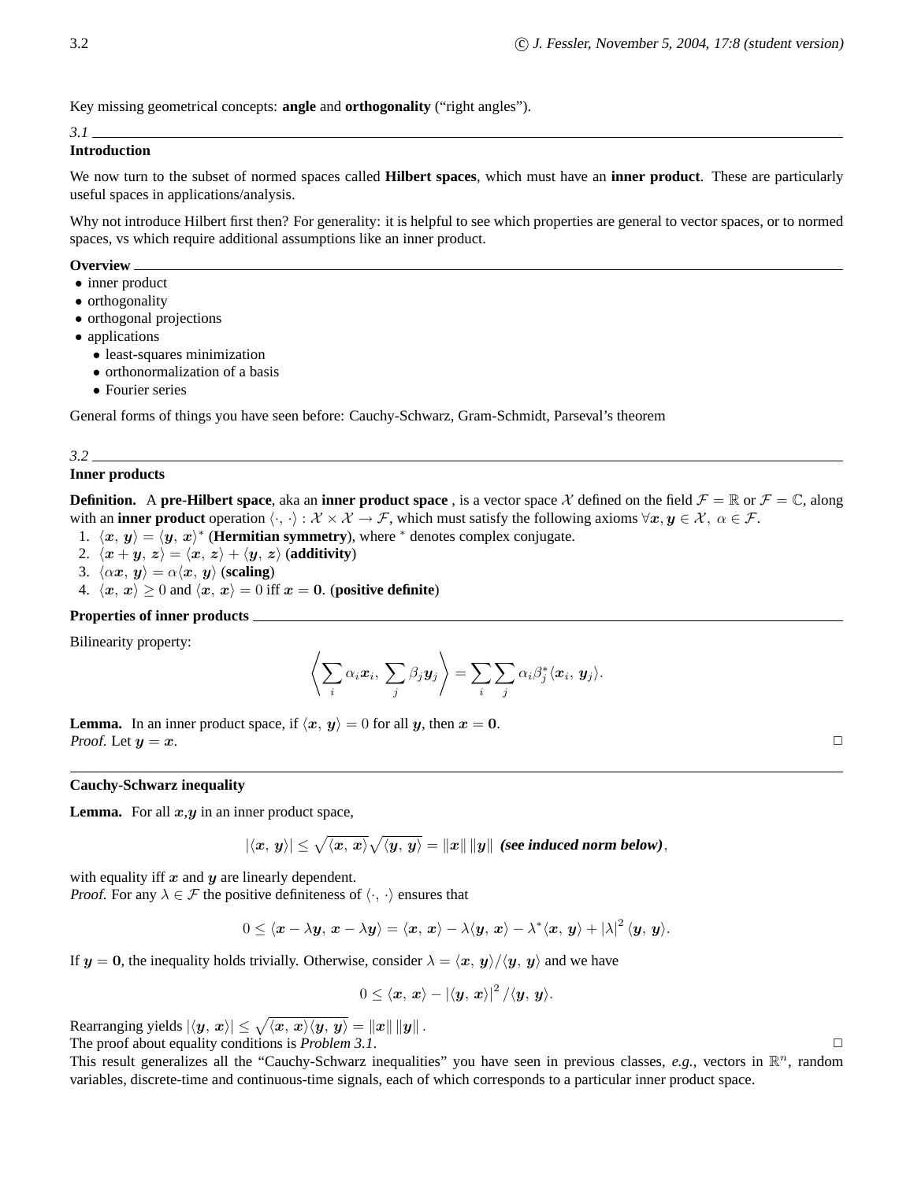Key missing geometrical concepts: **angle** and **orthogonality** ("right angles").

#### *3.1*

### **Introduction**

We now turn to the subset of normed spaces called **Hilbert spaces**, which must have an **inner product**. These are particularly useful spaces in applications/analysis.

Why not introduce Hilbert first then? For generality: it is helpful to see which properties are general to vector spaces, or to normed spaces, vs which require additional assumptions like an inner product.

#### **Overview**

- inner product
- orthogonality
- orthogonal projections
- applications
	- least-squares minimization
	- orthonormalization of a basis
	- Fourier series

General forms of things you have seen before: Cauchy-Schwarz, Gram-Schmidt, Parseval's theorem

#### *3.2*

#### **Inner products**

**Definition.** A **pre-Hilbert space**, aka an **inner product space**, is a vector space X defined on the field  $\mathcal{F} = \mathbb{R}$  or  $\mathcal{F} = \mathbb{C}$ , along with an **inner product** operation  $\langle \cdot, \cdot \rangle : \mathcal{X} \times \mathcal{X} \to \mathcal{F}$ , which must satisfy the following axioms  $\forall x, y \in \mathcal{X}, \alpha \in \mathcal{F}$ .

- 1.  $\langle x, y \rangle = \langle y, x \rangle^*$  (**Hermitian symmetry**), where <sup>∗</sup> denotes complex conjugate.
- 2.  $\langle x + y, z \rangle = \langle x, z \rangle + \langle y, z \rangle$  (additivity)
- 3.  $\langle \alpha x, y \rangle = \alpha \langle x, y \rangle$  (**scaling**)
- 4.  $\langle x, x \rangle \ge 0$  and  $\langle x, x \rangle = 0$  iff  $x = 0$ . (**positive definite**)

# **Properties of inner products**

Bilinearity property:

$$
\left\langle \sum_i \alpha_i \boldsymbol{x}_i, \ \sum_j \beta_j \boldsymbol{y}_j \right\rangle = \sum_i \sum_j \alpha_i \beta_j^* \langle \boldsymbol{x}_i, \ \boldsymbol{y}_j \rangle.
$$

**Lemma.** In an inner product space, if  $\langle x, y \rangle = 0$  for all y, then  $x = 0$ . Proof. Let  $y = x$ .

#### **Cauchy-Schwarz inequality**

**Lemma.** For all  $x, y$  in an inner product space,

$$
|\langle x, y \rangle| \le \sqrt{\langle x, x \rangle} \sqrt{\langle y, y \rangle} = ||x|| ||y||
$$
 (see induced norm below),

with equality iff  $x$  and  $y$  are linearly dependent.

*Proof.* For any  $\lambda \in \mathcal{F}$  the positive definiteness of  $\langle \cdot, \cdot \rangle$  ensures that

$$
0 \leq \langle \boldsymbol{x} - \lambda \boldsymbol{y}, \, \boldsymbol{x} - \lambda \boldsymbol{y} \rangle = \langle \boldsymbol{x}, \, \boldsymbol{x} \rangle - \lambda \langle \boldsymbol{y}, \, \boldsymbol{x} \rangle - \lambda^* \langle \boldsymbol{x}, \, \boldsymbol{y} \rangle + |\lambda|^2 \langle \boldsymbol{y}, \, \boldsymbol{y} \rangle.
$$

If  $y = 0$ , the inequality holds trivially. Otherwise, consider  $\lambda = \langle x, y \rangle / \langle y, y \rangle$  and we have

$$
0\leq \left\langle \boldsymbol{x},\, \boldsymbol{x}\right\rangle-\left|\left\langle \boldsymbol{y},\, \boldsymbol{x}\right\rangle\right|^2/\langle \boldsymbol{y},\, \boldsymbol{y}\rangle.
$$

Rearranging yields  $|\langle y, x \rangle| \leq \sqrt{\langle x, x \rangle \langle y, y \rangle} = ||x|| ||y||$ . The proof about equality conditions is  $Problem 3.1$ .  $\Box$ 

This result generalizes all the "Cauchy-Schwarz inequalities" you have seen in previous classes,  $e.g.,$  vectors in  $\mathbb{R}^n$ , random variables, discrete-time and continuous-time signals, each of which corresponds to a particular inner product space.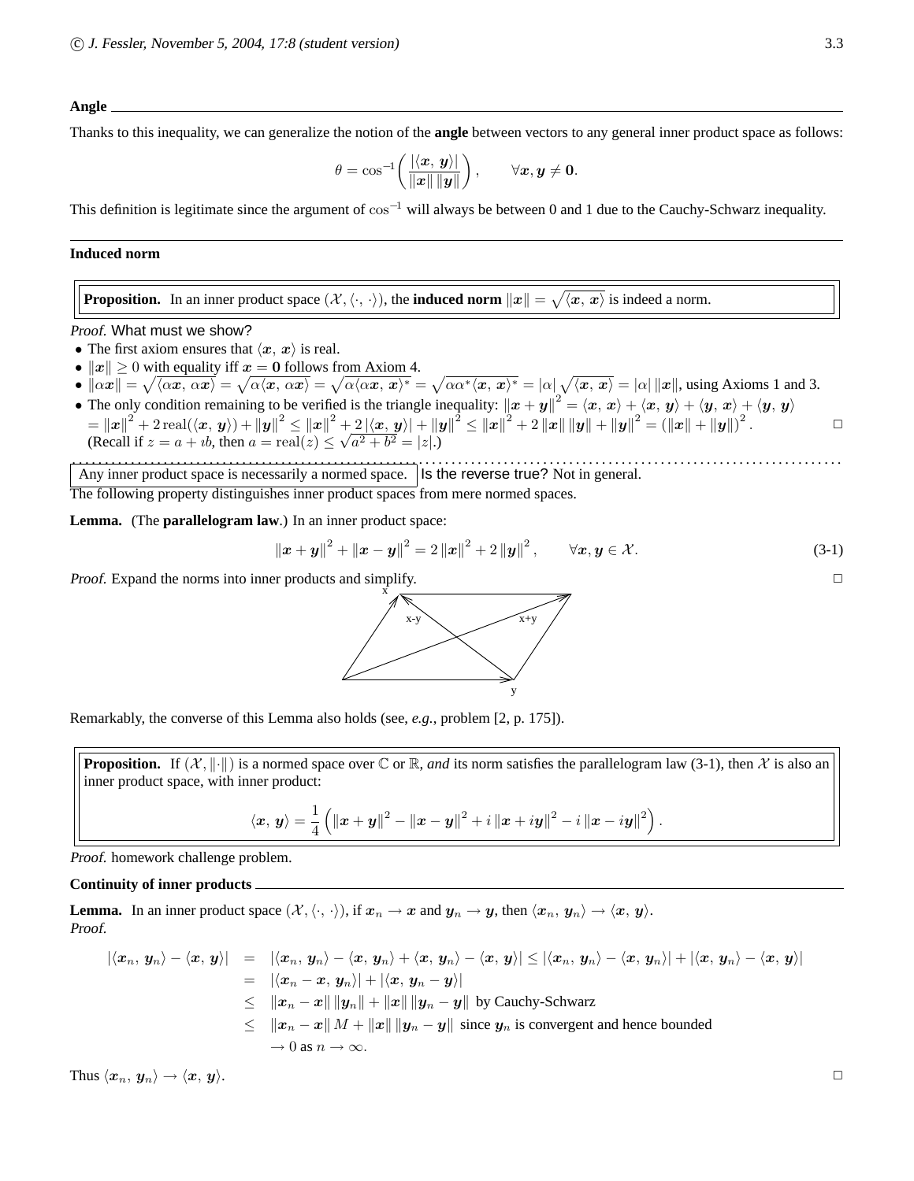#### **Angle**

Thanks to this inequality, we can generalize the notion of the **angle** between vectors to any general inner product space as follows:

$$
\theta = \cos^{-1}\left(\frac{|\langle x, y\rangle|}{\|x\| \|y\|}\right), \qquad \forall x, y \neq 0.
$$

This definition is legitimate since the argument of  $\cos^{-1}$  will always be between 0 and 1 due to the Cauchy-Schwarz inequality.

#### **Induced norm**

**Proposition.** In an inner product space  $(\mathcal{X}, \langle \cdot, \cdot \rangle)$ , the **induced norm**  $||x|| = \sqrt{\langle x, x \rangle}$  is indeed a norm.

Proof. What must we show?

- The first axiom ensures that  $\langle x, x \rangle$  is real.
- $||x|| \geq 0$  with equality iff  $x = 0$  follows from Axiom 4.
- $\|\alpha x\| = \sqrt{\langle \alpha x, \alpha x \rangle} = \sqrt{\alpha \langle x, \alpha x \rangle} = \sqrt{\alpha \langle \alpha x, x \rangle^*} = \sqrt{\alpha \alpha^* \langle x, x \rangle^*} = |\alpha| \sqrt{\langle x, x \rangle} = |\alpha| \, ||x||$ , using Axioms 1 and 3.
- The only condition remaining to be verified is the triangle inequality:  $||x + y||^2 = \langle x, x \rangle + \langle x, y \rangle + \langle y, x \rangle + \langle y, y \rangle$  $\mathbf{p} = \left\|\boldsymbol{x}\right\|^2 + 2\operatorname{real}(\langle \boldsymbol{x},\boldsymbol{y}\rangle) + \left\|\boldsymbol{y}\right\|^2 \leq \left\|\boldsymbol{x}\right\|^2 + 2\left|\langle \boldsymbol{x},\boldsymbol{y}\rangle\right| + \left\|\boldsymbol{y}\right\|^2 \leq \left\|\boldsymbol{x}\right\|^2 + 2\left\|\boldsymbol{x}\right\|\left\|\boldsymbol{y}\right\| + \left\|\boldsymbol{y}\right\|^2 = \left(\left\|\boldsymbol{x}\right\| + \left\|\boldsymbol{y}\right\|\right)^2.$ (Recall if  $z = a + ib$ , then  $a = \text{real}(z) \le \sqrt{a^2 + b^2} = |z|$ .)

. . . . . . . . . . . . . . . . . . . . . . . . . . . . . . . . . . . . . . . . . . . . . . . . . . . . . . . . . . . . . . . . . . . . . . . . . . . . . . . . . . . . . . . . . . . . . . . . . . . . . . . . . . . . . . . . . . . . . . Any inner product space is necessarily a normed space. Its the reverse true? Not in general.

The following property distinguishes inner product spaces from mere normed spaces.

**Lemma.** (The **parallelogram law**.) In an inner product space:

$$
\|\boldsymbol{x} + \boldsymbol{y}\|^2 + \|\boldsymbol{x} - \boldsymbol{y}\|^2 = 2\|\boldsymbol{x}\|^2 + 2\|\boldsymbol{y}\|^2, \qquad \forall \boldsymbol{x}, \boldsymbol{y} \in \mathcal{X}.
$$
 (3-1)

Proof. Expand the norms into inner products and simplify.  $\square$ 



Remarkably, the converse of this Lemma also holds (see, *e.g.*, problem [2, p. 175]).

**Proposition.** If  $(X, \|\cdot\|)$  is a normed space over  $\mathbb C$  or  $\mathbb R$ , *and* its norm satisfies the parallelogram law (3-1), then X is also an inner product space, with inner product:

$$
\langle \boldsymbol{x},\,\boldsymbol{y}\rangle=\frac{1}{4}\left(\left\|\boldsymbol{x}+\boldsymbol{y}\right\|^2-\left\|\boldsymbol{x}-\boldsymbol{y}\right\|^2+i\left\|\boldsymbol{x}+i\boldsymbol{y}\right\|^2-i\left\|\boldsymbol{x}-i\boldsymbol{y}\right\|^2\right).
$$

Proof. homework challenge problem.

#### **Continuity of inner products**

**Lemma.** In an inner product space  $(\mathcal{X}, \langle \cdot, \cdot \rangle)$ , if  $x_n \to x$  and  $y_n \to y$ , then  $\langle x_n, y_n \rangle \to \langle x, y \rangle$ . Proof.

$$
|\langle x_n, y_n \rangle - \langle x, y \rangle| = |\langle x_n, y_n \rangle - \langle x, y_n \rangle + \langle x, y_n \rangle - \langle x, y \rangle| \leq |\langle x_n, y_n \rangle - \langle x, y_n \rangle| + |\langle x, y_n \rangle - \langle x, y \rangle|
$$
  
\n
$$
= |\langle x_n - x, y_n \rangle| + |\langle x, y_n - y \rangle|
$$
  
\n
$$
\leq ||x_n - x|| ||y_n|| + ||x|| ||y_n - y||
$$
 by Cauchy-Schwarz  
\n
$$
\leq ||x_n - x|| M + ||x|| ||y_n - y||
$$
 since  $y_n$  is convergent and hence bounded  
\n
$$
\to 0 \text{ as } n \to \infty.
$$

Thus  $\langle x_n, y_n \rangle \rightarrow \langle x, y \rangle$ .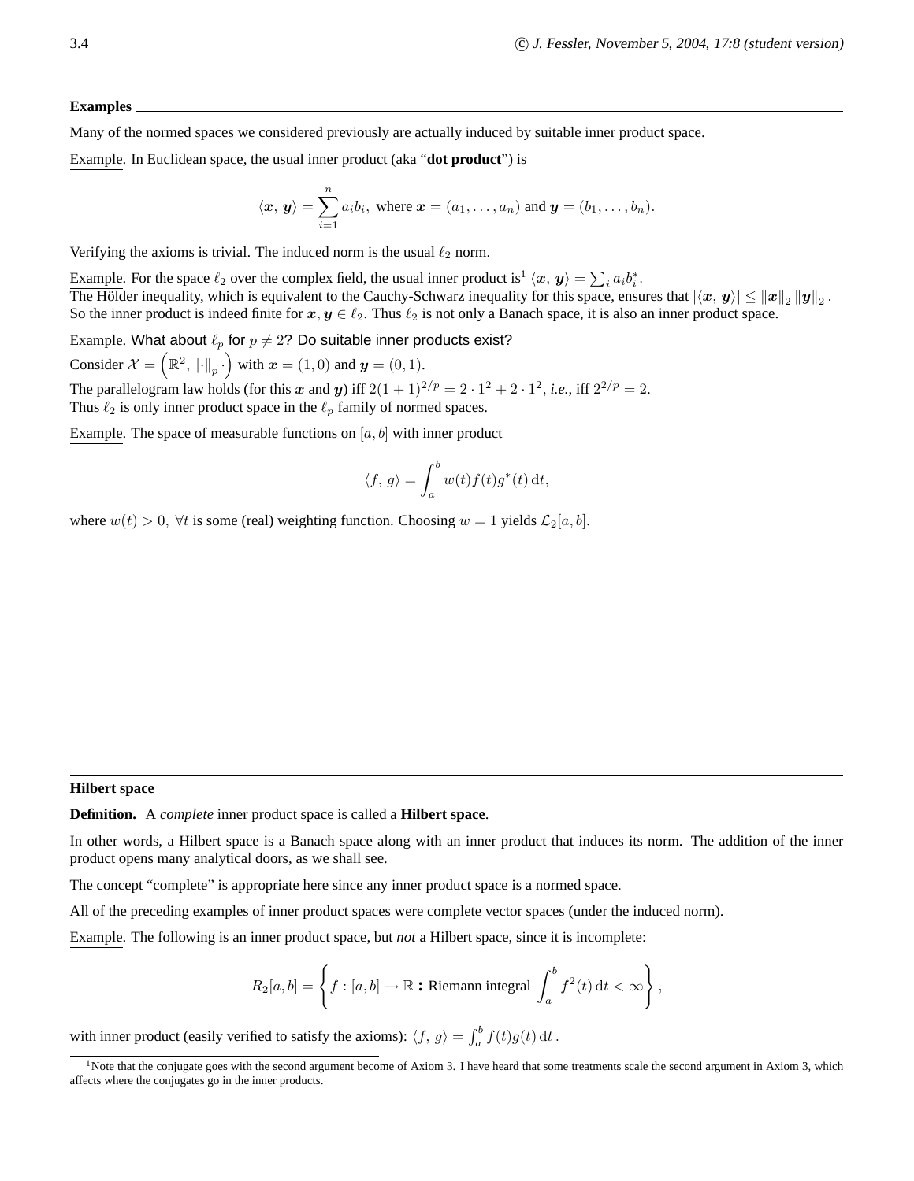#### **Examples**

Many of the normed spaces we considered previously are actually induced by suitable inner product space.

Example. In Euclidean space, the usual inner product (aka "**dot product**") is

$$
\langle x, y \rangle = \sum_{i=1}^{n} a_i b_i
$$
, where  $x = (a_1, \ldots, a_n)$  and  $y = (b_1, \ldots, b_n)$ .

Verifying the axioms is trivial. The induced norm is the usual  $\ell_2$  norm.

Example. For the space  $\ell_2$  over the complex field, the usual inner product is<sup>1</sup>  $\langle x, y \rangle = \sum_i a_i b_i^*$ . The Hölder inequality, which is equivalent to the Cauchy-Schwarz inequality for this space, ensures that  $|\langle x, y \rangle| \leq ||x||_2 ||y||_2$ . So the inner product is indeed finite for  $x, y \in \ell_2$ . Thus  $\ell_2$  is not only a Banach space, it is also an inner product space.

Example. What about  $\ell_p$  for  $p \neq 2$ ? Do suitable inner products exist?

Consider  $\mathcal{X} = (\mathbb{R}^2, ||\cdot||_p \cdot)$  with  $\mathbf{x} = (1, 0)$  and  $\mathbf{y} = (0, 1)$ .

The parallelogram law holds (for this x and y) iff  $2(1+1)^{2/p} = 2 \cdot 1^2 + 2 \cdot 1^2$ , *i.e.*, iff  $2^{2/p} = 2$ . Thus  $\ell_2$  is only inner product space in the  $\ell_p$  family of normed spaces.

Example. The space of measurable functions on  $[a, b]$  with inner product

$$
\langle f, g \rangle = \int_a^b w(t) f(t) g^*(t) dt,
$$

where  $w(t) > 0$ ,  $\forall t$  is some (real) weighting function. Choosing  $w = 1$  yields  $\mathcal{L}_2[a, b]$ .

#### **Hilbert space**

**Definition.** A *complete* inner product space is called a **Hilbert space**.

In other words, a Hilbert space is a Banach space along with an inner product that induces its norm. The addition of the inner product opens many analytical doors, as we shall see.

The concept "complete" is appropriate here since any inner product space is a normed space.

All of the preceding examples of inner product spaces were complete vector spaces (under the induced norm).

Example. The following is an inner product space, but *not* a Hilbert space, since it is incomplete:

$$
R_2[a, b] = \left\{ f : [a, b] \to \mathbb{R} \text{ : Riemann integral } \int_a^b f^2(t) dt < \infty \right\},\
$$

with inner product (easily verified to satisfy the axioms):  $\langle f, g \rangle = \int_a^b f(t)g(t) dt$ .

<sup>&</sup>lt;sup>1</sup>Note that the conjugate goes with the second argument become of Axiom 3. I have heard that some treatments scale the second argument in Axiom 3, which affects where the conjugates go in the inner products.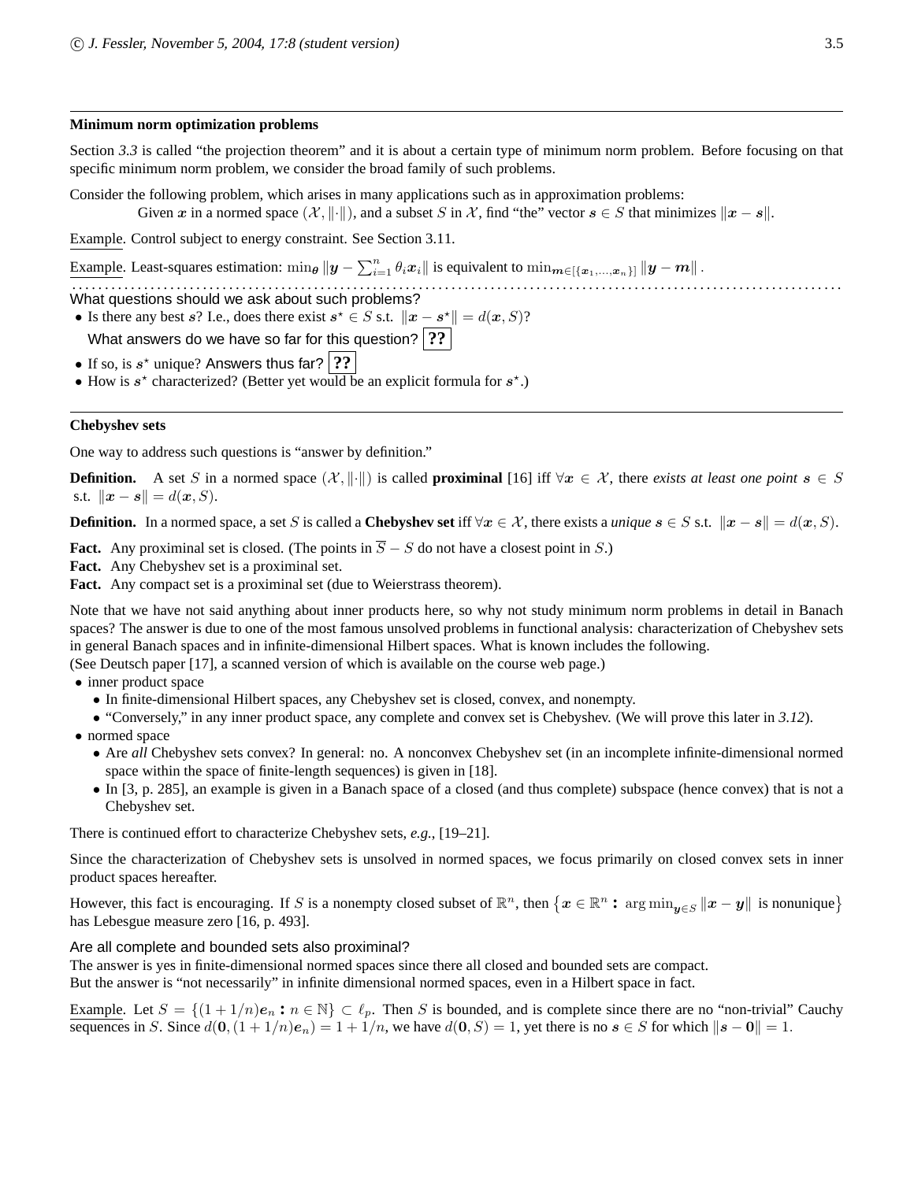#### **Minimum norm optimization problems**

Section 3.3 is called "the projection theorem" and it is about a certain type of minimum norm problem. Before focusing on that specific minimum norm problem, we consider the broad family of such problems.

Consider the following problem, which arises in many applications such as in approximation problems: Given x in a normed space  $(\mathcal{X}, \|\cdot\|)$ , and a subset S in X, find "the" vector  $s \in S$  that minimizes  $\|x - s\|$ .

Example. Control subject to energy constraint. See Section 3.11.

Example. Least-squares estimation:  $\min_{\theta} \|y - \sum_{i=1}^{n} \theta_i x_i\|$  is equivalent to  $\min_{m \in [\{x_1,...,x_n\}]} \|y - m\|$ .

. . . . . . . . . . . . . . . . . . . . . . . . . . . . . . . . . . . . . . . . . . . . . . . . . . . . . . . . . . . . . . . . . . . . . . . . . . . . . . . . . . . . . . . . . . . . . . . . . . . . . . . . . . . . . . . . . . . . . . What questions should we ask about such problems?

- Is there any best s? I.e., does there exist  $s^* \in S$  s.t.  $||x s^*|| = d(x, S)$ ?
- What answers do we have so far for this question? **??**
- If so, is  $s^*$  unique? Answers thus far?  $\boxed{?}$ ?
- How is  $s^*$  characterized? (Better yet would be an explicit formula for  $s^*$ .)

### **Chebyshev sets**

One way to address such questions is "answer by definition."

**Definition.** A set S in a normed space  $(X, \|\cdot\|)$  is called **proximinal** [16] iff  $\forall x \in X$ , there *exists at least one point*  $s \in S$ s.t.  $\|\bm{x} - \bm{s}\| = d(\bm{x}, S).$ 

**Definition.** In a normed space, a set S is called a **Chebyshev set** iff  $\forall x \in \mathcal{X}$ , there exists a *unique*  $s \in S$  s.t.  $||x - s|| = d(x, S)$ .

**Fact.** Any proximinal set is closed. (The points in  $\overline{S}$  – S do not have a closest point in S.)

**Fact.** Any Chebyshev set is a proximinal set.

Fact. Any compact set is a proximinal set (due to Weierstrass theorem).

Note that we have not said anything about inner products here, so why not study minimum norm problems in detail in Banach spaces? The answer is due to one of the most famous unsolved problems in functional analysis: characterization of Chebyshev sets in general Banach spaces and in infinite-dimensional Hilbert spaces. What is known includes the following.

(See Deutsch paper [17], a scanned version of which is available on the course web page.)

- inner product space
	- In finite-dimensional Hilbert spaces, any Chebyshev set is closed, convex, and nonempty.
	- "Conversely," in any inner product space, any complete and convex set is Chebyshev. (We will prove this later in *3.12*).

• normed space

- Are *all* Chebyshev sets convex? In general: no. A nonconvex Chebyshev set (in an incomplete infinite-dimensional normed space within the space of finite-length sequences) is given in [18].
- In [3, p. 285], an example is given in a Banach space of a closed (and thus complete) subspace (hence convex) that is not a Chebyshev set.

There is continued effort to characterize Chebyshev sets, *e.g.*, [19–21].

Since the characterization of Chebyshev sets is unsolved in normed spaces, we focus primarily on closed convex sets in inner product spaces hereafter.

However, this fact is encouraging. If S is a nonempty closed subset of  $\mathbb{R}^n$ , then  $\{x \in \mathbb{R}^n : \arg\min_{y \in S} ||x - y||$  is nonunique $\}$ has Lebesgue measure zero [16, p. 493].

# Are all complete and bounded sets also proximinal?

The answer is yes in finite-dimensional normed spaces since there all closed and bounded sets are compact.

But the answer is "not necessarily" in infinite dimensional normed spaces, even in a Hilbert space in fact.

Example. Let  $S = \{(1 + 1/n)e_n : n \in \mathbb{N}\}\subset \ell_p$ . Then S is bounded, and is complete since there are no "non-trivial" Cauchy sequences in S. Since  $d(\mathbf{0}, (1 + 1/n)e_n) = 1 + 1/n$ , we have  $d(\mathbf{0}, S) = 1$ , yet there is no  $s \in S$  for which  $\|s - \mathbf{0}\| = 1$ .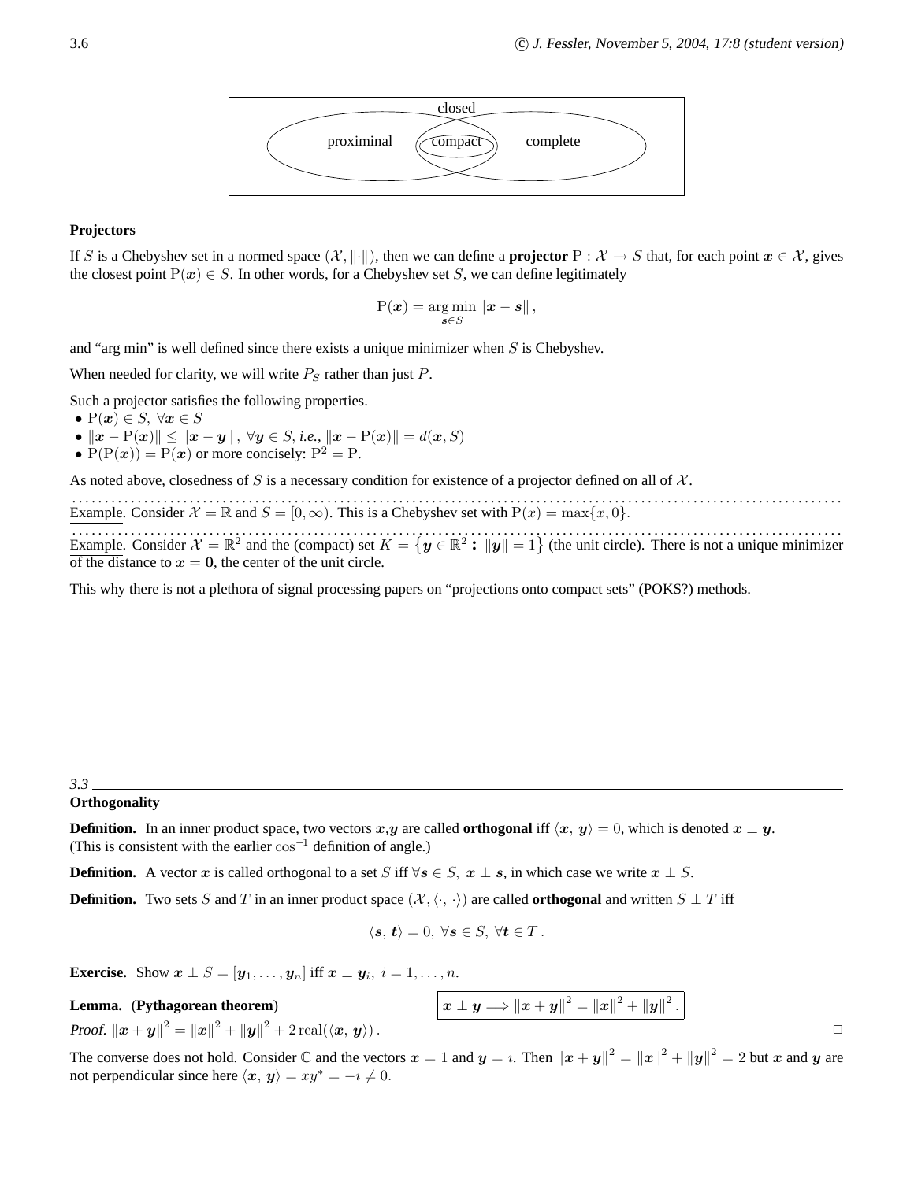

#### **Projectors**

If S is a Chebyshev set in a normed space  $(\mathcal{X}, \|\cdot\|)$ , then we can define a **projector** P :  $\mathcal{X} \to S$  that, for each point  $x \in \mathcal{X}$ , gives the closest point  $P(x) \in S$ . In other words, for a Chebyshev set S, we can define legitimately

$$
P(\boldsymbol{x}) = \arg\min_{\boldsymbol{s}\in S} \|\boldsymbol{x} - \boldsymbol{s}\|,
$$

and "arg min" is well defined since there exists a unique minimizer when  $S$  is Chebyshev.

When needed for clarity, we will write  $P<sub>S</sub>$  rather than just P.

Such a projector satisfies the following properties.

- $P(x) \in S$ ,  $\forall x \in S$
- $||x P(x)|| \le ||x y||$ ,  $\forall y \in S$ , *i.e.*,  $||x P(x)|| = d(x, S)$
- $P(P(x)) = P(x)$  or more concisely:  $P^2 = P$ .

As noted above, closedness of S is a necessary condition for existence of a projector defined on all of  $\mathcal{X}$ .

. . . . . . . . . . . . . . . . . . . . . . . . . . . . . . . . . . . . . . . . . . . . . . . . . . . . . . . . . . . . . . . . . . . . . . . . . . . . . . . . . . . . . . . . . . . . . . . . . . . . . . . . . . . . . . . . . . . . . . Example. Consider  $\mathcal{X} = \mathbb{R}$  and  $S = [0, \infty)$ . This is a Chebyshev set with  $P(x) = \max\{x, 0\}$ .

. . . . . . . . . . . . . . . . . . . . . . . . . . . . . . . . . . . . . . . . . . . . . . . . . . . . . . . . . . . . . . . . . . . . . . . . . . . . . . . . . . . . . . . . . . . . . . . . . . . . . . . . . . . . . . . . . . . . . . Example. Consider  $\mathcal{X} = \mathbb{R}^2$  and the (compact) set  $K = \{y \in \mathbb{R}^2 : ||y|| = 1\}$  (the unit circle). There is not a unique minimizer of the distance to  $x = 0$ , the center of the unit circle.

This why there is not a plethora of signal processing papers on "projections onto compact sets" (POKS?) methods.

#### *3.3*

#### **Orthogonality**

**Definition.** In an inner product space, two vectors x,y are called **orthogonal** iff  $\langle x, y \rangle = 0$ , which is denoted  $x \perp y$ . (This is consistent with the earlier  $\cos^{-1}$  definition of angle.)

**Definition.** A vector x is called orthogonal to a set S iff  $\forall s \in S$ ,  $x \perp s$ , in which case we write  $x \perp S$ .

**Definition.** Two sets S and T in an inner product space  $(\mathcal{X}, \langle \cdot, \cdot \rangle)$  are called **orthogonal** and written  $S \perp T$  iff

$$
\langle \mathbf{s},\,\mathbf{t}\rangle=0,\,\forall \mathbf{s}\in S,\,\forall \mathbf{t}\in T\,.
$$

**Exercise.** Show  $\boldsymbol{x} \perp S = [\boldsymbol{y}_1, \dots, \boldsymbol{y}_n]$  iff  $\boldsymbol{x} \perp \boldsymbol{y}_i$ ,  $i = 1, \dots, n$ .

Lemma. (Pythagorean theorem)

Proof.  $\|\bm{x} + \bm{y}\|^2 = \|\bm{x}\|^2 + \|\bm{y}\|^2 + 2 \operatorname{real}(\langle \bm{x}, \bm{y} \rangle).$ 

The converse does not hold. Consider  $\mathbb C$  and the vectors  $x = 1$  and  $y = i$ . Then  $||x + y||^2 = ||x||^2 + ||y||^2 = 2$  but x and y are not perpendicular since here  $\langle x, y \rangle = xy^* = -i \neq 0$ .

 $\mathbf{z}^2 = \left\|\boldsymbol{x}\right\|^2 + \left\|\boldsymbol{y}\right\|^2.$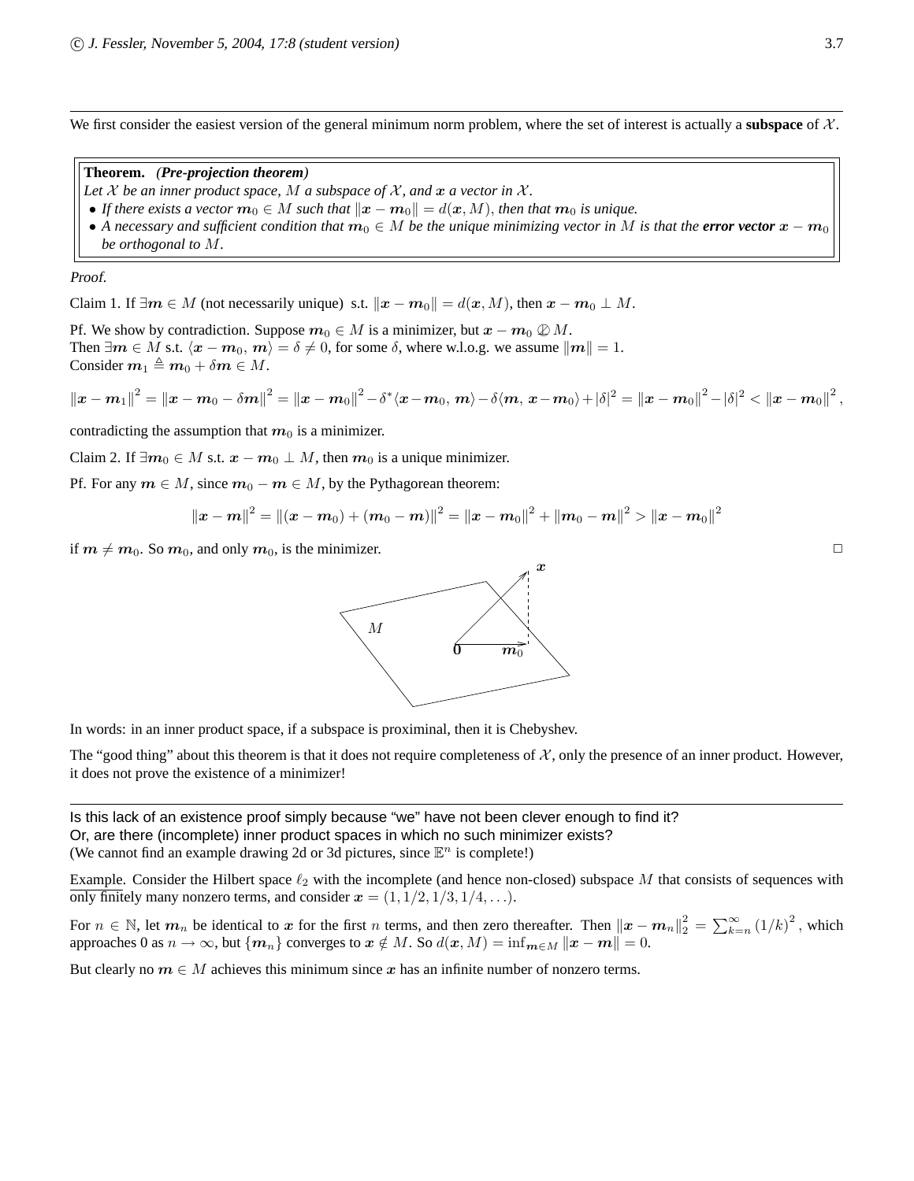We first consider the easiest version of the general minimum norm problem, where the set of interest is actually a **subspace** of  $\chi$ .

**Theorem.** *(Pre-projection theorem)*

- Let  $X$  be an inner product space,  $M$  a subspace of  $X$ , and  $x$  a vector in  $X$ .
- If there exists a vector  $m_0 \in M$  such that  $||x m_0|| = d(x, M)$ , then that  $m_0$  is unique.
- A necessary and sufficient condition that  $m_0 \in M$  be the unique minimizing vector in M is that the **error vector**  $x m_0$ *be orthogonal to* M*.*

#### Proof.

Claim 1. If  $\exists m \in M$  (not necessarily unique) s.t.  $\|\mathbf{x} - \mathbf{m}_0\| = d(\mathbf{x}, M)$ , then  $\mathbf{x} - \mathbf{m}_0 \perp M$ .

Pf. We show by contradiction. Suppose  $m_0 \in M$  is a minimizer, but  $x - m_0 \nsubseteq M$ . Then  $\exists m \in M$  s.t.  $\langle x - m_0, m \rangle = \delta \neq 0$ , for some  $\delta$ , where w.l.o.g. we assume  $\|m\| = 1$ . Consider  $m_1 \triangleq m_0 + \delta m \in M$ .

$$
||x - m_1||^2 = ||x - m_0 - \delta m||^2 = ||x - m_0||^2 - \delta^* \langle x - m_0, m \rangle - \delta \langle m, x - m_0 \rangle + |\delta|^2 = ||x - m_0||^2 - |\delta|^2 < ||x - m_0||^2,
$$

contradicting the assumption that  $m_0$  is a minimizer.

Claim 2. If  $\exists m_0 \in M$  s.t.  $x - m_0 \perp M$ , then  $m_0$  is a unique minimizer.

Pf. For any  $m \in M$ , since  $m_0 - m \in M$ , by the Pythagorean theorem:

$$
\left\| \bm{x} - \bm{m} \right\|^2 = \left\| (\bm{x} - \bm{m}_0) + (\bm{m}_0 - \bm{m}) \right\|^2 = \left\| \bm{x} - \bm{m}_0 \right\|^2 + \left\| \bm{m}_0 - \bm{m} \right\|^2 > \left\| \bm{x} - \bm{m}_0 \right\|^2
$$

if  $m \neq m_0$ . So  $m_0$ , and only  $m_0$ , is the minimizer.



In words: in an inner product space, if a subspace is proximinal, then it is Chebyshev.

The "good thing" about this theorem is that it does not require completeness of  $\mathcal{X}$ , only the presence of an inner product. However, it does not prove the existence of a minimizer!

Is this lack of an existence proof simply because "we" have not been clever enough to find it? Or, are there (incomplete) inner product spaces in which no such minimizer exists? (We cannot find an example drawing 2d or 3d pictures, since  $\mathbb{E}^n$  is complete!)

Example. Consider the Hilbert space  $\ell_2$  with the incomplete (and hence non-closed) subspace M that consists of sequences with only finitely many nonzero terms, and consider  $x = (1, 1/2, 1/3, 1/4, \ldots)$ .

For  $n \in \mathbb{N}$ , let  $m_n$  be identical to x for the first n terms, and then zero thereafter. Then  $||x - m_n||_2^2 = \sum_{k=n}^{\infty} (1/k)^2$ , which approaches 0 as  $n \to \infty$ , but  $\{m_n\}$  converges to  $x \notin M$ . So  $d(x, M) = \inf_{m \in M} ||x - m|| = 0$ .

But clearly no  $m \in M$  achieves this minimum since x has an infinite number of nonzero terms.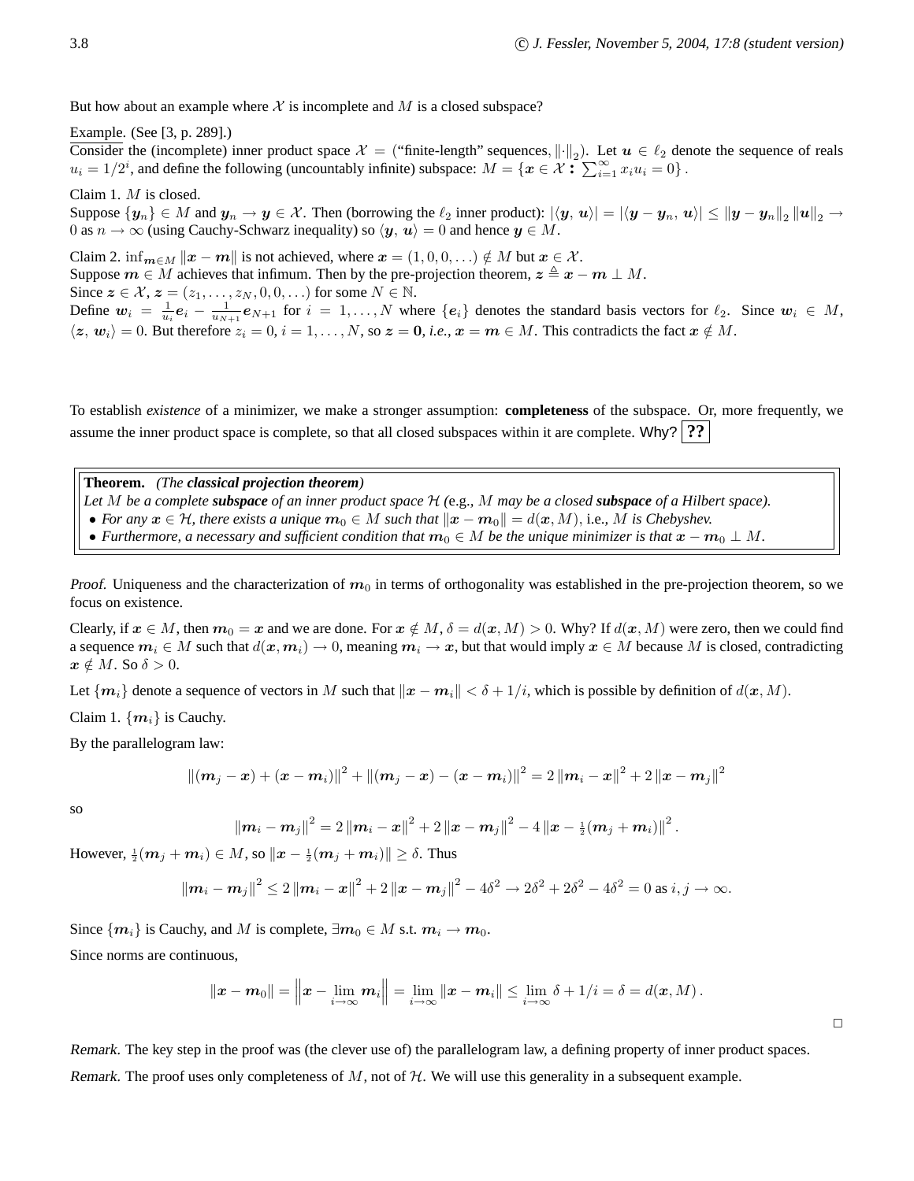But how about an example where  $\mathcal X$  is incomplete and  $M$  is a closed subspace?

Example. (See [3, p. 289].)

Consider the (incomplete) inner product space  $\mathcal{X} =$  ("finite-length" sequences,  $\|\cdot\|_2$ ). Let  $u \in \ell_2$  denote the sequence of reals  $u_i = 1/2^i$ , and define the following (uncountably infinite) subspace:  $M = \{x \in \mathcal{X} : \sum_{i=1}^{\infty} x_i u_i = 0\}$ .

Claim 1. M is closed.

Suppose  $\{y_n\} \in M$  and  $y_n \to y \in \mathcal{X}$ . Then (borrowing the  $\ell_2$  inner product):  $|\langle y, u \rangle| = |\langle y - y_n, u \rangle| \le ||y - y_n||_2 ||u||_2 \to$ 0 as  $n \to \infty$  (using Cauchy-Schwarz inequality) so  $\langle y, u \rangle = 0$  and hence  $y \in M$ .

Claim 2. inf $_{m \in M} ||x - m||$  is not achieved, where  $x = (1, 0, 0, ...) \notin M$  but  $x \in \mathcal{X}$ . Suppose  $m \in M$  achieves that infimum. Then by the pre-projection theorem,  $z \triangleq x - m \perp M$ . Since  $z \in \mathcal{X}, z = (z_1, \ldots, z_N, 0, 0, \ldots)$  for some  $N \in \mathbb{N}$ . Define  $w_i = \frac{1}{u_i} e_i - \frac{1}{u_{N+1}} e_{N+1}$  for  $i = 1, ..., N$  where  $\{e_i\}$  denotes the standard basis vectors for  $\ell_2$ . Since  $w_i \in M$ ,  $\langle z, w_i \rangle = 0$ . But therefore  $z_i = 0, i = 1, ..., N$ , so  $z = 0$ , *i.e.*,  $x = m \in M$ . This contradicts the fact  $x \notin M$ .

To establish *existence* of a minimizer, we make a stronger assumption: **completeness** of the subspace. Or, more frequently, we assume the inner product space is complete, so that all closed subspaces within it are complete. Why? **??**

**Theorem.** *(The classical projection theorem) Let* M *be a complete subspace of an inner product space* H *(*e.g.*,* M *may be a closed subspace of a Hilbert space).* • *For any*  $x \in H$ *, there exists a unique*  $m_0 \in M$  *such that*  $||x - m_0|| = d(x, M)$ *, i.e., M is Chebyshev.* • *Furthermore, a necessary and sufficient condition that*  $m_0 \in M$  *be the unique minimizer is that*  $x - m_0 \perp M$ .

*Proof.* Uniqueness and the characterization of  $m_0$  in terms of orthogonality was established in the pre-projection theorem, so we focus on existence.

Clearly, if  $x \in M$ , then  $m_0 = x$  and we are done. For  $x \notin M$ ,  $\delta = d(x, M) > 0$ . Why? If  $d(x, M)$  were zero, then we could find a sequence  $m_i \in M$  such that  $d(x, m_i) \to 0$ , meaning  $m_i \to x$ , but that would imply  $x \in M$  because M is closed, contradicting  $x \notin M$ . So  $\delta > 0$ .

Let  $\{m_i\}$  denote a sequence of vectors in M such that  $\|\boldsymbol{x} - \boldsymbol{m}_i\| < \delta + 1/i$ , which is possible by definition of  $d(\boldsymbol{x}, M)$ .

Claim 1.  $\{m_i\}$  is Cauchy.

By the parallelogram law:

$$
\left\|\left(\boldsymbol{m}_{j}-\boldsymbol{x}\right)+\left(\boldsymbol{x}-\boldsymbol{m}_{i}\right)\right\|^{2}+\left\|\left(\boldsymbol{m}_{j}-\boldsymbol{x}\right)-\left(\boldsymbol{x}-\boldsymbol{m}_{i}\right)\right\|^{2}=2\left\|\boldsymbol{m}_{i}-\boldsymbol{x}\right\|^{2}+2\left\|\boldsymbol{x}-\boldsymbol{m}_{j}\right\|^{2}
$$

so

$$
\left\|\bm{m}_{i}-\bm{m}_{j}\right\|^{2}=2\left\|\bm{m}_{i}-\bm{x}\right\|^{2}+2\left\|\bm{x}-\bm{m}_{j}\right\|^{2}-4\left\|\bm{x}-\tfrac{1}{2}(\bm{m}_{j}+\bm{m}_{i})\right\|^{2}.
$$

However,  $\frac{1}{2}$  $(m_j + m_i) \in M$ , so  $\|\boldsymbol{x} - \frac{1}{2}(m_j + m_i)\| \ge \delta$ . Thus

$$
\|\mathbf{m}_{i}-\mathbf{m}_{j}\|^{2} \leq 2\|\mathbf{m}_{i}-\mathbf{x}\|^{2}+2\|\mathbf{x}-\mathbf{m}_{j}\|^{2}-4\delta^{2} \to 2\delta^{2}+2\delta^{2}-4\delta^{2}=0 \text{ as } i, j \to \infty.
$$

Since  $\{m_i\}$  is Cauchy, and M is complete,  $\exists m_0 \in M$  s.t.  $m_i \to m_0$ .

Since norms are continuous,

$$
\|\boldsymbol{x}-\boldsymbol{m}_0\|=\left\|\boldsymbol{x}-\lim_{i\to\infty}\boldsymbol{m}_i\right\|=\lim_{i\to\infty}\|\boldsymbol{x}-\boldsymbol{m}_i\|\leq\lim_{i\to\infty}\delta+1/i=\delta=d(\boldsymbol{x},M)\,.
$$

Remark. The key step in the proof was (the clever use of) the parallelogram law, a defining property of inner product spaces. Remark. The proof uses only completeness of  $M$ , not of  $H$ . We will use this generality in a subsequent example.

 $\Box$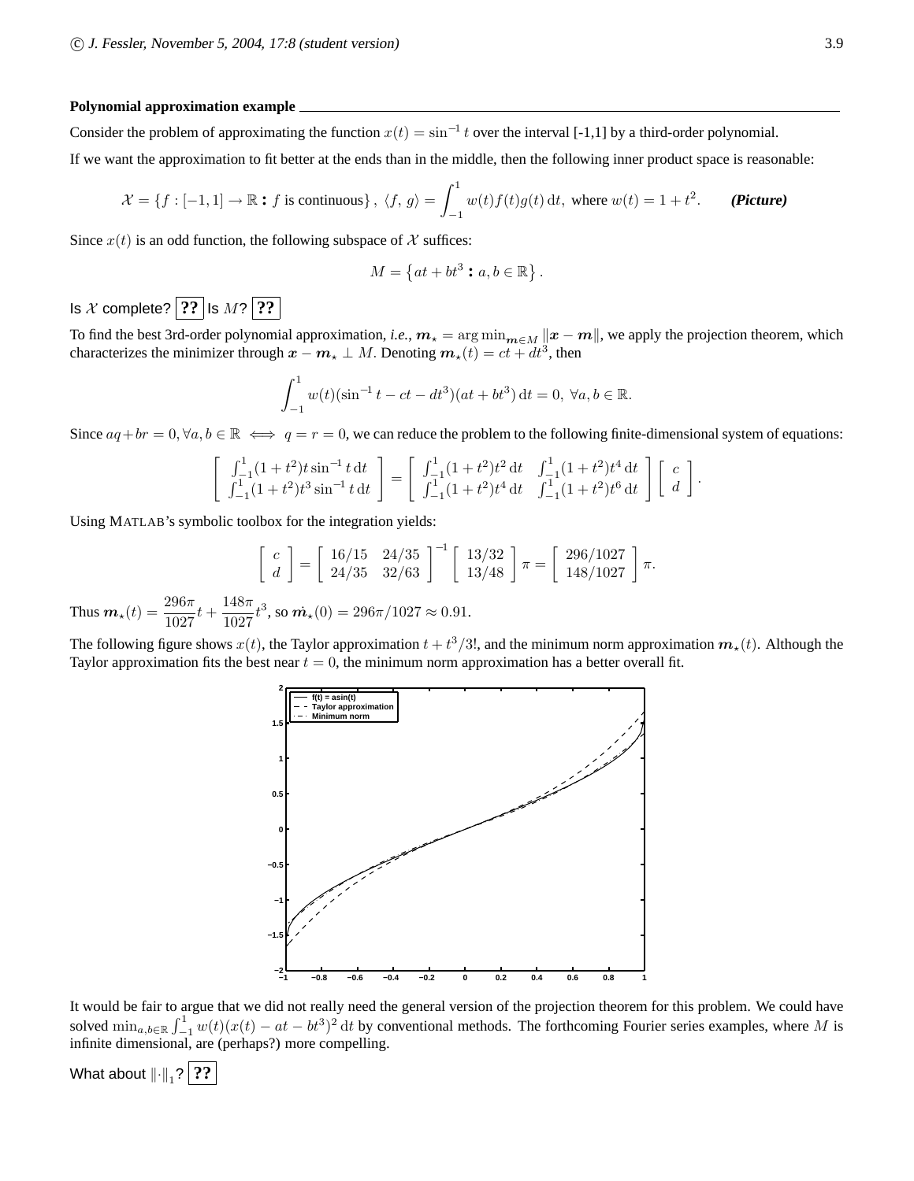#### **Polynomial approximation example**

Consider the problem of approximating the function  $x(t) = \sin^{-1} t$  over the interval [-1,1] by a third-order polynomial.

If we want the approximation to fit better at the ends than in the middle, then the following inner product space is reasonable:

$$
\mathcal{X} = \{f : [-1, 1] \to \mathbb{R} : f \text{ is continuous}\}, \ \langle f, g \rangle = \int_{-1}^{1} w(t)f(t)g(t) \, \mathrm{d}t, \text{ where } w(t) = 1 + t^2. \qquad \textbf{(Picture)}
$$

Since  $x(t)$  is an odd function, the following subspace of X suffices:

$$
M = \left\{ at + bt^3 : a, b \in \mathbb{R} \right\}.
$$

Is  $X$  complete? **??** Is  $M$ ? **??** 

To find the best 3rd-order polynomial approximation, *i.e.*,  $m_{\star} = \arg \min_{m \in M} ||x - m||$ , we apply the projection theorem, which characterizes the minimizer through  $x - m_{\star} \perp M$ . Denoting  $m_{\star}(t) = ct + dt^3$ , then

$$
\int_{-1}^{1} w(t)(\sin^{-1} t - ct - dt^3)(at + bt^3) dt = 0, \ \forall a, b \in \mathbb{R}.
$$

Since  $aq + br = 0$ ,  $\forall a, b \in \mathbb{R} \iff q = r = 0$ , we can reduce the problem to the following finite-dimensional system of equations:

$$
\begin{bmatrix}\n\int_{-1}^{1} (1+t^2)t \sin^{-1} t dt \\
\int_{-1}^{1} (1+t^2)t^3 \sin^{-1} t dt\n\end{bmatrix} = \begin{bmatrix}\n\int_{-1}^{1} (1+t^2)t^2 dt & \int_{-1}^{1} (1+t^2)t^4 dt \\
\int_{-1}^{1} (1+t^2)t^4 dt & \int_{-1}^{1} (1+t^2)t^6 dt\n\end{bmatrix} \begin{bmatrix}\nc \\
d\n\end{bmatrix}.
$$

Using MATLAB's symbolic toolbox for the integration yields:

$$
\begin{bmatrix} c \\ d \end{bmatrix} = \begin{bmatrix} 16/15 & 24/35 \\ 24/35 & 32/63 \end{bmatrix}^{-1} \begin{bmatrix} 13/32 \\ 13/48 \end{bmatrix} \pi = \begin{bmatrix} 296/1027 \\ 148/1027 \end{bmatrix} \pi.
$$
  
Thus  $\mathbf{m}_\star(t) = \frac{296\pi}{1027}t + \frac{148\pi}{1027}t^3$ , so  $\mathbf{m}_\star(0) = 296\pi/1027 \approx 0.91$ .

The following figure shows  $x(t)$ , the Taylor approximation  $t+t^3/3!$ , and the minimum norm approximation  $m_*(t)$ . Although the Taylor approximation fits the best near  $t = 0$ , the minimum norm approximation has a better overall fit.



It would be fair to argue that we did not really need the general version of the projection theorem for this problem. We could have solved  $\min_{a,b\in\mathbb{R}} \int_{-1}^{1} w(t)(x(t) - at - bt^3)^2 dt$  by conventional methods. The forthcoming Fourier series examples, where M is infinite dimensional, are (perhaps?) more compelling.

What about  $\left\Vert \cdot \right\Vert _{1}$ ?  $\boxed{??}$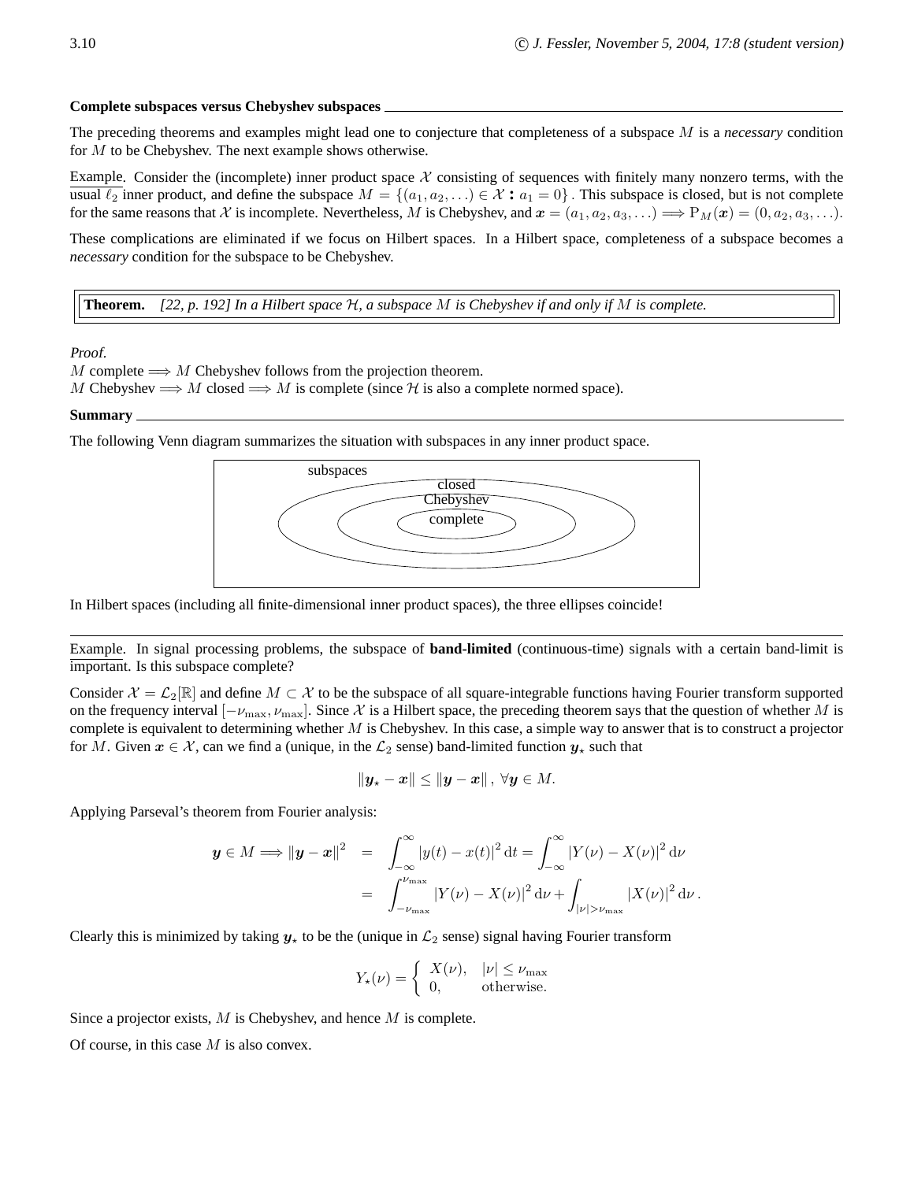#### **Complete subspaces versus Chebyshev subspaces**

The preceding theorems and examples might lead one to conjecture that completeness of a subspace M is a *necessary* condition for M to be Chebyshev. The next example shows otherwise.

Example. Consider the (incomplete) inner product space  $X$  consisting of sequences with finitely many nonzero terms, with the usual  $\ell_2$  inner product, and define the subspace  $M = \{(a_1, a_2, \ldots) \in \mathcal{X} : a_1 = 0\}$ . This subspace is closed, but is not complete for the same reasons that X is incomplete. Nevertheless, M is Chebyshev, and  $x = (a_1, a_2, a_3, \ldots) \implies P_M(x) = (0, a_2, a_3, \ldots)$ .

These complications are eliminated if we focus on Hilbert spaces. In a Hilbert space, completeness of a subspace becomes a *necessary* condition for the subspace to be Chebyshev.

**Theorem.** *[22, p. 192] In a Hilbert space* H*, a subspace* M *is Chebyshev if and only if* M *is complete.*

#### Proof.

M complete  $\Longrightarrow M$  Chebyshev follows from the projection theorem.

M Chebyshev  $\Longrightarrow M$  closed  $\Longrightarrow M$  is complete (since H is also a complete normed space).

#### **Summary**

The following Venn diagram summarizes the situation with subspaces in any inner product space.



In Hilbert spaces (including all finite-dimensional inner product spaces), the three ellipses coincide!

Example. In signal processing problems, the subspace of **band-limited** (continuous-time) signals with a certain band-limit is important. Is this subspace complete?

Consider  $\mathcal{X} = \mathcal{L}_2[\mathbb{R}]$  and define  $M \subset \mathcal{X}$  to be the subspace of all square-integrable functions having Fourier transform supported on the frequency interval  $[-\nu_{\max}, \nu_{\max}]$ . Since X is a Hilbert space, the preceding theorem says that the question of whether M is complete is equivalent to determining whether  $M$  is Chebyshev. In this case, a simple way to answer that is to construct a projector for M. Given  $x \in \mathcal{X}$ , can we find a (unique, in the  $\mathcal{L}_2$  sense) band-limited function  $y_*$  such that

$$
\|\boldsymbol{y}_{\star}-\boldsymbol{x}\|\leq \|\boldsymbol{y}-\boldsymbol{x}\| \,,\ \forall \boldsymbol{y}\in M.
$$

Applying Parseval's theorem from Fourier analysis:

$$
\mathbf{y} \in M \Longrightarrow \|\mathbf{y} - \mathbf{x}\|^2 = \int_{-\infty}^{\infty} |y(t) - x(t)|^2 dt = \int_{-\infty}^{\infty} |Y(\nu) - X(\nu)|^2 d\nu
$$

$$
= \int_{-\nu_{\text{max}}}^{\nu_{\text{max}}} |Y(\nu) - X(\nu)|^2 d\nu + \int_{|\nu| > \nu_{\text{max}}} |X(\nu)|^2 d\nu.
$$

Clearly this is minimized by taking  $y<sub>x</sub>$  to be the (unique in  $\mathcal{L}_2$  sense) signal having Fourier transform

$$
Y_{\star}(\nu) = \begin{cases} X(\nu), & |\nu| \le \nu_{\text{max}} \\ 0, & \text{otherwise.} \end{cases}
$$

Since a projector exists, M is Chebyshev, and hence M is complete.

Of course, in this case  $M$  is also convex.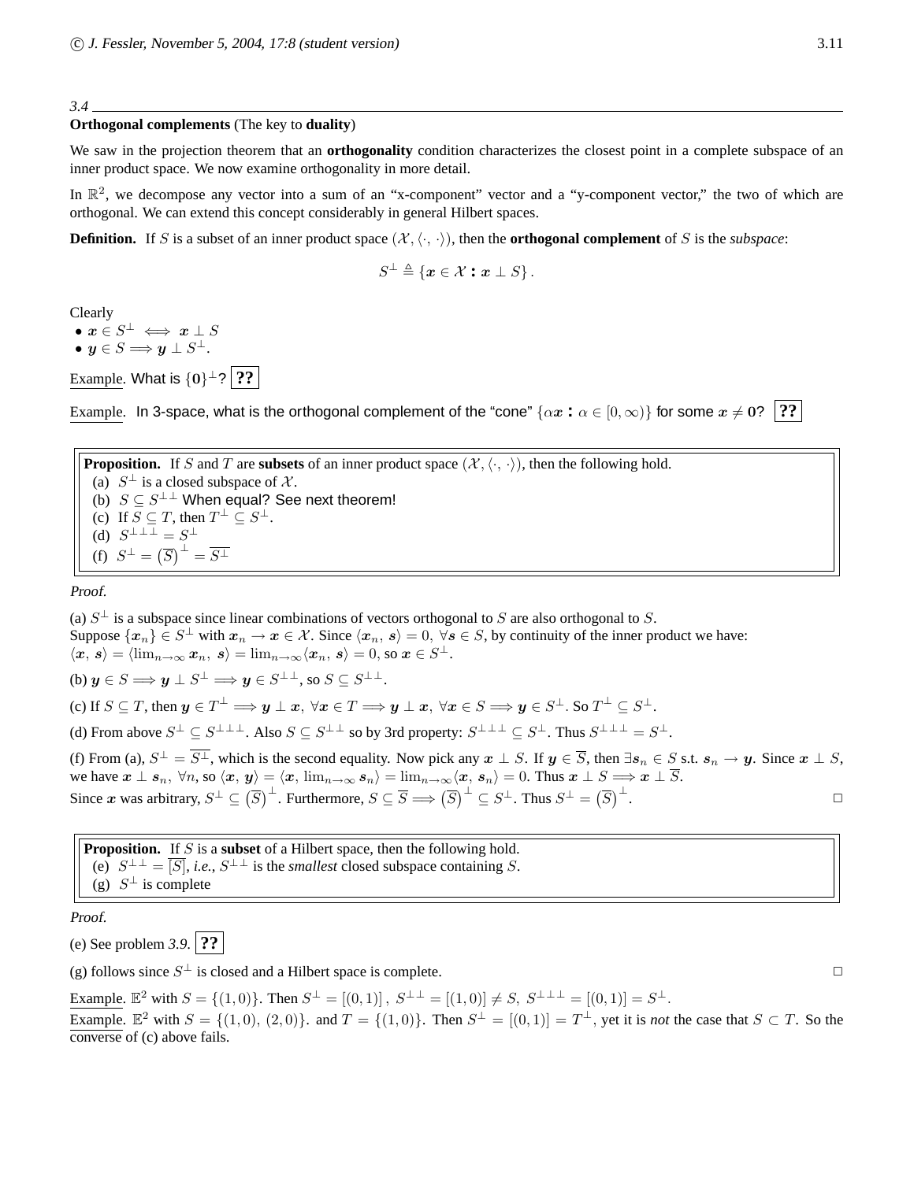#### *3.4*

#### **Orthogonal complements** (The key to **duality**)

We saw in the projection theorem that an **orthogonality** condition characterizes the closest point in a complete subspace of an inner product space. We now examine orthogonality in more detail.

In  $\mathbb{R}^2$ , we decompose any vector into a sum of an "x-component" vector and a "y-component vector," the two of which are orthogonal. We can extend this concept considerably in general Hilbert spaces.

**Definition.** If S is a subset of an inner product space  $(\mathcal{X}, \langle \cdot, \cdot \rangle)$ , then the **orthogonal complement** of S is the *subspace*:

$$
S^{\perp} \triangleq \{ \boldsymbol{x} \in \mathcal{X} : \boldsymbol{x} \perp S \}.
$$

Clearly

 $\bullet\ x\in S^{\perp}\iff x\perp S$ 

• 
$$
y \in S \Longrightarrow y \perp S^{\perp}
$$
.

Example. What is  $\{0\}^{\perp}$ ? 2?

Example. In 3-space, what is the orthogonal complement of the "cone"  $\{\alpha x : \alpha \in [0,\infty)\}\$  for some  $x \neq 0$ ? **??** 

**Proposition.** If S and T are **subsets** of an inner product space  $(\mathcal{X}, \langle \cdot, \cdot \rangle)$ , then the following hold. (a)  $S^{\perp}$  is a closed subspace of X. (b)  $S \subseteq S^{\perp \perp}$  When equal? See next theorem! (c) If  $S \subseteq T$ , then  $T^{\perp} \subseteq S^{\perp}$ . (d)  $S^{\perp \perp \perp} = S^{\perp}$ (f)  $S^{\perp} = (\overline{S})^{\perp} = \overline{S^{\perp}}$ 

Proof.

(a)  $S^{\perp}$  is a subspace since linear combinations of vectors orthogonal to S are also orthogonal to S. Suppose  $\{x_n\} \in S^{\perp}$  with  $x_n \to x \in \mathcal{X}$ . Since  $\langle x_n, s \rangle = 0$ ,  $\forall s \in S$ , by continuity of the inner product we have:  $\langle x, s \rangle = \langle \lim_{n \to \infty} x_n, s \rangle = \lim_{n \to \infty} \langle x_n, s \rangle = 0, \text{ so } x \in S^{\perp}.$ (b)  $y \in S \Longrightarrow y \perp S^{\perp} \Longrightarrow y \in S^{\perp \perp}$ , so  $S \subseteq S^{\perp \perp}$ . (c) If  $S \subseteq T$ , then  $y \in T^{\perp} \Longrightarrow y \perp x$ ,  $\forall x \in T \Longrightarrow y \perp x$ ,  $\forall x \in S \Longrightarrow y \in S^{\perp}$ . So  $T^{\perp} \subseteq S^{\perp}$ . (d) From above  $S^{\perp} \subseteq S^{\perp \perp \perp}$ . Also  $S \subseteq S^{\perp \perp}$  so by 3rd property:  $S^{\perp \perp \perp} \subseteq S^{\perp}$ . Thus  $S^{\perp \perp \perp} = S^{\perp}$ . (f) From (a),  $S^{\perp} = S^{\perp}$ , which is the second equality. Now pick any  $x \perp S$ . If  $y \in \overline{S}$ , then  $\exists s_n \in S$  s.t.  $s_n \to y$ . Since  $x \perp S$ , we have  $x \perp s_n$ ,  $\forall n$ , so  $\langle x, y \rangle = \langle x, \lim_{n \to \infty} s_n \rangle = \lim_{n \to \infty} \langle x, s_n \rangle = 0$ . Thus  $x \perp S \Longrightarrow x \perp \overline{S}$ . Since x was arbitrary,  $S^{\perp} \subseteq (\overline{S})^{\perp}$ . Furthermore,  $S \subseteq \overline{S} \Longrightarrow (\overline{S})^{\perp} \subseteq S^{\perp}$ . Thus  $S^{\perp} = (\overline{S})^{\perp}$ .  $\Box$ 

**Proposition.** If S is a **subset** of a Hilbert space, then the following hold. (e)  $S^{\perp \perp} = \overline{[S]}$ , *i.e.*,  $S^{\perp \perp}$  is the *smallest* closed subspace containing S. (g)  $S^{\perp}$  is complete

Proof.

(e) See problem *3.9*. **??**

(g) follows since  $S^{\perp}$  is closed and a Hilbert space is complete.

Example.  $\mathbb{E}^2$  with  $S = \{(1,0)\}\$ . Then  $S^{\perp} = [(0,1)]$ ,  $S^{\perp \perp} = [(1,0)] \neq S$ ,  $S^{\perp \perp \perp} = [(0,1)] = S^{\perp}$ .

Example.  $\mathbb{E}^2$  with  $S = \{(1,0), (2,0)\}$ . and  $T = \{(1,0)\}$ . Then  $S^{\perp} = [(0,1)] = T^{\perp}$ , yet it is *not* the case that  $S \subset T$ . So the converse of (c) above fails.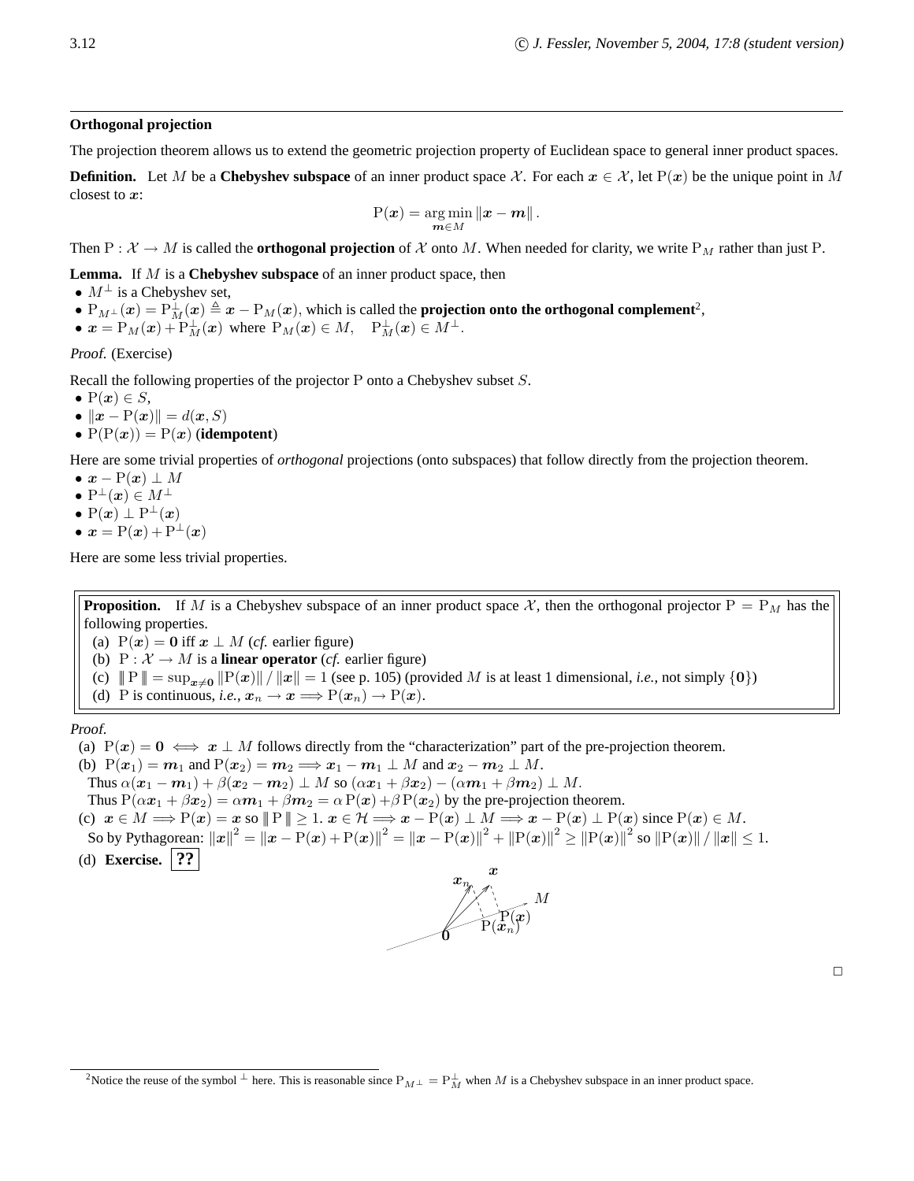#### **Orthogonal projection**

The projection theorem allows us to extend the geometric projection property of Euclidean space to general inner product spaces.

**Definition.** Let M be a **Chebyshev subspace** of an inner product space X. For each  $x \in \mathcal{X}$ , let P(x) be the unique point in M closest to x:

$$
P(\boldsymbol{x}) = \argmin_{\boldsymbol{m} \in M} \|\boldsymbol{x} - \boldsymbol{m}\|.
$$

Then P :  $X \to M$  is called the **orthogonal projection** of X onto M. When needed for clarity, we write P<sub>M</sub> rather than just P.

**Lemma.** If M is a **Chebyshev subspace** of an inner product space, then

- $M^{\perp}$  is a Chebyshev set,
- $P_{M^{\perp}}(x) = P^{\perp}_{M}(x) \triangleq x P_{M}(x)$ , which is called the **projection onto the orthogonal complement**<sup>2</sup>,

• 
$$
x = P_M(x) + P_M^{\perp}(x)
$$
 where  $P_M(x) \in M$ ,  $P_M^{\perp}(x) \in M^{\perp}$ .

Proof. (Exercise)

Recall the following properties of the projector P onto a Chebyshev subset S.

- $P(x) \in S$ ,
- $\|\boldsymbol{x} \mathrm{P}(\boldsymbol{x})\| = d(\boldsymbol{x}, S)$
- $P(P(x)) = P(x)$  (**idempotent**)

Here are some trivial properties of *orthogonal* projections (onto subspaces) that follow directly from the projection theorem.

- $\bullet \; x P(x) \perp M$
- $\bullet$  P<sup> $\perp$ </sup>(*x*)  $\in$  *M*<sup> $\perp$ </sup>
- P $(x) \perp P^{\perp}(x)$
- $x = P(x) + P^{\perp}(x)$

Here are some less trivial properties.

**Proposition.** If M is a Chebyshev subspace of an inner product space X, then the orthogonal projector  $P = P_M$  has the following properties.

(a)  $P(x) = 0$  iff  $x \perp M$  (*cf.* earlier figure)

(b)  $P : \mathcal{X} \to M$  is a **linear operator** (*cf.* earlier figure)

- (c)  $||P|| = \sup_{x\neq 0} ||P(x)|| / ||x|| = 1$  (see p. 105) (provided M is at least 1 dimensional, *i.e.*, not simply  $\{0\}$ )
- (d) P is continuous, *i.e.*,  $x_n \to x \Longrightarrow P(x_n) \to P(x)$ .

Proof.

- (a)  $P(x) = 0 \iff x \perp M$  follows directly from the "characterization" part of the pre-projection theorem.
- (b)  $P(x_1) = m_1$  and  $P(x_2) = m_2 \Longrightarrow x_1 m_1 \perp M$  and  $x_2 m_2 \perp M$ .
- Thus  $\alpha(\mathbf{x}_1 \mathbf{m}_1) + \beta(\mathbf{x}_2 \mathbf{m}_2) \perp M$  so  $(\alpha \mathbf{x}_1 + \beta \mathbf{x}_2) (\alpha \mathbf{m}_1 + \beta \mathbf{m}_2) \perp M$ .

Thus  $P(\alpha x_1 + \beta x_2) = \alpha m_1 + \beta m_2 = \alpha P(x) + \beta P(x_2)$  by the pre-projection theorem.

- (c)  $x \in M \Longrightarrow P(x) = x$  so  $||P|| \ge 1$ .  $x \in H \Longrightarrow x P(x) \perp M \Longrightarrow x P(x) \perp P(x)$  since  $P(x) \in M$ .
- So by Pythagorean:  $\left\| \boldsymbol{x} \right\|^{2} = \left\| \boldsymbol{x} \text{P}(\boldsymbol{x}) + \text{P}(\boldsymbol{x}) \right\|^{2} = \left\| \boldsymbol{x} \text{P}(\boldsymbol{x}) \right\|^{2} + \left\| \text{P}(\boldsymbol{x}) \right\|^{2} \geq \left\| \text{P}(\boldsymbol{x}) \right\|^{2}$  so  $\left\| \text{P}(\boldsymbol{x}) \right\| / \left\| \boldsymbol{x} \right\| \leq 1$ .
- (d) **Exercise. ??**



<sup>&</sup>lt;sup>2</sup>Notice the reuse of the symbol  $\perp$  here. This is reasonable since  $P_{M^{\perp}} = P_{M}^{\perp}$  when M is a Chebyshev subspace in an inner product space.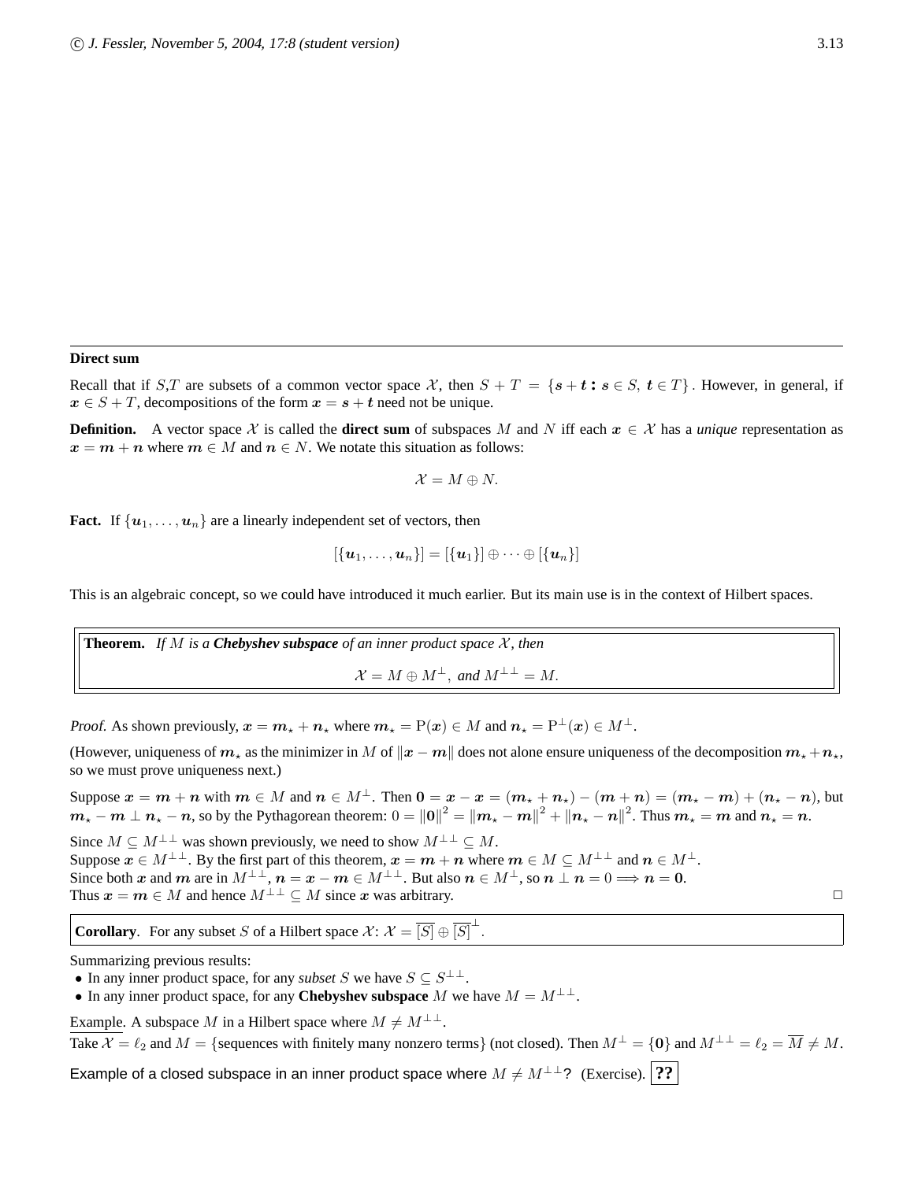#### **Direct sum**

Recall that if S,T are subsets of a common vector space X, then  $S + T = \{s + t : s \in S, t \in T\}$ . However, in general, if  $x \in S + T$ , decompositions of the form  $x = s + t$  need not be unique.

**Definition.** A vector space X is called the **direct sum** of subspaces M and N iff each  $x \in \mathcal{X}$  has a *unique* representation as  $x = m + n$  where  $m \in M$  and  $n \in N$ . We notate this situation as follows:

$$
\mathcal{X}=M\oplus N.
$$

**Fact.** If  $\{u_1, \ldots, u_n\}$  are a linearly independent set of vectors, then

$$
[\{\boldsymbol{u}_1,\ldots,\boldsymbol{u}_n\}]=[\{\boldsymbol{u}_1\}]\oplus\cdots\oplus[\{\boldsymbol{u}_n\}]
$$

This is an algebraic concept, so we could have introduced it much earlier. But its main use is in the context of Hilbert spaces.

**Theorem.** If M is a **Chebyshev subspace** of an inner product space  $\mathcal{X}$ , then  $\mathcal{X} = M \oplus M^{\perp}$ , and  $M^{\perp \perp} = M$ .

Proof. As shown previously,  $x = m_x + n_x$  where  $m_x = P(x) \in M$  and  $n_x = P^{\perp}(x) \in M^{\perp}$ .

(However, uniqueness of  $m<sub>\star</sub>$  as the minimizer in M of  $||x - m||$  does not alone ensure uniqueness of the decomposition  $m<sub>\star</sub> + n<sub>\star</sub>$ , so we must prove uniqueness next.)

Suppose  $x = m + n$  with  $m \in M$  and  $n \in M^{\perp}$ . Then  $0 = x - x = (m_{\star} + n_{\star}) - (m + n) = (m_{\star} - m) + (n_{\star} - n)$ , but  $m_{\star}-m\perp n_{\star}-n$ , so by the Pythagorean theorem:  $0=\Vert 0\Vert^2=\Vert m_{\star}-m\Vert^2+\Vert n_{\star}-n\Vert^2$ . Thus  $m_{\star}=m$  and  $n_{\star}=n$ . Since  $M \subseteq M^{\perp \perp}$  was shown previously, we need to show  $M^{\perp \perp} \subseteq M$ . Suppose  $x \in M^{\perp \perp}$ . By the first part of this theorem,  $x = m + n$  where  $m \in M \subseteq M^{\perp \perp}$  and  $n \in M^{\perp}$ . Since both x and m are in  $M^{\perp \perp}$ ,  $n = x - m \in M^{\perp \perp}$ . But also  $n \in M^{\perp}$ , so  $n \perp n = 0 \Longrightarrow n = 0$ . Thus  $x = m \in M$  and hence  $M^{\perp \perp} \subset M$  since x was arbitrary.

**Corollary.** For any subset S of a Hilbert space  $\mathcal{X}$ :  $\mathcal{X} = \overline{[S]} \oplus \overline{[S]}^{\perp}$ .

Summarizing previous results:

• In any inner product space, for any *subset* S we have  $S \subseteq S^{\perp \perp}$ .

• In any inner product space, for any **Chebyshev subspace** M we have  $M = M^{\perp \perp}$ .

Example. A subspace M in a Hilbert space where  $M \neq M^{\perp \perp}$ .

Take  $\mathcal{X} = \ell_2$  and  $M = \{$  sequences with finitely many nonzero terms} (not closed). Then  $M^{\perp} = \{0\}$  and  $M^{\perp \perp} = \ell_2 = \overline{M} \neq M$ .

Example of a closed subspace in an inner product space where  $M \neq M^{\perp \perp}$ ? (Exercise). **??**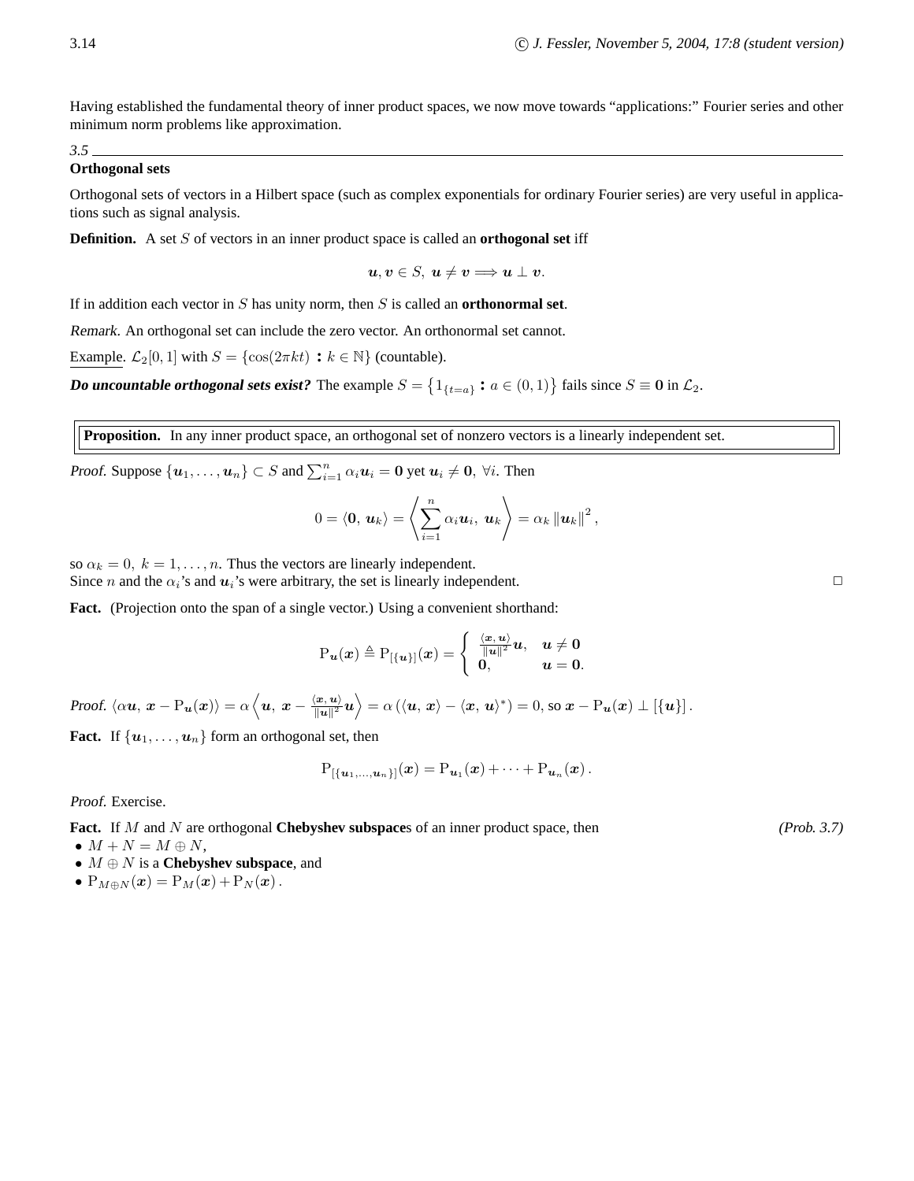Having established the fundamental theory of inner product spaces, we now move towards "applications:" Fourier series and other minimum norm problems like approximation.

#### *3.5* **Orthogonal sets**

Orthogonal sets of vectors in a Hilbert space (such as complex exponentials for ordinary Fourier series) are very useful in applications such as signal analysis.

**Definition.** A set S of vectors in an inner product space is called an **orthogonal set** iff

$$
u, v \in S, u \neq v \Longrightarrow u \perp v.
$$

If in addition each vector in S has unity norm, then S is called an **orthonormal set**.

Remark. An orthogonal set can include the zero vector. An orthonormal set cannot.

Example.  $\mathcal{L}_2[0,1]$  with  $S = \{\cos(2\pi kt) : k \in \mathbb{N}\}\$  (countable).

**Do uncountable** orthogonal sets exist? The example  $S = \{1_{\{t=a\}} : a \in (0,1)\}$  fails since  $S \equiv 0$  in  $\mathcal{L}_2$ .

**Proposition.** In any inner product space, an orthogonal set of nonzero vectors is a linearly independent set.

Proof. Suppose  $\{u_1, \ldots, u_n\} \subset S$  and  $\sum_{i=1}^n \alpha_i u_i = 0$  yet  $u_i \neq 0$ ,  $\forall i$ . Then

$$
0 = \langle \mathbf{0}, \, \boldsymbol{u}_k \rangle = \left\langle \sum_{i=1}^n \alpha_i \boldsymbol{u}_i, \, \boldsymbol{u}_k \right\rangle = \alpha_k \left\| \boldsymbol{u}_k \right\|^2,
$$

so  $\alpha_k = 0, k = 1, \ldots, n$ . Thus the vectors are linearly independent. Since *n* and the  $\alpha_i$ 's and  $u_i$ 's were arbitrary, the set is linearly independent.

**Fact.** (Projection onto the span of a single vector.) Using a convenient shorthand:

$$
\mathrm{P}_{\boldsymbol{u}}(\boldsymbol{x}) \triangleq \mathrm{P}_{[\{\boldsymbol{u}\}]}(\boldsymbol{x}) = \begin{cases} \frac{\langle \boldsymbol{x}, \boldsymbol{u} \rangle}{\|\boldsymbol{u}\|^2} \boldsymbol{u}, & \boldsymbol{u} \neq \boldsymbol{0} \\ \boldsymbol{0}, & \boldsymbol{u} = \boldsymbol{0}. \end{cases}
$$

Proof.  $\langle \alpha \boldsymbol{u},\, \boldsymbol{x} - \mathrm{P}_{\boldsymbol{u}}(\boldsymbol{x}) \rangle = \alpha \left\langle \boldsymbol{u},\, \boldsymbol{x} - \frac{\langle \boldsymbol{x},\boldsymbol{u} \rangle}{\|\boldsymbol{u}\|^2} \right\rangle$  $\overline{\|\bm{u}\|^2}\bm{u}\Bigr\rangle = \alpha\left(\langle\bm{u},\,\bm{x}\rangle - \langle\bm{x},\,\bm{u}\rangle^*\right) = 0\text{, so }\bm{x} - \text{P}_{\bm{u}}(\bm{x})\perp \left[\{\bm{u}\}\right].$ 

**Fact.** If  $\{u_1, \ldots, u_n\}$  form an orthogonal set, then

$$
P_{[\{\mathbf{u}_1,\ldots,\mathbf{u}_n\}]}(\mathbf{x})=P_{\mathbf{u}_1}(\mathbf{x})+\cdots+P_{\mathbf{u}_n}(\mathbf{x}).
$$

Proof. Exercise.

**Fact.** If M and N are orthogonal **Chebyshev subspace**s of an inner product space, then *(Prob. 3.7)* 

- $M + N = M \oplus N$ ,
- M ⊕ N is a **Chebyshev subspace**, and
- $P_{M\oplus N}(\boldsymbol{x}) = P_M(\boldsymbol{x}) + P_N(\boldsymbol{x})$ .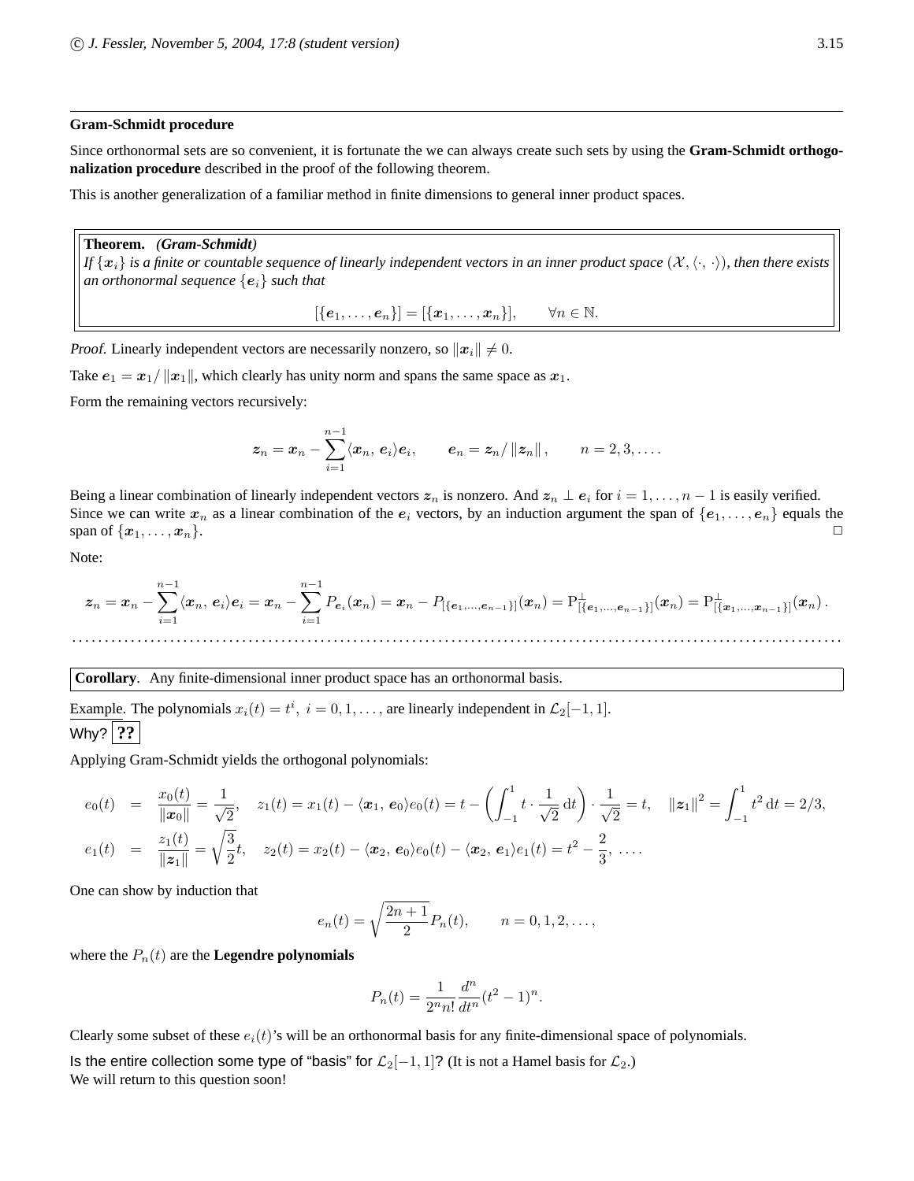#### **Gram-Schmidt procedure**

Since orthonormal sets are so convenient, it is fortunate the we can always create such sets by using the **Gram-Schmidt orthogonalization procedure** described in the proof of the following theorem.

This is another generalization of a familiar method in finite dimensions to general inner product spaces.

#### **Theorem.** *(Gram-Schmidt)*

*If*  $\{x_i\}$  *is a finite or countable sequence of linearly independent vectors in an inner product space*  $(\mathcal{X}, \langle \cdot, \cdot \rangle)$ *, then there exists an orthonormal sequence*  $\{e_i\}$  *such that* 

 $[{e_1, \ldots, e_n}] = [{x_1, \ldots, x_n}], \quad \forall n \in \mathbb{N}.$ 

Proof. Linearly independent vectors are necessarily nonzero, so  $||x_i|| \neq 0$ .

Take  $e_1 = x_1 / ||x_1||$ , which clearly has unity norm and spans the same space as  $x_1$ .

Form the remaining vectors recursively:

$$
\boldsymbol{z}_n = \boldsymbol{x}_n - \sum_{i=1}^{n-1} \langle \boldsymbol{x}_n, \, \boldsymbol{e}_i \rangle \boldsymbol{e}_i, \qquad \boldsymbol{e}_n = \boldsymbol{z}_n / \left\| \boldsymbol{z}_n \right\|, \qquad n = 2, 3, \ldots.
$$

Being a linear combination of linearly independent vectors  $z_n$  is nonzero. And  $z_n \perp e_i$  for  $i = 1, \ldots, n - 1$  is easily verified. Since we can write  $x_n$  as a linear combination of the  $e_i$  vectors, by an induction argument the span of  $\{e_1, \ldots, e_n\}$  equals the span of  $\{x_1, \ldots, x_n\}$ . span of  $\{x_1, \ldots, x_n\}$ .

Note:

$$
\boldsymbol{z}_n = \boldsymbol{x}_n - \sum_{i=1}^{n-1} \langle \boldsymbol{x}_n, \, \boldsymbol{e}_i \rangle \boldsymbol{e}_i = \boldsymbol{x}_n - \sum_{i=1}^{n-1} P_{\boldsymbol{e}_i}(\boldsymbol{x}_n) = \boldsymbol{x}_n - P_{[\{\boldsymbol{e}_1, ..., \boldsymbol{e}_{n-1}\}]}(\boldsymbol{x}_n) = P_{[\{\boldsymbol{e}_1, ..., \boldsymbol{e}_{n-1}\}]}^\perp(\boldsymbol{x}_n) = P_{[\{\boldsymbol{x}_1, ..., \boldsymbol{x}_{n-1}\}]}^\perp(\boldsymbol{x}_n) \, .
$$

**Corollary**. Any finite-dimensional inner product space has an orthonormal basis.

Example. The polynomials  $x_i(t) = t^i$ ,  $i = 0, 1, \ldots$ , are linearly independent in  $\mathcal{L}_2[-1, 1]$ . Why? **??**

Applying Gram-Schmidt yields the orthogonal polynomials:

$$
e_0(t) = \frac{x_0(t)}{\|\mathbf{x}_0\|} = \frac{1}{\sqrt{2}}, \quad z_1(t) = x_1(t) - \langle \mathbf{x}_1, \mathbf{e}_0 \rangle e_0(t) = t - \left( \int_{-1}^1 t \cdot \frac{1}{\sqrt{2}} dt \right) \cdot \frac{1}{\sqrt{2}} = t, \quad \|\mathbf{z}_1\|^2 = \int_{-1}^1 t^2 dt = 2/3,
$$
  

$$
e_1(t) = \frac{z_1(t)}{\|\mathbf{z}_1\|} = \sqrt{\frac{3}{2}}t, \quad z_2(t) = x_2(t) - \langle \mathbf{x}_2, \mathbf{e}_0 \rangle e_0(t) - \langle \mathbf{x}_2, \mathbf{e}_1 \rangle e_1(t) = t^2 - \frac{2}{3}, \dots.
$$

One can show by induction that

$$
e_n(t) = \sqrt{\frac{2n+1}{2}} P_n(t),
$$
  $n = 0, 1, 2, ...$ ,

where the  $P_n(t)$  are the **Legendre polynomials** 

$$
P_n(t) = \frac{1}{2^n n!} \frac{d^n}{dt^n} (t^2 - 1)^n.
$$

Clearly some subset of these  $e_i(t)$ 's will be an orthonormal basis for any finite-dimensional space of polynomials.

Is the entire collection some type of "basis" for  $\mathcal{L}_2[-1,1]$ ? (It is not a Hamel basis for  $\mathcal{L}_2$ .) We will return to this question soon!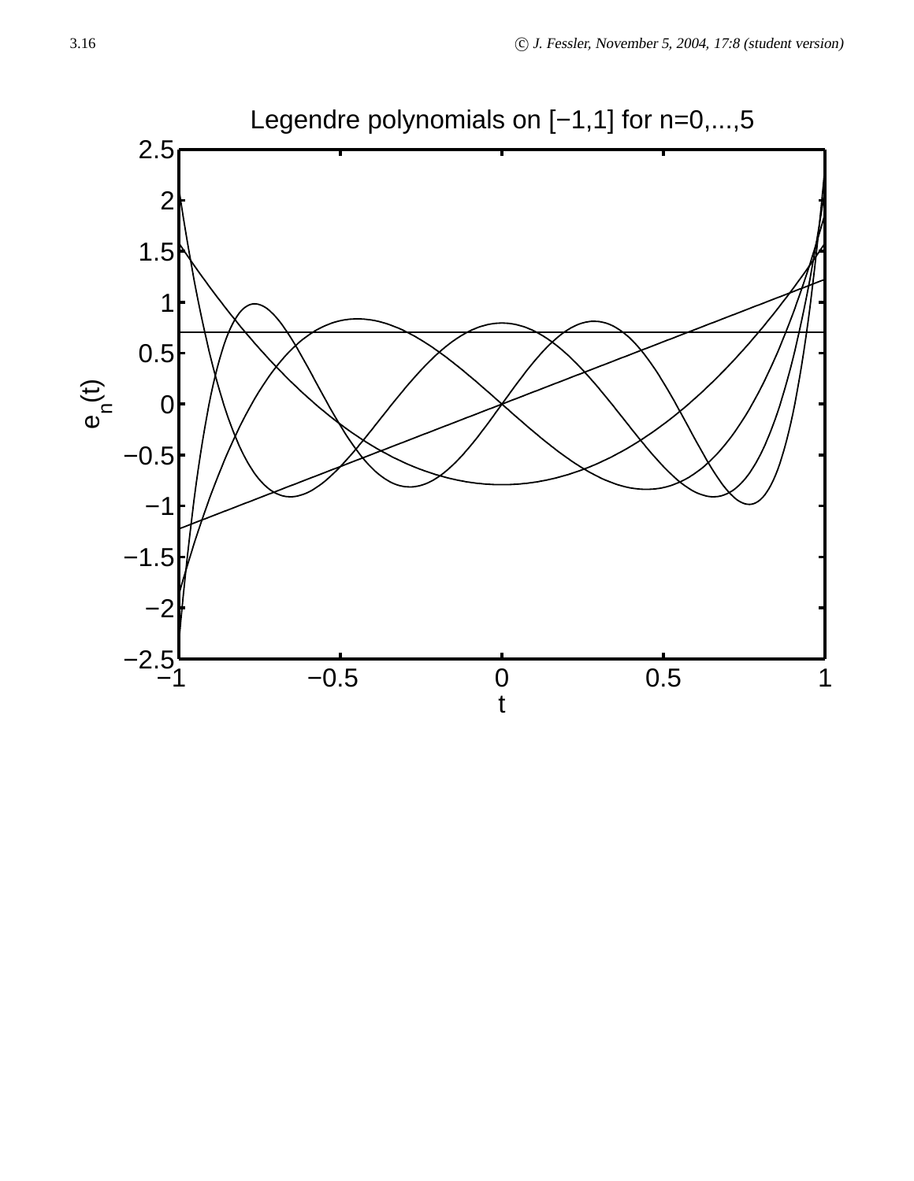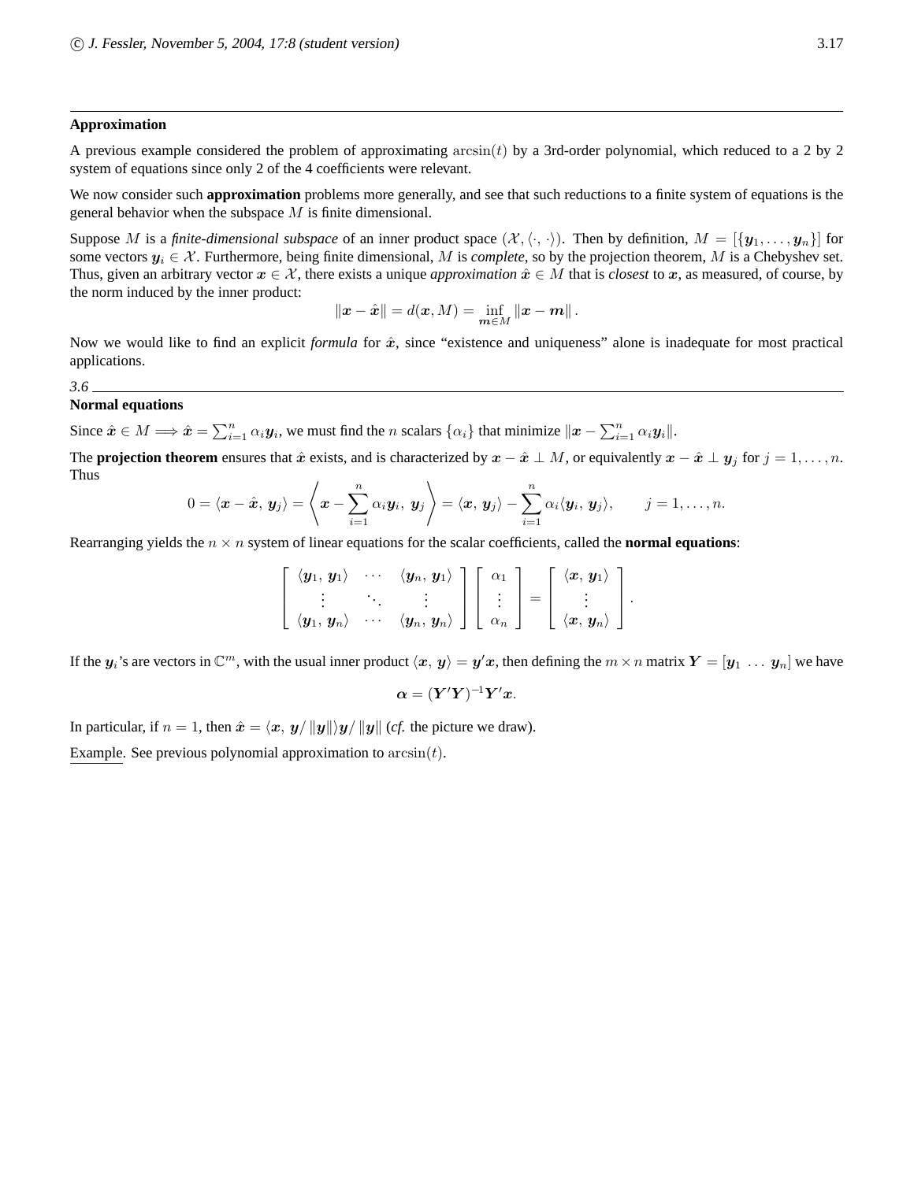#### **Approximation**

A previous example considered the problem of approximating  $arcsin(t)$  by a 3rd-order polynomial, which reduced to a 2 by 2 system of equations since only 2 of the 4 coefficients were relevant.

We now consider such **approximation** problems more generally, and see that such reductions to a finite system of equations is the general behavior when the subspace  $M$  is finite dimensional.

Suppose M is a *finite-dimensional subspace* of an inner product space  $(X, \langle \cdot, \cdot \rangle)$ . Then by definition,  $M = [{\bf y}_1, \dots, {\bf y}_n]$  for some vectors  $y_i \in \mathcal{X}$ . Furthermore, being finite dimensional, M is *complete*, so by the projection theorem, M is a Chebyshev set. Thus, given an arbitrary vector  $x \in \mathcal{X}$ , there exists a unique *approximation*  $\hat{x} \in M$  that is *closest* to x, as measured, of course, by the norm induced by the inner product:

$$
\|\bm{x} - \hat{\bm{x}}\| = d(\bm{x}, M) = \inf_{\bm{m} \in M} \|\bm{x} - \bm{m}\|.
$$

Now we would like to find an explicit *formula* for  $\hat{x}$ , since "existence and uniqueness" alone is inadequate for most practical applications.

#### *3.6* **Normal equations**

Since  $\hat{x} \in M \Longrightarrow \hat{x} = \sum_{i=1}^n \alpha_i y_i$ , we must find the *n* scalars  $\{\alpha_i\}$  that minimize  $\|\mathbf{x} - \sum_{i=1}^n \alpha_i y_i\|$ .

The **projection theorem** ensures that  $\hat{x}$  exists, and is characterized by  $x - \hat{x} \perp M$ , or equivalently  $x - \hat{x} \perp y_j$  for  $j = 1, ..., n$ . Thus

$$
0=\langle \boldsymbol{x}-\hat{\boldsymbol{x}},\,\boldsymbol{y}_j\rangle=\left\langle \boldsymbol{x}-\sum_{i=1}^n\alpha_i\boldsymbol{y}_i,\,\boldsymbol{y}_j\right\rangle=\langle \boldsymbol{x},\,\boldsymbol{y}_j\rangle-\sum_{i=1}^n\alpha_i\langle \boldsymbol{y}_i,\,\boldsymbol{y}_j\rangle,\qquad j=1,\ldots,n.
$$

Rearranging yields the  $n \times n$  system of linear equations for the scalar coefficients, called the **normal equations**:

$$
\left[\begin{array}{ccc} \langle y_1, y_1 \rangle & \cdots & \langle y_n, y_1 \rangle \\ \vdots & \ddots & \vdots \\ \langle y_1, y_n \rangle & \cdots & \langle y_n, y_n \rangle \end{array}\right] \left[\begin{array}{c} \alpha_1 \\ \vdots \\ \alpha_n \end{array}\right] = \left[\begin{array}{c} \langle x, y_1 \rangle \\ \vdots \\ \langle x, y_n \rangle \end{array}\right].
$$

If the  $y_i$ 's are vectors in  $\mathbb{C}^m$ , with the usual inner product  $\langle x, y \rangle = y'x$ , then defining the  $m \times n$  matrix  $Y = [y_1 \dots y_n]$  we have

$$
\boldsymbol{\alpha} = (\boldsymbol{Y}'\boldsymbol{Y})^{-1}\boldsymbol{Y}'\boldsymbol{x}.
$$

In particular, if  $n = 1$ , then  $\hat{x} = \langle x, y \rangle ||y|| \rangle y / ||y||$  (*cf.* the picture we draw).

Example. See previous polynomial approximation to  $arcsin(t)$ .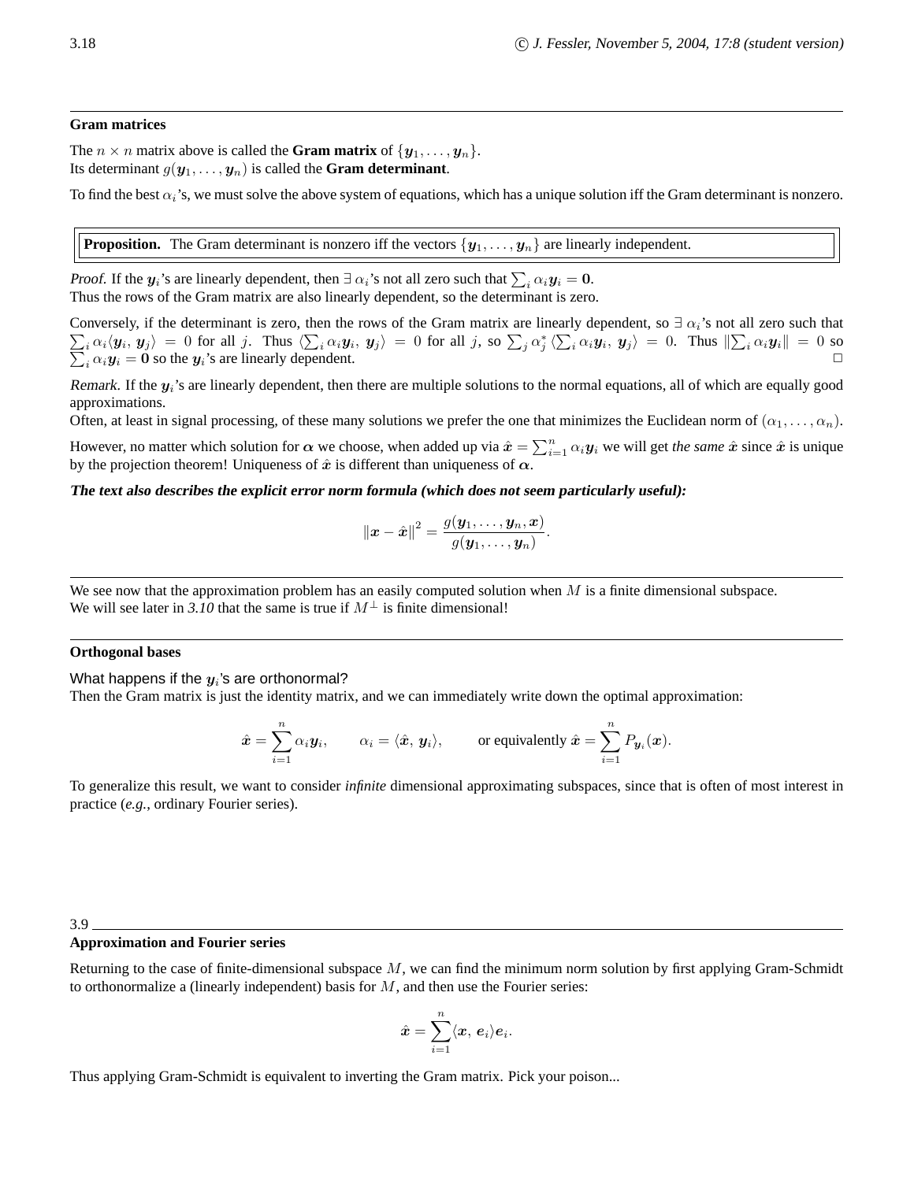#### **Gram matrices**

The  $n \times n$  matrix above is called the **Gram matrix** of  $\{y_1, \ldots, y_n\}$ . Its determinant  $g(\mathbf{y}_1, \ldots, \mathbf{y}_n)$  is called the **Gram determinant**.

To find the best  $\alpha_i$ 's, we must solve the above system of equations, which has a unique solution iff the Gram determinant is nonzero.

**Proposition.** The Gram determinant is nonzero iff the vectors  $\{y_1, \ldots, y_n\}$  are linearly independent.

Proof. If the  $y_i$ 's are linearly dependent, then  $\exists \alpha_i$ 's not all zero such that  $\sum_i \alpha_i y_i = 0$ . Thus the rows of the Gram matrix are also linearly dependent, so the determinant is zero.

Conversely, if the determinant is zero, then the rows of the Gram matrix are linearly dependent, so  $\exists \alpha_i$ 's not all zero such that  $\sum_i \alpha_i \langle \mathbf{y}_i, \mathbf{y}_j \rangle = 0$  for all j. Thus  $\langle \sum_i \alpha_i \mathbf{y}_i, \mathbf{y}_j \rangle = 0$  for all j, so  $\sum_j \alpha_j^* \langle \sum_i \alpha_i \mathbf{y}_i, \mathbf{y}_j \rangle = 0$ . Thus  $\|\sum_i \alpha_i \mathbf{y}_i\|$  $\sum_i \alpha_i \langle \mathbf{y}_i, \mathbf{y}_j \rangle = 0$  for all j. Thus  $\langle \sum_i \alpha_i \mathbf{y}_i, \mathbf{y}_j \rangle = 0$  for all j, so  $\sum_j \alpha_j^* \langle \sum_i \alpha_i \mathbf{y}_i, \mathbf{y}_j \rangle = 0$ . Thus  $\|\sum_i \alpha_i \mathbf{y}_i\| = 0$  so  $\sum_i \alpha_i \mathbf{y}_i = \mathbf{0}$  so the  $\mathbf{y}_i$ 's are linearly depe  $i_i \alpha_i y_i = 0$  so the  $y_i$ 's are linearly dependent.

Remark. If the  $y_i$ 's are linearly dependent, then there are multiple solutions to the normal equations, all of which are equally good approximations.

Often, at least in signal processing, of these many solutions we prefer the one that minimizes the Euclidean norm of  $(\alpha_1, \dots, \alpha_n)$ .

However, no matter which solution for  $\alpha$  we choose, when added up via  $\hat{x} = \sum_{i=1}^n \alpha_i y_i$  we will get *the same*  $\hat{x}$  since  $\hat{x}$  is unique by the projection theorem! Uniqueness of  $\hat{x}$  is different than uniqueness of  $\alpha$ .

#### The text also describes the explicit error norm formula (which does not seem particularly useful):

$$
\|\boldsymbol{x}-\hat{\boldsymbol{x}}\|^2=\frac{g(\boldsymbol{y}_1,\dots,\boldsymbol{y}_n,\boldsymbol{x})}{g(\boldsymbol{y}_1,\dots,\boldsymbol{y}_n)}.
$$

We see now that the approximation problem has an easily computed solution when  $M$  is a finite dimensional subspace. We will see later in 3.10 that the same is true if  $M^{\perp}$  is finite dimensional!

#### **Orthogonal bases**

What happens if the  $\pmb{y}_i$ 's are orthonormal?

Then the Gram matrix is just the identity matrix, and we can immediately write down the optimal approximation:

$$
\hat{\boldsymbol{x}} = \sum_{i=1}^n \alpha_i \boldsymbol{y}_i, \qquad \alpha_i = \langle \hat{\boldsymbol{x}}, \boldsymbol{y}_i \rangle, \qquad \text{or equivalently } \hat{\boldsymbol{x}} = \sum_{i=1}^n P_{\boldsymbol{y}_i}(\boldsymbol{x}).
$$

To generalize this result, we want to consider *infinite* dimensional approximating subspaces, since that is often of most interest in practice (*e.g.*, ordinary Fourier series).

#### 3.9

#### **Approximation and Fourier series**

Returning to the case of finite-dimensional subspace  $M$ , we can find the minimum norm solution by first applying Gram-Schmidt to orthonormalize a (linearly independent) basis for  $M$ , and then use the Fourier series:

$$
\hat{\boldsymbol{x}} = \sum_{i=1}^n \langle \boldsymbol{x},\,\boldsymbol{e}_i\rangle \boldsymbol{e}_i.
$$

Thus applying Gram-Schmidt is equivalent to inverting the Gram matrix. Pick your poison...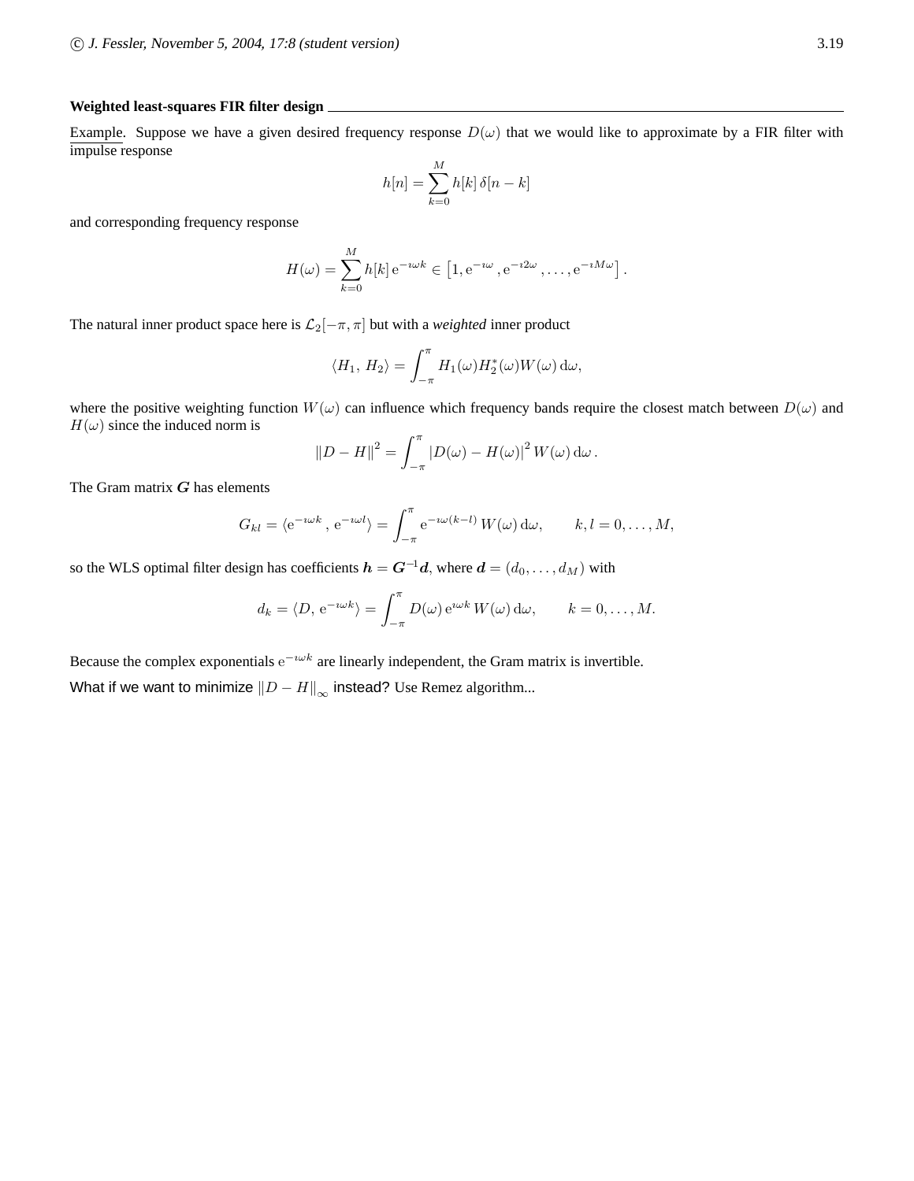#### **Weighted least-squares FIR filter design**

Example. Suppose we have a given desired frequency response  $D(\omega)$  that we would like to approximate by a FIR filter with impulse response

$$
h[n] = \sum_{k=0}^{M} h[k] \,\delta[n-k]
$$

and corresponding frequency response

$$
H(\omega) = \sum_{k=0}^{M} h[k] e^{-i\omega k} \in [1, e^{-i\omega}, e^{-i2\omega}, \dots, e^{-iM\omega}].
$$

The natural inner product space here is  $\mathcal{L}_2[-\pi, \pi]$  but with a *weighted* inner product

$$
\langle H_1, H_2 \rangle = \int_{-\pi}^{\pi} H_1(\omega) H_2^*(\omega) W(\omega) d\omega,
$$

where the positive weighting function  $W(\omega)$  can influence which frequency bands require the closest match between  $D(\omega)$  and  $H(\omega)$  since the induced norm is

$$
||D - H||^{2} = \int_{-\pi}^{\pi} |D(\omega) - H(\omega)|^{2} W(\omega) d\omega.
$$

The Gram matrix  $G$  has elements

$$
G_{kl} = \langle e^{-i\omega k}, e^{-i\omega l} \rangle = \int_{-\pi}^{\pi} e^{-i\omega (k-l)} W(\omega) d\omega, \qquad k, l = 0, \dots, M,
$$

so the WLS optimal filter design has coefficients  $h = G^{-1}d$ , where  $d = (d_0, \dots, d_M)$  with

$$
d_k = \langle D, e^{-i\omega k} \rangle = \int_{-\pi}^{\pi} D(\omega) e^{i\omega k} W(\omega) d\omega, \qquad k = 0, \dots, M.
$$

Because the complex exponentials  $e^{-i\omega k}$  are linearly independent, the Gram matrix is invertible. What if we want to minimize  $||D - H||_{\infty}$  instead? Use Remez algorithm...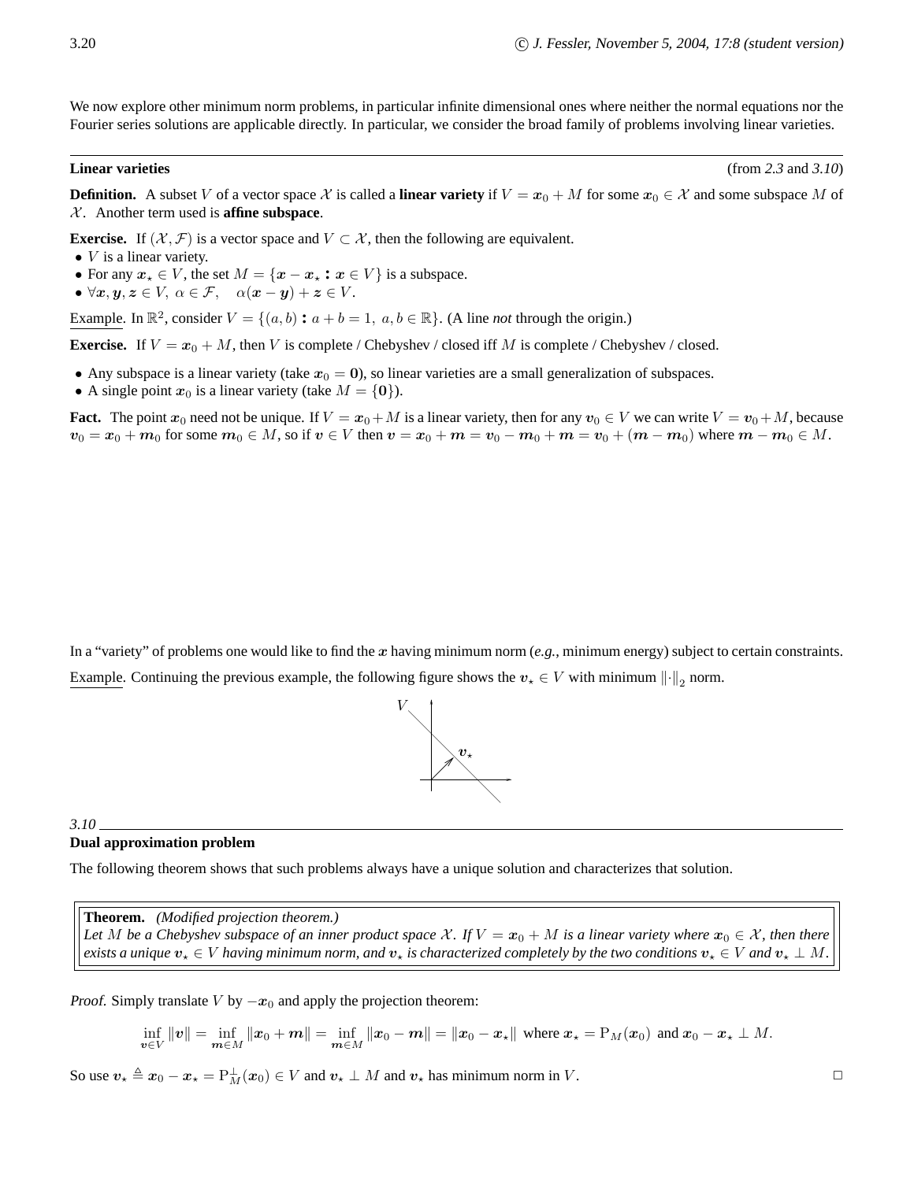We now explore other minimum norm problems, in particular infinite dimensional ones where neither the normal equations nor the Fourier series solutions are applicable directly. In particular, we consider the broad family of problems involving linear varieties.

**Linear varieties** (from *2.3* and *3.10*)

**Definition.** A subset V of a vector space X is called a **linear variety** if  $V = x_0 + M$  for some  $x_0 \in \mathcal{X}$  and some subspace M of  $X$ . Another term used is **affine subspace**.

**Exercise.** If  $(X, \mathcal{F})$  is a vector space and  $V \subset \mathcal{X}$ , then the following are equivalent.

- $\bullet$  *V* is a linear variety.
- For any  $x_* \in V$ , the set  $M = \{x x_* : x \in V\}$  is a subspace.
- $\forall x, y, z \in V, \ \alpha \in \mathcal{F}, \quad \alpha(x y) + z \in V.$

Example. In  $\mathbb{R}^2$ , consider  $V = \{(a, b) : a + b = 1, a, b \in \mathbb{R}\}$ . (A line *not* through the origin.)

**Exercise.** If  $V = x_0 + M$ , then V is complete / Chebyshev / closed iff M is complete / Chebyshev / closed.

- Any subspace is a linear variety (take  $x_0 = 0$ ), so linear varieties are a small generalization of subspaces.
- A single point  $x_0$  is a linear variety (take  $M = \{0\}$ ).

**Fact.** The point  $x_0$  need not be unique. If  $V = x_0 + M$  is a linear variety, then for any  $v_0 \in V$  we can write  $V = v_0 + M$ , because  $v_0 = x_0 + m_0$  for some  $m_0 \in M$ , so if  $v \in V$  then  $v = x_0 + m = v_0 - m_0 + m = v_0 + (m - m_0)$  where  $m - m_0 \in M$ .

In a "variety" of problems one would like to find the x having minimum norm  $(e.g.,$  minimum energy) subject to certain constraints. Example. Continuing the previous example, the following figure shows the  $v_* \in V$  with minimum  $\lVert \cdot \rVert_2$  norm.



#### *3.10*

#### **Dual approximation problem**

The following theorem shows that such problems always have a unique solution and characterizes that solution.

**Theorem.** *(Modified projection theorem.)*

*Let* M be a Chebyshev subspace of an inner product space X. If  $V = x_0 + M$  is a linear variety where  $x_0 \in X$ , then there *exists a unique*  $v_* \in V$  *having minimum norm, and*  $v_*$  *is characterized completely by the two conditions*  $v_* \in V$  *and*  $v_* \perp M$ .

Proof. Simply translate V by  $-x_0$  and apply the projection theorem:

$$
\inf_{v \in V} ||v|| = \inf_{m \in M} ||x_0 + m|| = \inf_{m \in M} ||x_0 - m|| = ||x_0 - x_*||
$$
 where  $x_* = P_M(x_0)$  and  $x_0 - x_* \perp M$ .

So use  $v_* \triangleq x_0 - x_* = P_M^{\perp}(x_0) \in V$  and  $v_* \perp M$  and  $v_*$  has minimum norm in V.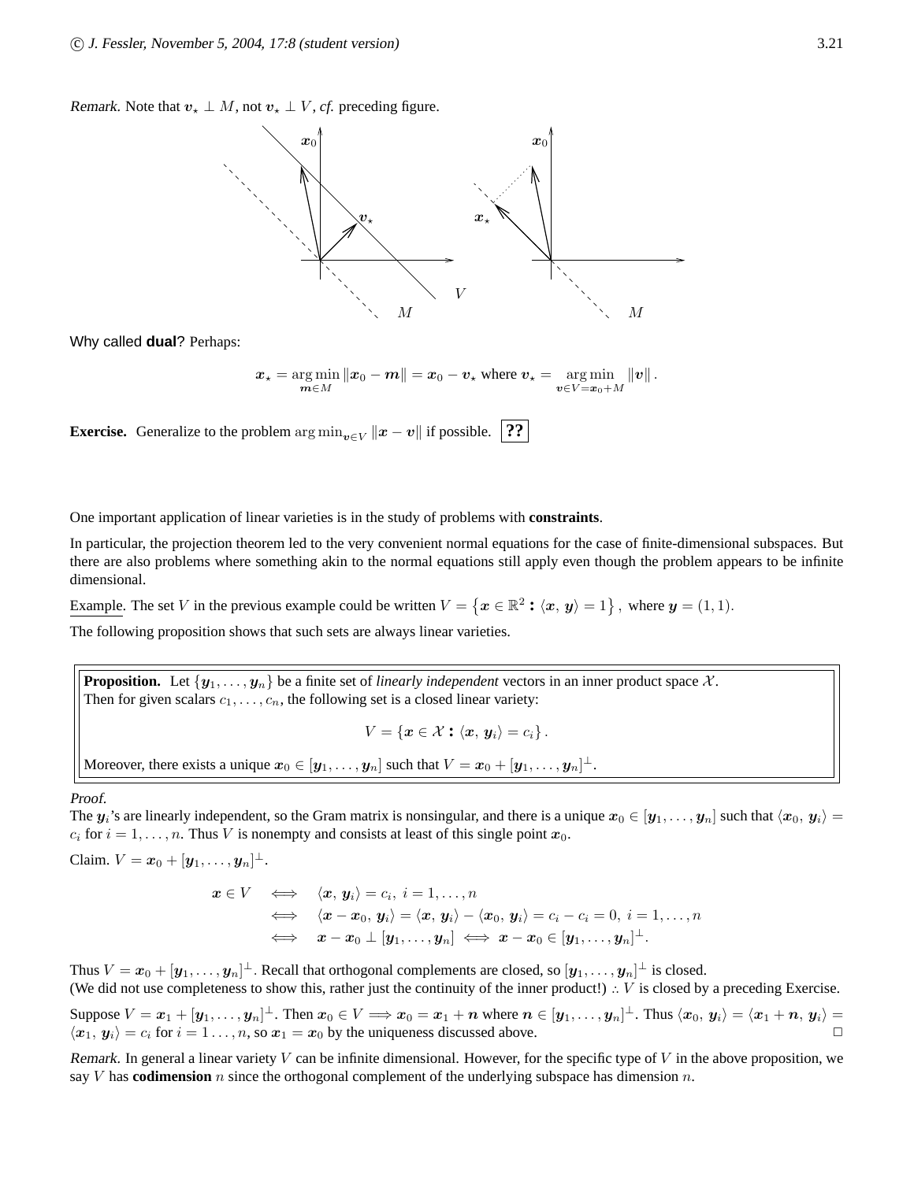Remark. Note that  $v_* \perp M$ , not  $v_* \perp V$ , *cf.* preceding figure.



Why called **dual**? Perhaps:

$$
x_{\star} = \underset{\boldsymbol{m}\in M}{\arg\min} \|x_0 - \boldsymbol{m}\| = x_0 - v_{\star} \text{ where } v_{\star} = \underset{\boldsymbol{v}\in V = x_0 + M}{\arg\min} \|v\|.
$$

**Exercise.** Generalize to the problem  $\arg \min_{v \in V} ||x - v||$  if possible. **??** 

One important application of linear varieties is in the study of problems with **constraints**.

In particular, the projection theorem led to the very convenient normal equations for the case of finite-dimensional subspaces. But there are also problems where something akin to the normal equations still apply even though the problem appears to be infinite dimensional.

Example. The set V in the previous example could be written  $V = \{x \in \mathbb{R}^2 : \langle x, y \rangle = 1\}$ , where  $y = (1, 1)$ .

The following proposition shows that such sets are always linear varieties.

**Proposition.** Let  $\{y_1, \ldots, y_n\}$  be a finite set of *linearly independent* vectors in an inner product space X. Then for given scalars  $c_1, \ldots, c_n$ , the following set is a closed linear variety:

 $V = \{x \in \mathcal{X} : \langle x, y_i \rangle = c_i\}.$ 

Moreover, there exists a unique  $\boldsymbol{x}_0\in[\boldsymbol{y}_1,\dots,\boldsymbol{y}_n]$  such that  $V=\boldsymbol{x}_0+[\boldsymbol{y}_1,\dots,\boldsymbol{y}_n]^\perp$ .

Proof.

The  $y_i$ 's are linearly independent, so the Gram matrix is nonsingular, and there is a unique  $x_0 \in [y_1, \ldots, y_n]$  such that  $\langle x_0, y_i \rangle =$  $c_i$  for  $i = 1, \ldots, n$ . Thus V is nonempty and consists at least of this single point  $x_0$ .

Claim.  $V = x_0 + [y_1, \ldots, y_n]^\perp$ .

$$
x \in V \iff \langle x, y_i \rangle = c_i, i = 1, ..., n
$$
  
\n
$$
\iff \langle x - x_0, y_i \rangle = \langle x, y_i \rangle - \langle x_0, y_i \rangle = c_i - c_i = 0, i = 1, ..., n
$$
  
\n
$$
\iff x - x_0 \perp [y_1, ..., y_n] \iff x - x_0 \in [y_1, ..., y_n]^{\perp}.
$$

Thus  $V = x_0 + [\bm{y}_1,\dots,\bm{y}_n]^\perp$ . Recall that orthogonal complements are closed, so  $[\bm{y}_1,\dots,\bm{y}_n]^\perp$  is closed. (We did not use completeness to show this, rather just the continuity of the inner product!)  $\therefore$  V is closed by a preceding Exercise.

Suppose  $V = x_1 + [y_1, \ldots, y_n]^\perp$ . Then  $x_0 \in V \implies x_0 = x_1 + n$  where  $n \in [y_1, \ldots, y_n]^\perp$ . Thus  $\langle x_0, y_i \rangle = \langle x_1 + n, y_i \rangle =$  $\langle x_1, y_i \rangle = c_i$  for  $i = 1 \dots, n$ , so  $x_1 = x_0$  by the uniqueness discussed above.

Remark. In general a linear variety  $V$  can be infinite dimensional. However, for the specific type of  $V$  in the above proposition, we say  $V$  has **codimension**  $n$  since the orthogonal complement of the underlying subspace has dimension  $n$ .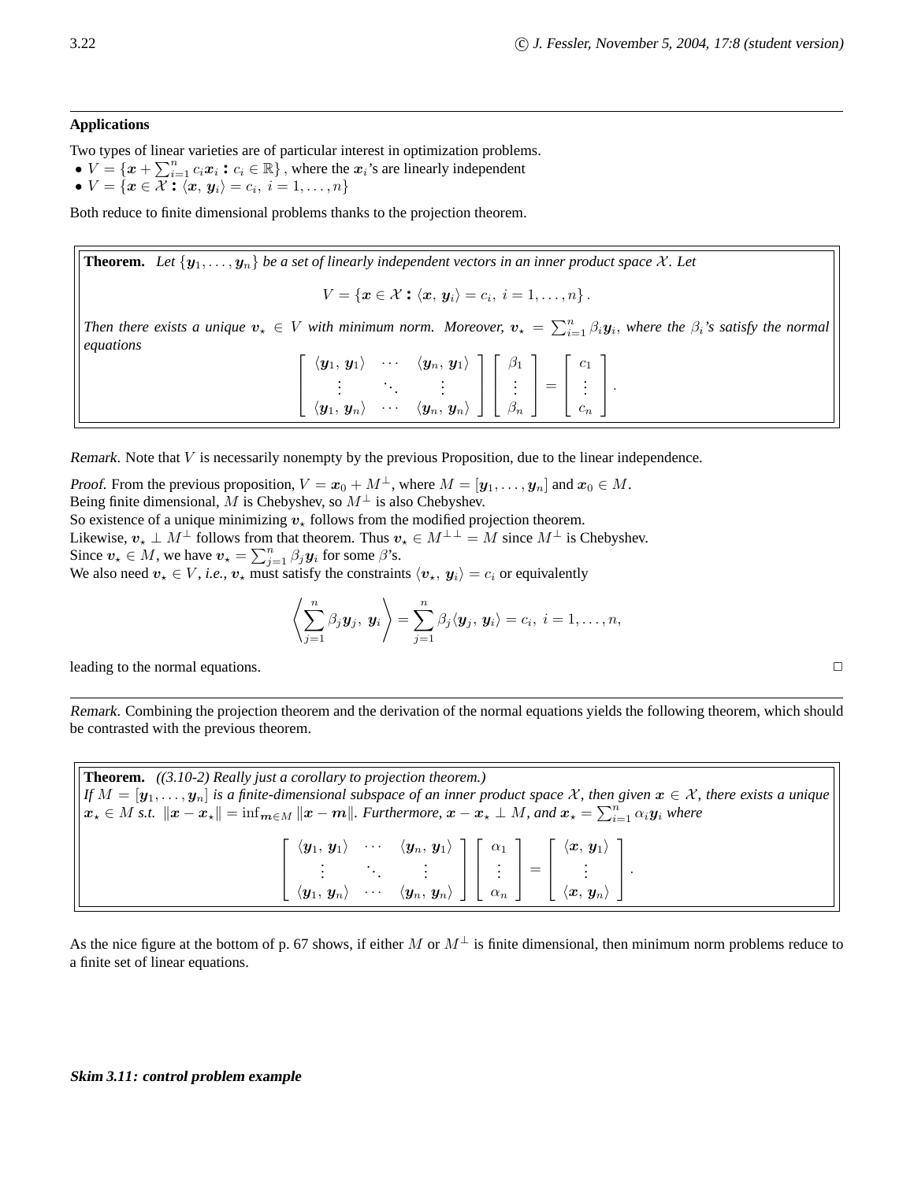#### **Applications**

Two types of linear varieties are of particular interest in optimization problems.

- $V = \{x + \sum_{i=1}^{n} c_i x_i : c_i \in \mathbb{R}\}\,$ , where the  $x_i$ 's are linearly independent
- $V = \{ \boldsymbol{x} \in \mathcal{X} : \langle \boldsymbol{x}, \boldsymbol{y}_i \rangle = c_i, i = 1, \dots, n \}$

Both reduce to finite dimensional problems thanks to the projection theorem.

**Theorem.** Let  $\{y_1, \ldots, y_n\}$  be a set of linearly independent vectors in an inner product space X. Let

$$
V = \{ \boldsymbol{x} \in \mathcal{X} : \langle \boldsymbol{x}, \boldsymbol{y}_i \rangle = c_i, i = 1, \ldots, n \}.
$$

*Then there exists a unique*  $v_* \in V$  *with minimum norm. Moreover,*  $v_* = \sum_{i=1}^n \beta_i y_i$ *, where the*  $\beta_i$ *'s satisfy the normal equations*

$$
\left[\begin{array}{ccc} \langle \mathbf{y}_1, \mathbf{y}_1 \rangle & \cdots & \langle \mathbf{y}_n, \mathbf{y}_1 \rangle \\ \vdots & \ddots & \vdots \\ \langle \mathbf{y}_1, \mathbf{y}_n \rangle & \cdots & \langle \mathbf{y}_n, \mathbf{y}_n \rangle \end{array}\right] \left[\begin{array}{c} \beta_1 \\ \vdots \\ \beta_n \end{array}\right] = \left[\begin{array}{c} c_1 \\ \vdots \\ c_n \end{array}\right].
$$

Remark. Note that V is necessarily nonempty by the previous Proposition, due to the linear independence.

Proof. From the previous proposition,  $V = x_0 + M^{\perp}$ , where  $M = [\mathbf{y}_1, \dots, \mathbf{y}_n]$  and  $x_0 \in M$ . Being finite dimensional, M is Chebyshev, so  $M^{\perp}$  is also Chebyshev.

So existence of a unique minimizing  $v_{+}$  follows from the modified projection theorem. Likewise,  $v_* \perp M^{\perp}$  follows from that theorem. Thus  $v_* \in M^{\perp \perp} = M$  since  $M^{\perp}$  is Chebyshev. Since  $v_* \in M$ , we have  $v_* = \sum_{j=1}^n \beta_j y_i$  for some  $\beta$ 's.

We also need  $v_* \in V$ , *i.e.*,  $v_*$  must satisfy the constraints  $\langle v_*, y_i \rangle = c_i$  or equivalently

$$
\left\langle \sum_{j=1}^n \beta_j \mathbf{y}_j, \mathbf{y}_i \right\rangle = \sum_{j=1}^n \beta_j \langle \mathbf{y}_j, \mathbf{y}_i \rangle = c_i, i = 1, \ldots, n,
$$

leading to the normal equations.  $\Box$ 

Remark. Combining the projection theorem and the derivation of the normal equations yields the following theorem, which should be contrasted with the previous theorem.

**Theorem.** *((3.10-2) Really just a corollary to projection theorem.) If*  $M = [\mathbf{y}_1,\ldots,\mathbf{y}_n]$  *is a finite-dimensional subspace of an inner product space* X, then given  $\mathbf{x} \in \mathcal{X}$ , there exists a unique  $\mathbf{x}_\star \in M$  *s.t.*  $\|\mathbf{x} - \mathbf{x}_\star\| = \inf_{\mathbf{m} \in M} \|\mathbf{x} - \mathbf{m}\|$ . Furthermore,  $\mathbf{x} - \mathbf{x}_\star \perp M$ , and  $\mathbf{x}_\star = \sum_{i=1}^n \alpha_i \mathbf{y}_i$  where  $\sqrt{ }$  $\Big\}$  $\langle \boldsymbol{y}_1,\, \boldsymbol{y}_1\rangle \qquad \cdots \quad \langle \boldsymbol{y}_n,\, \boldsymbol{y}_1\rangle \ \vdots \qquad \qquad \vdots$  $\langle \boldsymbol{y}_1, \, \boldsymbol{y}_n \rangle$  · · ·  $\langle \boldsymbol{y}_n, \, \boldsymbol{y}_n \rangle$ 1  $\Big\}$  $\sqrt{ }$  $\Big\}$  $\alpha_1$ *. . .*  $\alpha_n$ 1  $\Big| =$  $\lceil$  $\Big\}$  $\begin{array}{c}\left\langle \bm{x}, \, \bm{y}_1 \right\rangle \ \vdots \end{array}$  $\langle \bm{x}, \, \bm{y}_n \rangle$ 1  $\vert \cdot$ 

As the nice figure at the bottom of p. 67 shows, if either M or  $M^{\perp}$  is finite dimensional, then minimum norm problems reduce to a finite set of linear equations.

#### **Skim** *3.11***: control problem example**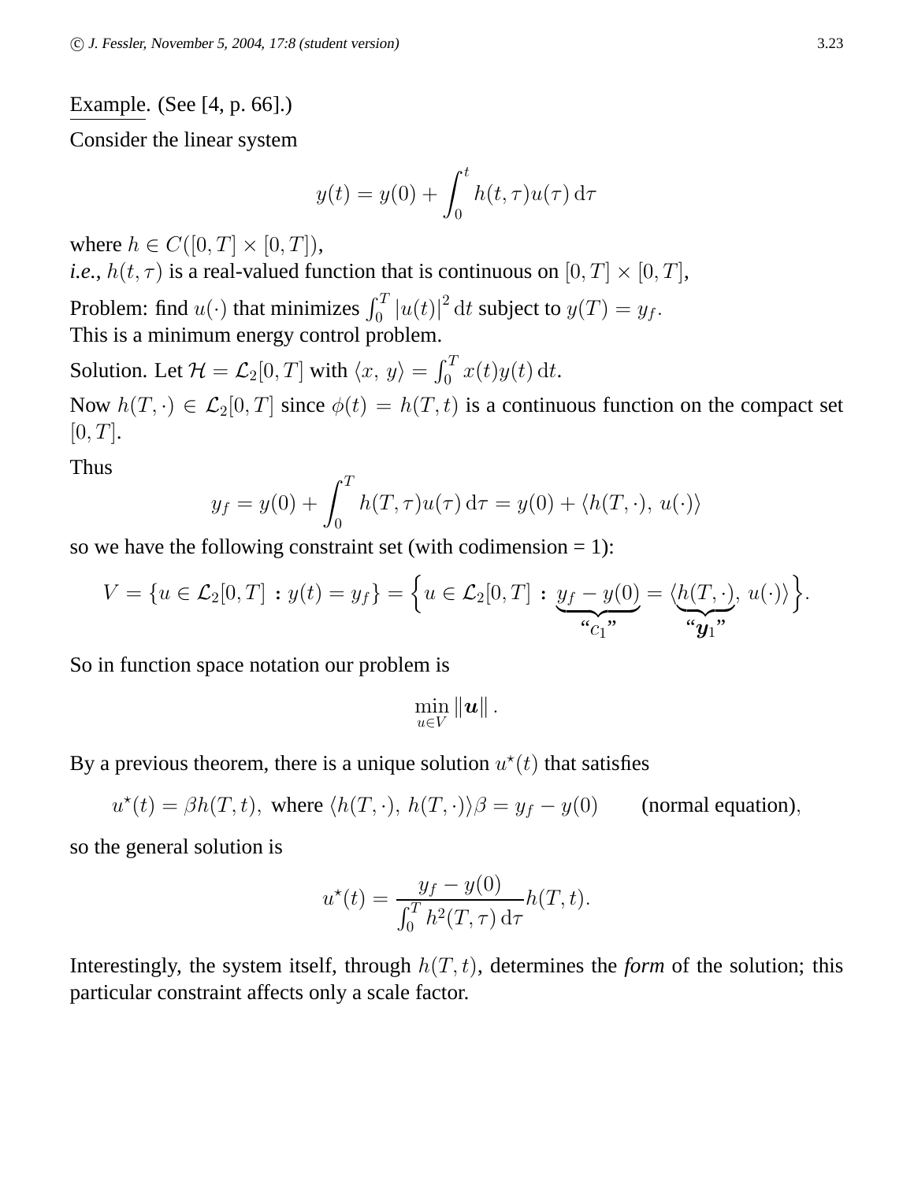# Example. (See [4, p. 66].)

Consider the linear system

$$
y(t) = y(0) + \int_0^t h(t, \tau) u(\tau) d\tau
$$

where  $h \in C([0, T] \times [0, T]),$ *i.e.*,  $h(t, \tau)$  is a real-valued function that is continuous on  $[0, T] \times [0, T]$ , Problem: find  $u(\cdot)$  that minimizes  $\int_0^T |u(t)|^2 dt$  subject to  $y(T) = y_f$ . This is a minimum energy control problem.

Solution. Let  $\mathcal{H} = \mathcal{L}_2[0, T]$  with  $\langle x, y \rangle = \int_0^T x(t)y(t) dt$ .

Now  $h(T, \cdot) \in \mathcal{L}_2[0,T]$  since  $\phi(t) = h(T, t)$  is a continuous function on the compact set  $[0, T]$ .

Thus

$$
y_f = y(0) + \int_0^T h(T,\tau)u(\tau) d\tau = y(0) + \langle h(T,\cdot), u(\cdot) \rangle
$$

so we have the following constraint set (with codimension  $= 1$ ):

$$
V = \{u \in \mathcal{L}_2[0,T] : y(t) = y_f\} = \Big\{u \in \mathcal{L}_2[0,T] : \underbrace{y_f - y(0)}_{\omega_{C_1}}, \underbrace{\omega_{C_1}, \omega_{C_2}}_{\omega_{C_1}}, u(\cdot)\Big\}.
$$

So in function space notation our problem is

$$
\min_{u\in V} \|\bm{u}\| \,.
$$

By a previous theorem, there is a unique solution  $u^*(t)$  that satisfies

$$
u^*(t) = \beta h(T, t)
$$
, where  $\langle h(T, \cdot), h(T, \cdot) \rangle \beta = y_f - y(0)$  (normal equation),

so the general solution is

$$
u^*(t) = \frac{y_f - y(0)}{\int_0^T h^2(T, \tau) d\tau} h(T, t).
$$

Interestingly, the system itself, through  $h(T, t)$ , determines the *form* of the solution; this particular constraint affects only a scale factor.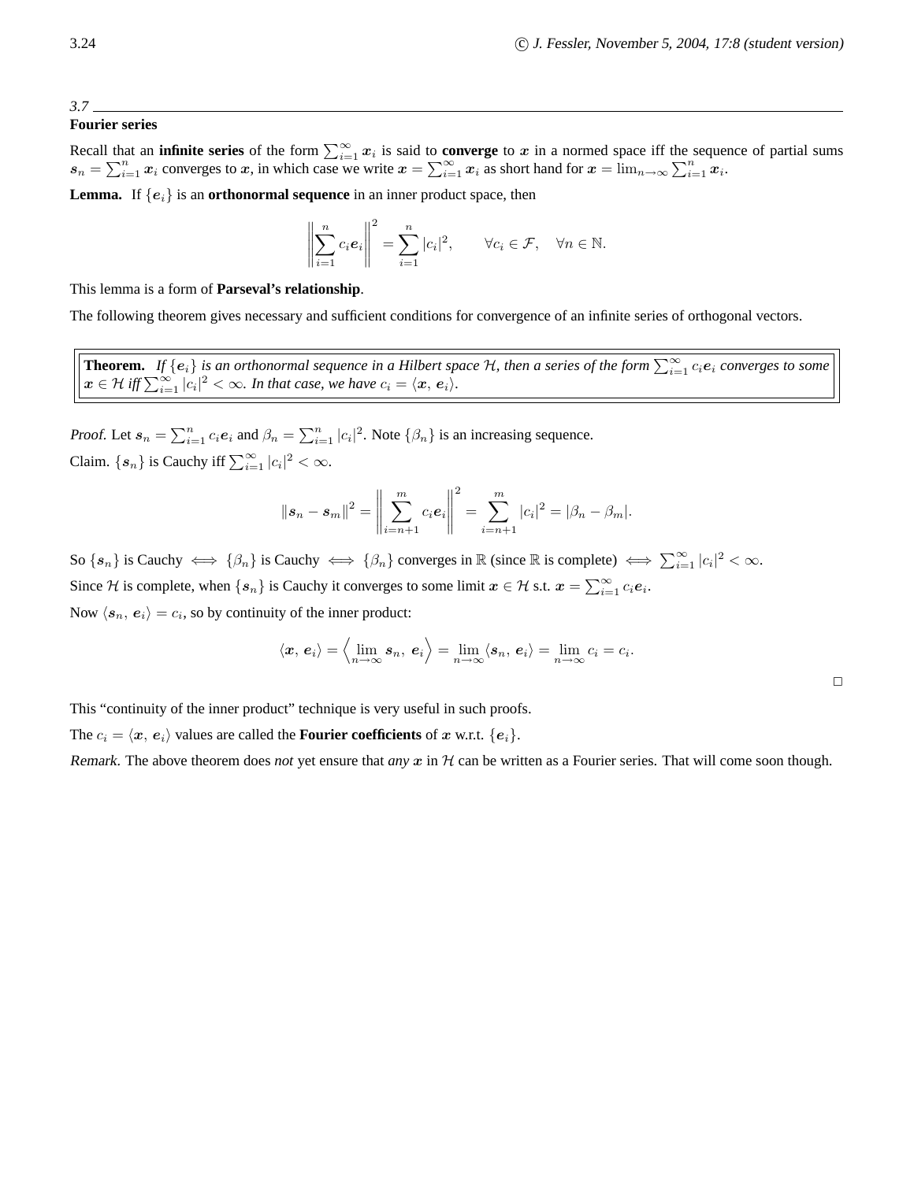$\Box$ 

### **Fourier series**

Recall that an **infinite series** of the form  $\sum_{i=1}^{\infty} x_i$  is said to **converge** to x in a normed space iff the sequence of partial sums  $s_n = \sum_{i=1}^n x_i$  converges to x, in which case we write  $x = \sum_{i=1}^\infty x_i$  as short hand for  $x = \lim_{n \to \infty} \sum_{i=1}^n x_i$ .

**Lemma.** If  $\{e_i\}$  is an **orthonormal sequence** in an inner product space, then

$$
\left\|\sum_{i=1}^n c_i \mathbf{e}_i\right\|^2 = \sum_{i=1}^n |c_i|^2, \qquad \forall c_i \in \mathcal{F}, \quad \forall n \in \mathbb{N}.
$$

This lemma is a form of **Parseval's relationship**.

The following theorem gives necessary and sufficient conditions for convergence of an infinite series of orthogonal vectors.

**Theorem.** If  $\{e_i\}$  is an orthonormal sequence in a Hilbert space  $H$ , then a series of the form  $\sum_{i=1}^{\infty} c_i e_i$  converges to some  $\mathbf{x} \in \mathcal{H}$  iff  $\sum_{i=1}^{\infty} |c_i|^2 < \infty$ . In that case, we have  $c_i = \langle \mathbf{x}, \mathbf{e}_i \rangle$ .

*Proof.* Let  $s_n = \sum_{i=1}^n c_i e_i$  and  $\beta_n = \sum_{i=1}^n |c_i|^2$ . Note  $\{\beta_n\}$  is an increasing sequence. Claim.  $\{s_n\}$  is Cauchy iff  $\sum_{i=1}^{\infty} |c_i|^2 < \infty$ .

$$
||\mathbf{s}_n - \mathbf{s}_m||^2 = \left\| \sum_{i=n+1}^m c_i \mathbf{e}_i \right\|^2 = \sum_{i=n+1}^m |c_i|^2 = |\beta_n - \beta_m|.
$$

So  $\{s_n\}$  is Cauchy  $\iff \{\beta_n\}$  is Cauchy  $\iff \{\beta_n\}$  converges in  $\mathbb R$  (since  $\mathbb R$  is complete)  $\iff \sum_{i=1}^{\infty} |c_i|^2 < \infty$ . Since H is complete, when  $\{s_n\}$  is Cauchy it converges to some limit  $x \in \mathcal{H}$  s.t.  $\boldsymbol{x} = \sum_{i=1}^{\infty} c_i \boldsymbol{e}_i$ . Now  $\langle s_n, e_i \rangle = c_i$ , so by continuity of the inner product:

$$
\langle \bm{x}, \, \bm{e}_i \rangle = \Big\langle \lim_{n \to \infty} \bm{s}_n, \, \bm{e}_i \Big\rangle = \lim_{n \to \infty} \langle \bm{s}_n, \, \bm{e}_i \rangle = \lim_{n \to \infty} c_i = c_i.
$$

This "continuity of the inner product" technique is very useful in such proofs.

The  $c_i = \langle x, e_i \rangle$  values are called the **Fourier coefficients** of x w.r.t.  $\{e_i\}$ .

Remark. The above theorem does *not* yet ensure that *any*  $x$  in  $H$  can be written as a Fourier series. That will come soon though.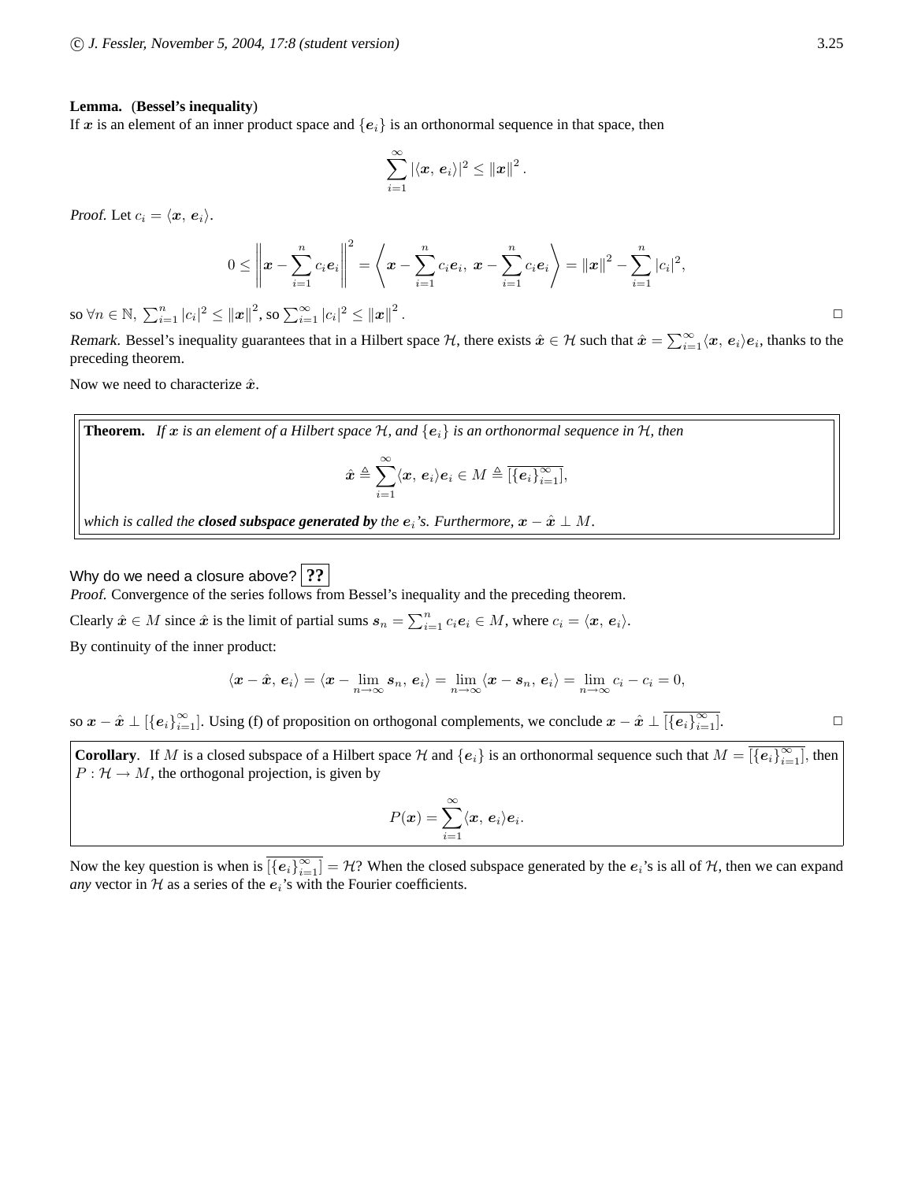#### **Lemma.** (**Bessel's inequality**)

If x is an element of an inner product space and  ${e_i}$  is an orthonormal sequence in that space, then

$$
\sum_{i=1}^\infty |\langle \bm{x}, \, \bm{e}_i\rangle|^2 \leq \|\bm{x}\|^2
$$

Proof. Let  $c_i = \langle x, e_i \rangle$ .

$$
0 \leq \left\|\bm{x} - \sum_{i=1}^n c_i \bm{e}_i\right\|^2 = \left\langle \bm{x} - \sum_{i=1}^n c_i \bm{e}_i, \ \bm{x} - \sum_{i=1}^n c_i \bm{e}_i \right\rangle = \|\bm{x}\|^2 - \sum_{i=1}^n |c_i|^2,
$$

.

so  $\forall n \in \mathbb{N}, \ \sum_{i=1}^n |c_i|^2 \leq ||\boldsymbol{x}||^2$ , so  $\sum_{i=1}^\infty |c_i|^2 \leq ||\boldsymbol{x}||^2$ 

Remark. Bessel's inequality guarantees that in a Hilbert space  $H$ , there exists  $\hat{x} \in \mathcal{H}$  such that  $\hat{x} = \sum_{i=1}^{\infty} \langle x, e_i \rangle e_i$ , thanks to the preceding theorem.

Now we need to characterize  $\hat{x}$ .

**Theorem.** If x is an element of a Hilbert space  $H$ , and  $\{e_i\}$  is an orthonormal sequence in  $H$ , then

$$
\hat{\boldsymbol{x}}\triangleq\sum_{i=1}^{\infty}\langle\boldsymbol{x},\,\boldsymbol{e}_i\rangle\boldsymbol{e}_i\in M\triangleq\overline{[\{\boldsymbol{e}_i\}_{i=1}^{\infty}]},
$$

*which is called the closed subspace generated by the*  $e_i$ *'s. Furthermore,*  $x - \hat{x} \perp M$ *.* 

Why do we need a closure above? **??** 

Proof. Convergence of the series follows from Bessel's inequality and the preceding theorem.

Clearly  $\hat{x} \in M$  since  $\hat{x}$  is the limit of partial sums  $s_n = \sum_{i=1}^n c_i e_i \in M$ , where  $c_i = \langle x, e_i \rangle$ .

By continuity of the inner product:

$$
\langle \boldsymbol{x} - \hat{\boldsymbol{x}}, \, \boldsymbol{e}_i \rangle = \langle \boldsymbol{x} - \lim_{n \to \infty} \boldsymbol{s}_n, \, \boldsymbol{e}_i \rangle = \lim_{n \to \infty} \langle \boldsymbol{x} - \boldsymbol{s}_n, \, \boldsymbol{e}_i \rangle = \lim_{n \to \infty} c_i - c_i = 0,
$$

so  $x - \hat{x} \perp [\{e_i\}_{i=1}^{\infty}]$ . Using (f) of proposition on orthogonal complements, we conclude  $x - \hat{x} \perp \overline {[\{e_i\}_{i=1}^{\infty}]}$ .

**Corollary.** If M is a closed subspace of a Hilbert space H and  $\{e_i\}$  is an orthonormal sequence such that  $M = \overline{|\{e_i\}_{i=1}^{\infty}|}$ , then  $P: \mathcal{H} \to M$ , the orthogonal projection, is given by

$$
P(\boldsymbol{x}) = \sum_{i=1}^{\infty} \langle \boldsymbol{x}, \, \boldsymbol{e}_i \rangle \boldsymbol{e}_i.
$$

Now the key question is when is  $\overline{\left[e_i\right]_{i=1}^{\infty}} = \mathcal{H}$ ? When the closed subspace generated by the  $e_i$ 's is all of  $\mathcal{H}$ , then we can expand *any* vector in  $H$  as a series of the  $e_i$ 's with the Fourier coefficients.

. ✷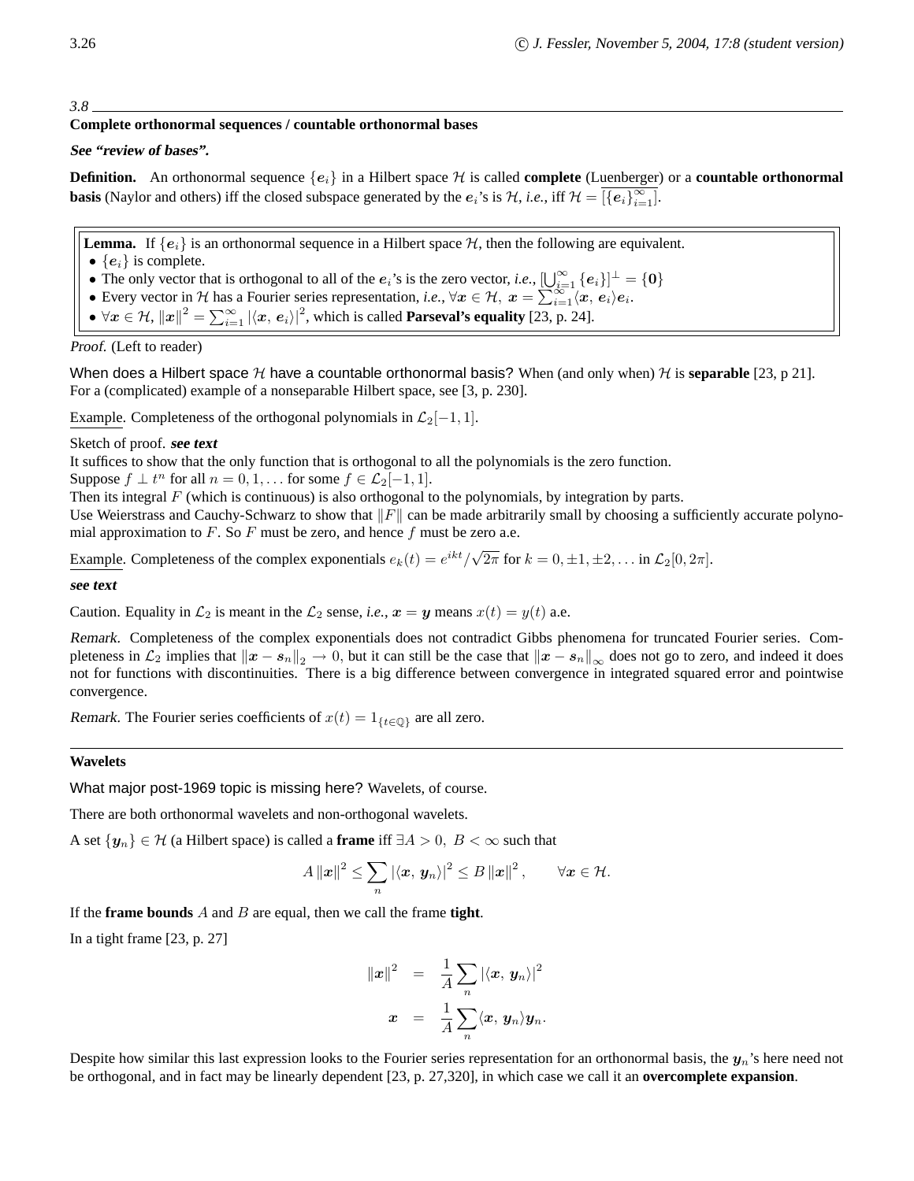#### *3.8*

# **Complete orthonormal sequences / countable orthonormal bases**

# **See "review of bases".**

**Definition.** An orthonormal sequence  $\{e_i\}$  in a Hilbert space H is called **complete** (Luenberger) or a **countable orthonormal basis** (Naylor and others) iff the closed subspace generated by the  $e_i$ 's is  $\mathcal{H}$ , *i.e.*, iff  $\mathcal{H} = \overline{|\{e_i\}_{i=1}^{\infty}]}$ .

**Lemma.** If  $\{e_i\}$  is an orthonormal sequence in a Hilbert space  $H$ , then the following are equivalent.

- $\{e_i\}$  is complete.
- The only vector that is orthogonal to all of the  $e_i$ 's is the zero vector, *i.e.*,  $\left[\bigcup_{i=1}^{\infty} \{e_i\}\right]^{\perp} = \{0\}$
- Every vector in H has a Fourier series representation, *i.e.*,  $\forall x \in \mathcal{H}, x = \sum_{i=1}^{\infty} \langle x, e_i \rangle e_i$ .
- $\forall x \in \mathcal{H}, ||x||^2 = \sum_{i=1}^{\infty} |\langle x, e_i \rangle|^2$ , which is called **Parseval's equality** [23, p. 24].

Proof. (Left to reader)

When does a Hilbert space H have a countable orthonormal basis? When (and only when) H is **separable** [23, p 21]. For a (complicated) example of a nonseparable Hilbert space, see [3, p. 230].

Example. Completeness of the orthogonal polynomials in  $\mathcal{L}_2[-1, 1]$ .

# Sketch of proof. **see text**

It suffices to show that the only function that is orthogonal to all the polynomials is the zero function.

Suppose  $f \perp t^n$  for all  $n = 0, 1, \ldots$  for some  $f \in \mathcal{L}_2[-1, 1]$ .

Then its integral  $F$  (which is continuous) is also orthogonal to the polynomials, by integration by parts.

Use Weierstrass and Cauchy-Schwarz to show that  $||F||$  can be made arbitrarily small by choosing a sufficiently accurate polynomial approximation to  $F$ . So  $F$  must be zero, and hence  $f$  must be zero a.e.

Example. Completeness of the complex exponentials  $e_k(t) = e^{ikt}/\sqrt{2\pi}$  for  $k = 0, \pm 1, \pm 2, \ldots$  in  $\mathcal{L}_2[0, 2\pi]$ .

#### **see text**

Caution. Equality in  $\mathcal{L}_2$  is meant in the  $\mathcal{L}_2$  sense, *i.e.*,  $\mathbf{x} = \mathbf{y}$  means  $x(t) = y(t)$  a.e.

Remark. Completeness of the complex exponentials does not contradict Gibbs phenomena for truncated Fourier series. Completeness in  $\mathcal{L}_2$  implies that  $||x - s_n||_2 \to 0$ , but it can still be the case that  $||x - s_n||_{\infty}$  does not go to zero, and indeed it does not for functions with discontinuities. There is a big difference between convergence in integrated squared error and pointwise convergence.

Remark. The Fourier series coefficients of  $x(t) = 1_{\{t \in \mathbb{Q}\}}$  are all zero.

#### **Wavelets**

What major post-1969 topic is missing here? Wavelets, of course.

There are both orthonormal wavelets and non-orthogonal wavelets.

A set  $\{y_n\} \in \mathcal{H}$  (a Hilbert space) is called a **frame** iff  $\exists A > 0, B < \infty$  such that

$$
A\left\|\boldsymbol{x}\right\|^2 \leq \sum_{n} \left|\langle \boldsymbol{x}, \boldsymbol{y}_n\rangle\right|^2 \leq B\left\|\boldsymbol{x}\right\|^2, \qquad \forall \boldsymbol{x} \in \mathcal{H}.
$$

If the **frame bounds** A and B are equal, then we call the frame **tight**.

In a tight frame [23, p. 27]

$$
\|\boldsymbol{x}\|^2 = \frac{1}{A} \sum_n |\langle \boldsymbol{x}, \boldsymbol{y}_n \rangle|^2
$$

$$
\boldsymbol{x} = \frac{1}{A} \sum_n \langle \boldsymbol{x}, \boldsymbol{y}_n \rangle \boldsymbol{y}_n.
$$

Despite how similar this last expression looks to the Fourier series representation for an orthonormal basis, the  $y_n$ 's here need not be orthogonal, and in fact may be linearly dependent [23, p. 27,320], in which case we call it an **overcomplete expansion**.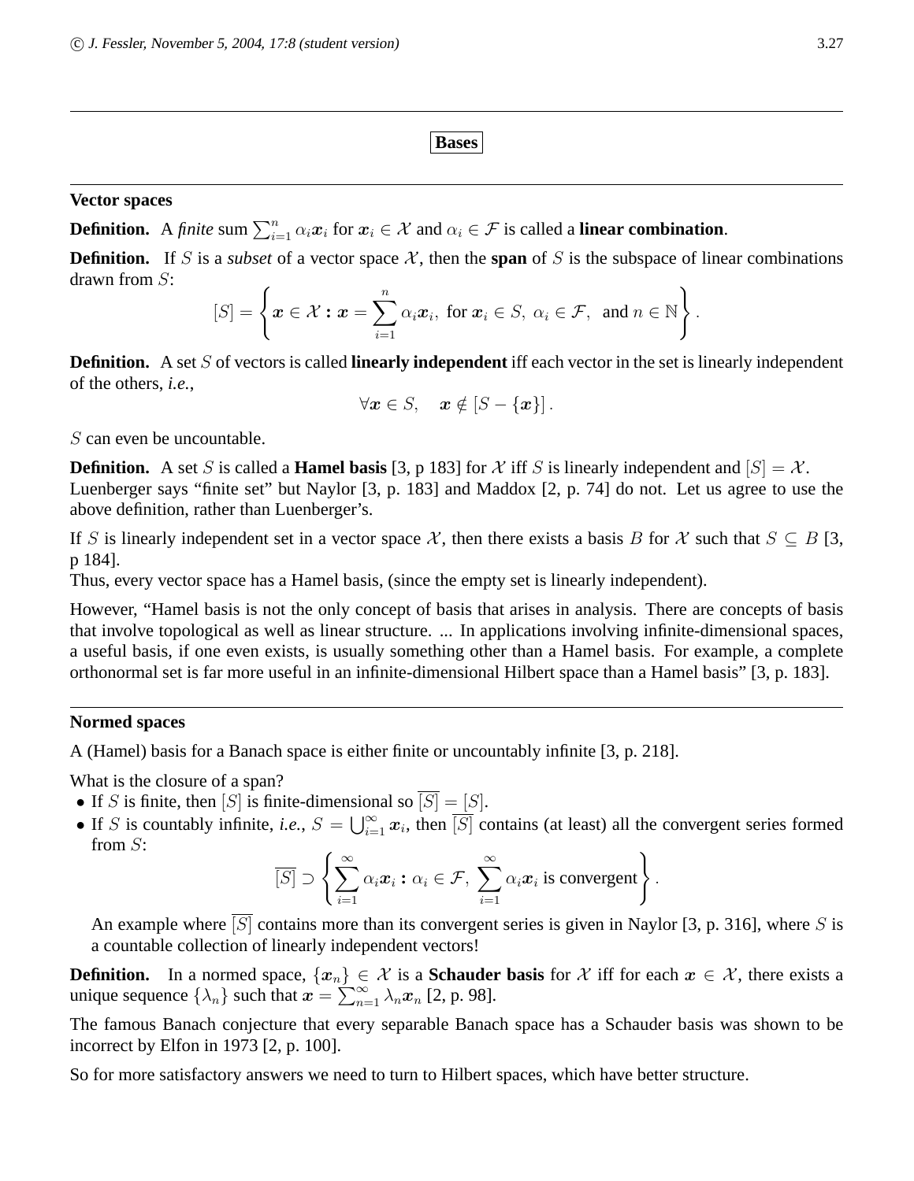**Bases**

# **Vector spaces**

**Definition.** A *finite* sum  $\sum_{i=1}^{n} \alpha_i x_i$  for  $x_i \in \mathcal{X}$  and  $\alpha_i \in \mathcal{F}$  is called a **linear combination**.

**Definition.** If S is a *subset* of a vector space  $\mathcal{X}$ , then the **span** of S is the subspace of linear combinations drawn from S:

$$
[S] = \left\{ \boldsymbol{x} \in \mathcal{X} : \boldsymbol{x} = \sum_{i=1}^n \alpha_i \boldsymbol{x}_i, \text{ for } \boldsymbol{x}_i \in S, \ \alpha_i \in \mathcal{F}, \text{ and } n \in \mathbb{N} \right\}.
$$

**Definition.** A set S of vectors is called **linearly independent** iff each vector in the set is linearly independent of the others, *i.e.*,

 $\forall x \in S, \quad x \notin [S - \{x\}]$ .

S can even be uncountable.

**Definition.** A set S is called a **Hamel basis** [3, p 183] for X iff S is linearly independent and  $[S] = X$ . Luenberger says "finite set" but Naylor [3, p. 183] and Maddox [2, p. 74] do not. Let us agree to use the above definition, rather than Luenberger's.

If S is linearly independent set in a vector space X, then there exists a basis B for X such that  $S \subseteq B$  [3, p 184].

Thus, every vector space has a Hamel basis, (since the empty set is linearly independent).

However, "Hamel basis is not the only concept of basis that arises in analysis. There are concepts of basis that involve topological as well as linear structure. ... In applications involving infinite-dimensional spaces, a useful basis, if one even exists, is usually something other than a Hamel basis. For example, a complete orthonormal set is far more useful in an infinite-dimensional Hilbert space than a Hamel basis" [3, p. 183].

# **Normed spaces**

A (Hamel) basis for a Banach space is either finite or uncountably infinite [3, p. 218].

What is the closure of a span?

- If S is finite, then  $[S]$  is finite-dimensional so  $\overline{[S]} = [S]$ .
- If S is countably infinite, *i.e.*,  $S = \bigcup_{i=1}^{\infty} x_i$ , then  $\overline{[S]}$  contains (at least) all the convergent series formed from  $S$ :

$$
\overline{[S]} \supset \left\{ \sum_{i=1}^{\infty} \alpha_i \boldsymbol{x}_i : \alpha_i \in \mathcal{F}, \ \sum_{i=1}^{\infty} \alpha_i \boldsymbol{x}_i \text{ is convergent} \right\}.
$$

An example where  $[S]$  contains more than its convergent series is given in Naylor [3, p. 316], where S is a countable collection of linearly independent vectors!

**Definition.** In a normed space,  $\{x_n\} \in \mathcal{X}$  is a **Schauder basis** for X iff for each  $x \in \mathcal{X}$ , there exists a unique sequence  $\{\lambda_n\}$  such that  $x = \sum_{n=1}^{\infty} \lambda_n x_n$  [2, p. 98].

The famous Banach conjecture that every separable Banach space has a Schauder basis was shown to be incorrect by Elfon in 1973 [2, p. 100].

So for more satisfactory answers we need to turn to Hilbert spaces, which have better structure.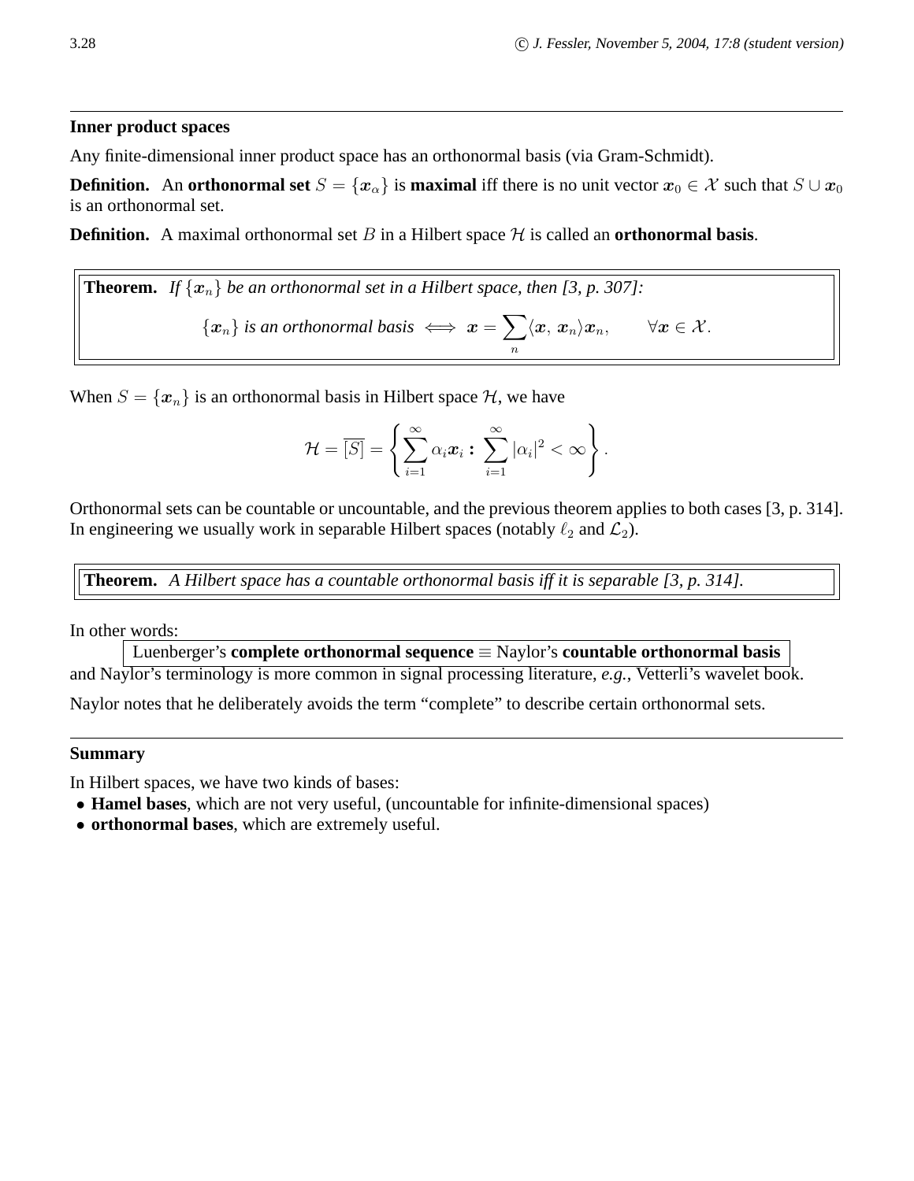# **Inner product spaces**

Any finite-dimensional inner product space has an orthonormal basis (via Gram-Schmidt).

**Definition.** An **orthonormal set**  $S = \{x_{\alpha}\}\$ is **maximal** iff there is no unit vector  $x_0 \in \mathcal{X}$  such that  $S \cup x_0$ is an orthonormal set.

**Definition.** A maximal orthonormal set B in a Hilbert space  $H$  is called an **orthonormal basis**.

**Theorem.** If 
$$
\{x_n\}
$$
 be an orthonormal set in a Hilbert space, then [3, p. 307]:  
 $\{x_n\}$  is an orthonormal basis  $\iff x = \sum_n \langle x, x_n \rangle x_n$ ,  $\forall x \in \mathcal{X}$ .

When  $S = \{x_n\}$  is an orthonormal basis in Hilbert space  $H$ , we have

$$
\mathcal{H} = \overline{[S]} = \left\{ \sum_{i=1}^{\infty} \alpha_i \boldsymbol{x}_i : \ \sum_{i=1}^{\infty} |\alpha_i|^2 < \infty \right\}.
$$

Orthonormal sets can be countable or uncountable, and the previous theorem applies to both cases [3, p. 314]. In engineering we usually work in separable Hilbert spaces (notably  $\ell_2$  and  $\mathcal{L}_2$ ).

**Theorem.** *A Hilbert space has a countable orthonormal basis iff it is separable [3, p. 314].*

In other words:

Luenberger's **complete orthonormal sequence** ≡ Naylor's **countable orthonormal basis**

and Naylor's terminology is more common in signal processing literature, *e.g.*, Vetterli's wavelet book.

Naylor notes that he deliberately avoids the term "complete" to describe certain orthonormal sets.

# **Summary**

In Hilbert spaces, we have two kinds of bases:

- **Hamel bases**, which are not very useful, (uncountable for infinite-dimensional spaces)
- **orthonormal bases**, which are extremely useful.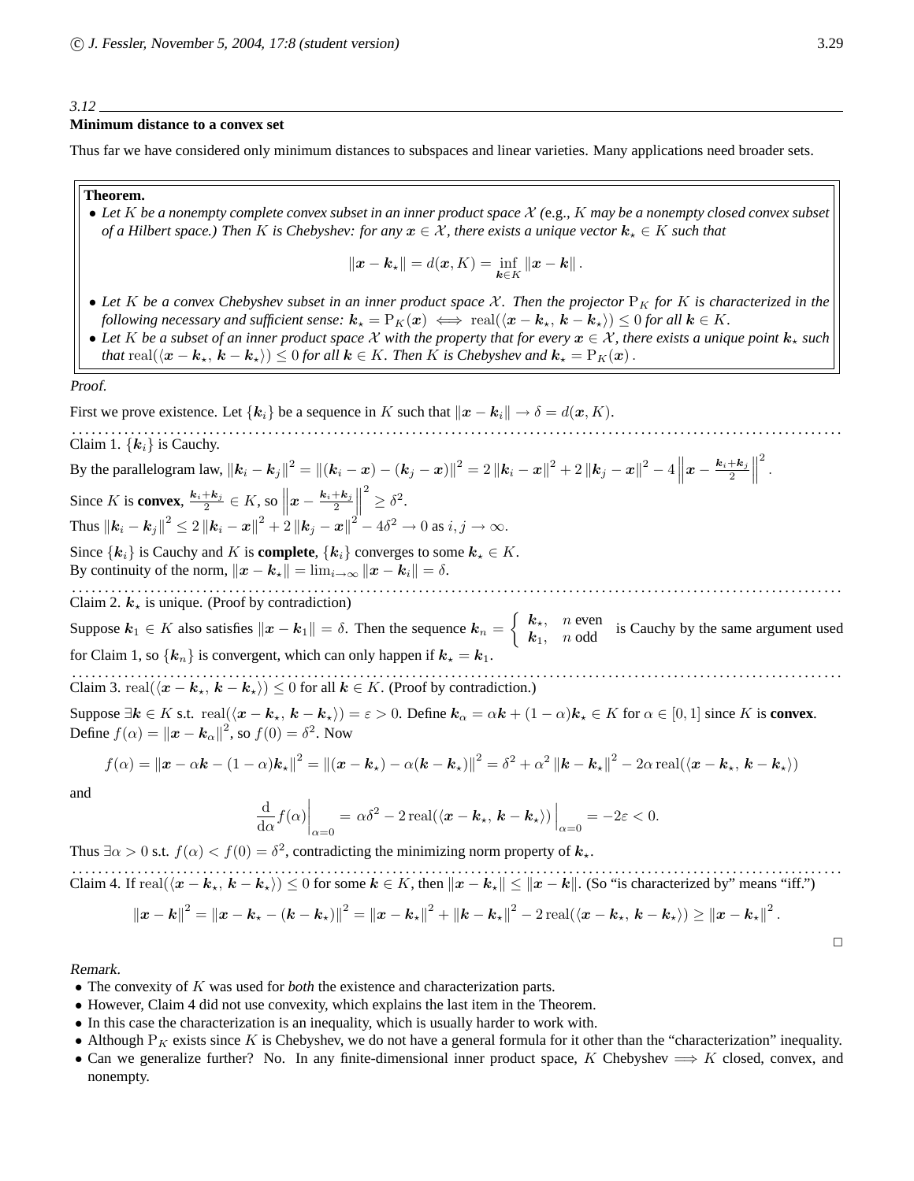#### *3.12*

#### **Minimum distance to a convex set**

Thus far we have considered only minimum distances to subspaces and linear varieties. Many applications need broader sets.

#### **Theorem.**

• *Let* K *be a nonempty complete convex subset in an inner product space* X *(*e.g.*,* K *may be a nonempty closed convex subset of a Hilbert space.) Then* K *is Chebyshev: for any*  $x \in \mathcal{X}$ *, there exists a unique vector*  $k_x \in K$  *such that* 

$$
\|\boldsymbol{x}-\boldsymbol{k}_{\star}\|=d(\boldsymbol{x},K)=\inf_{\boldsymbol{k}\in K}\|\boldsymbol{x}-\boldsymbol{k}\|.
$$

- Let K be a convex Chebyshev subset in an inner product space X. Then the projector  $P_K$  for K is characterized in the *following necessary and sufficient sense:*  $k_{\star} = P_K(x) \iff \text{real}(\langle x - k_{\star}, k - k_{\star} \rangle) \leq 0$  *for all*  $k \in K$ *.*
- Let K be a subset of an inner product space X with the property that for every  $x \in \mathcal{X}$ , there exists a unique point  $k_x$  such *that* real $(\langle x - k_\star, k - k_\star \rangle) \leq 0$  *for all*  $k \in K$ *. Then* K *is Chebyshev and*  $k_\star = P_K(x)$ *.*

Proof.

First we prove existence. Let  $\{k_i\}$  be a sequence in K such that  $\|x - k_i\| \to \delta = d(x, K)$ . . . . . . . . . . . . . . . . . . . . . . . . . . . . . . . . . . . . . . . . . . . . . . . . . . . . . . . . . . . . . . . . . . . . . . . . . . . . . . . . . . . . . . . . . . . . . . . . . . . . . . . . . . . . . . . . . . . . . . . Claim 1.  $\{k_i\}$  is Cauchy. By the parallelogram law,  $\|\bm{k}_i-\bm{k}_j\|^2 = \|(\bm{k}_i-\bm{x})-(\bm{k}_j-\bm{x})\|^2 = 2\left\|\bm{k}_i-\bm{x}\right\|^2 + 2\left\|\bm{k}_j-\bm{x}\right\|^2 - 4\left\|\bm{x} - \frac{\bm{k}_i+\bm{k}_j}{2}\right\|$  $\frac{+{\bm k}_j}{2}\bigg\|$ 2 . Since K is **convex**,  $\frac{k_i+k_j}{2}$  $\frac{1+\mathbf{k}_j}{2} \in K$ , so  $\left\| \boldsymbol{x} - \frac{\boldsymbol{k}_i + \boldsymbol{k}_j}{2} \right\|$  $\frac{1}{2}$  $2^2 \geq \delta^2$ . Thus  $||\mathbf{k}_i - \mathbf{k}_j||^2 \le 2 ||\mathbf{k}_i - \mathbf{x}||^2 + 2 ||\mathbf{k}_j - \mathbf{x}||^2 - 4\delta^2 \to 0$  as  $i, j \to \infty$ . Since  $\{k_i\}$  is Cauchy and K is **complete**,  $\{k_i\}$  converges to some  $k_{\star} \in K$ . By continuity of the norm,  $||x - k_x|| = \lim_{i \to \infty} ||x - k_i|| = \delta$ . . . . . . . . . . . . . . . . . . . . . . . . . . . . . . . . . . . . . . . . . . . . . . . . . . . . . . . . . . . . . . . . . . . . . . . . . . . . . . . . . . . . . . . . . . . . . . . . . . . . . . . . . . . . . . . . . . . . . . . Claim 2.  $k_{\star}$  is unique. (Proof by contradiction) Suppose  $k_1 \in K$  also satisfies  $\|\boldsymbol{x} - \boldsymbol{k}_1\| = \delta$ . Then the sequence  $\boldsymbol{k}_n = \begin{cases} k_{\star}, & n \text{ even} \\ k_1, & n \text{ odd} \end{cases}$  is Cauchy by the same argument used for Claim 1, so  $\{k_n\}$  is convergent, which can only happen if  $k_{\star} = k_1$ . . . . . . . . . . . . . . . . . . . . . . . . . . . . . . . . . . . . . . . . . . . . . . . . . . . . . . . . . . . . . . . . . . . . . . . . . . . . . . . . . . . . . . . . . . . . . . . . . . . . . . . . . . . . . . . . . . . . . . . Claim 3. real $(\langle x - k_{\star}, k - k_{\star} \rangle) \leq 0$  for all  $k \in K$ . (Proof by contradiction.) Suppose  $\exists k \in K$  s.t.  $\text{real}(\langle x - k_{\star}, k - k_{\star} \rangle) = \varepsilon > 0$ . Define  $k_{\alpha} = \alpha k + (1 - \alpha)k_{\star} \in K$  for  $\alpha \in [0, 1]$  since K is **convex**. Define  $f(\alpha) = ||\mathbf{x} - \mathbf{k}_{\alpha}||^2$ , so  $f(0) = \delta^2$ . Now

$$
f(\alpha) = ||\mathbf{x} - \alpha \mathbf{k} - (1 - \alpha)\mathbf{k}_{\star}||^{2} = ||(\mathbf{x} - \mathbf{k}_{\star}) - \alpha(\mathbf{k} - \mathbf{k}_{\star})||^{2} = \delta^{2} + \alpha^{2} ||\mathbf{k} - \mathbf{k}_{\star}||^{2} - 2\alpha \operatorname{real}(\langle \mathbf{x} - \mathbf{k}_{\star}, \mathbf{k} - \mathbf{k}_{\star} \rangle)
$$

and

$$
\frac{\mathrm{d}}{\mathrm{d}\alpha}f(\alpha)\bigg|_{\alpha=0} = \alpha\delta^2 - 2\operatorname{real}(\langle \pmb{x} - \pmb{k}_\star, \pmb{k} - \pmb{k}_\star \rangle)\bigg|_{\alpha=0} = -2\varepsilon < 0.
$$

Thus  $\exists \alpha > 0$  s.t.  $f(\alpha) < f(0) = \delta^2$ , contradicting the minimizing norm property of  $k_{\star}$ .

. . . . . . . . . . . . . . . . . . . . . . . . . . . . . . . . . . . . . . . . . . . . . . . . . . . . . . . . . . . . . . . . . . . . . . . . . . . . . . . . . . . . . . . . . . . . . . . . . . . . . . . . . . . . . . . . . . . . . . Claim 4. If  $\text{real}(\langle x - k_\star, k - k_\star \rangle) \leq 0$  for some  $k \in K$ , then  $||x - k_\star|| \leq ||x - k||$ . (So "is characterized by" means "iff.")

$$
||x-k||^{2} = ||x-k_{\star}-(k-k_{\star})||^{2} = ||x-k_{\star}||^{2} + ||k-k_{\star}||^{2} - 2 \operatorname{real}(\langle x-k_{\star}, k-k_{\star} \rangle) \geq ||x-k_{\star}||^{2}.
$$

#### Remark.

- The convexity of K was used for *both* the existence and characterization parts.
- However, Claim 4 did not use convexity, which explains the last item in the Theorem.
- In this case the characterization is an inequality, which is usually harder to work with.
- Although  $P_K$  exists since K is Chebyshev, we do not have a general formula for it other than the "characterization" inequality.
- Can we generalize further? No. In any finite-dimensional inner product space, K Chebyshev  $\implies$  K closed, convex, and nonempty.

 $\Box$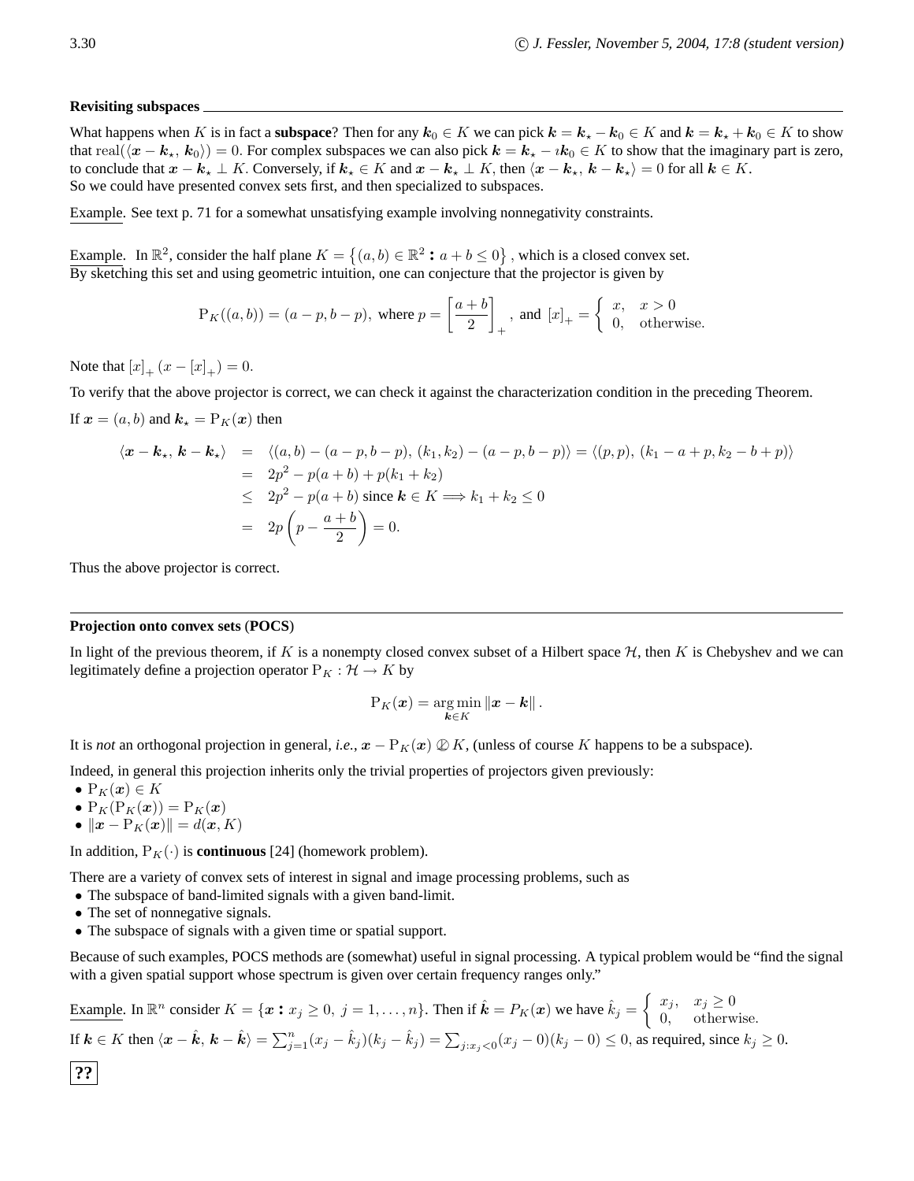#### **Revisiting subspaces**

What happens when K is in fact a **subspace**? Then for any  $k_0 \in K$  we can pick  $k = k_x - k_0 \in K$  and  $k = k_x + k_0 \in K$  to show that real $(\langle x - k_*, k_0 \rangle) = 0$ . For complex subspaces we can also pick  $k = k_* - i k_0 \in K$  to show that the imaginary part is zero, to conclude that  $x - k_x \perp K$ . Conversely, if  $k_x \in K$  and  $x - k_x \perp K$ , then  $\langle x - k_x, k - k_x \rangle = 0$  for all  $k \in K$ . So we could have presented convex sets first, and then specialized to subspaces.

Example. See text p. 71 for a somewhat unsatisfying example involving nonnegativity constraints.

Example. In  $\mathbb{R}^2$ , consider the half plane  $K = \{(a, b) \in \mathbb{R}^2 : a + b \le 0\}$ , which is a closed convex set. By sketching this set and using geometric intuition, one can conjecture that the projector is given by

$$
P_K((a, b)) = (a - p, b - p), \text{ where } p = \left[\frac{a + b}{2}\right]_+, \text{ and } [x]_+ = \left\{\begin{array}{ll} x, & x > 0\\ 0, & \text{otherwise.} \end{array}\right.
$$

Note that  $[x]_{+} (x - [x]_{+}) = 0$ .

To verify that the above projector is correct, we can check it against the characterization condition in the preceding Theorem. If  $x = (a, b)$  and  $k<sub>*</sub> = P<sub>K</sub>(x)$  then

$$
\langle \mathbf{x} - \mathbf{k}_{\star}, \mathbf{k} - \mathbf{k}_{\star} \rangle = \langle (a, b) - (a - p, b - p), (k_1, k_2) - (a - p, b - p) \rangle = \langle (p, p), (k_1 - a + p, k_2 - b + p) \rangle
$$
  
=  $2p^2 - p(a + b) + p(k_1 + k_2)$   
 $\leq 2p^2 - p(a + b) \text{ since } \mathbf{k} \in K \Longrightarrow k_1 + k_2 \leq 0$   
=  $2p \left( p - \frac{a + b}{2} \right) = 0.$ 

Thus the above projector is correct.

#### **Projection onto convex sets** (**POCS**)

In light of the previous theorem, if K is a nonempty closed convex subset of a Hilbert space  $H$ , then K is Chebyshev and we can legitimately define a projection operator  $P_K : \mathcal{H} \to K$  by

$$
\mathrm{P}_K(\boldsymbol{x}) = \argmin_{\boldsymbol{k} \in K} \|\boldsymbol{x} - \boldsymbol{k}\|.
$$

It is *not* an orthogonal projection in general, *i.e.*,  $x - P_K(x) \mathbb{Q}K$ , (unless of course K happens to be a subspace).

Indeed, in general this projection inherits only the trivial properties of projectors given previously:

- $P_K(x) \in K$
- $P_K(P_K(\boldsymbol{x})) = P_K(\boldsymbol{x})$
- $\|\boldsymbol{x} \mathrm{P}_K(\boldsymbol{x})\| = d(\boldsymbol{x}, K)$

In addition,  $P_K(\cdot)$  is **continuous** [24] (homework problem).

There are a variety of convex sets of interest in signal and image processing problems, such as

- The subspace of band-limited signals with a given band-limit.
- The set of nonnegative signals.
- The subspace of signals with a given time or spatial support.

Because of such examples, POCS methods are (somewhat) useful in signal processing. A typical problem would be "find the signal with a given spatial support whose spectrum is given over certain frequency ranges only."

Example. In  $\mathbb{R}^n$  consider  $K = \{x : x_j \ge 0, j = 1, ..., n\}$ . Then if  $\hat{k} = P_K(x)$  we have  $\hat{k}_j = \begin{cases} x_j, & x_j \ge 0 \\ 0, & \text{otherwise} \end{cases}$ 0, otherwise. If  $k \in K$  then  $\langle x - \hat{k}, k - \hat{k} \rangle = \sum_{j=1}^{n} (x_j - \hat{k}_j)(k_j - \hat{k}_j) = \sum_{j: x_j < 0} (x_j - 0)(k_j - 0) \le 0$ , as required, since  $k_j \ge 0$ .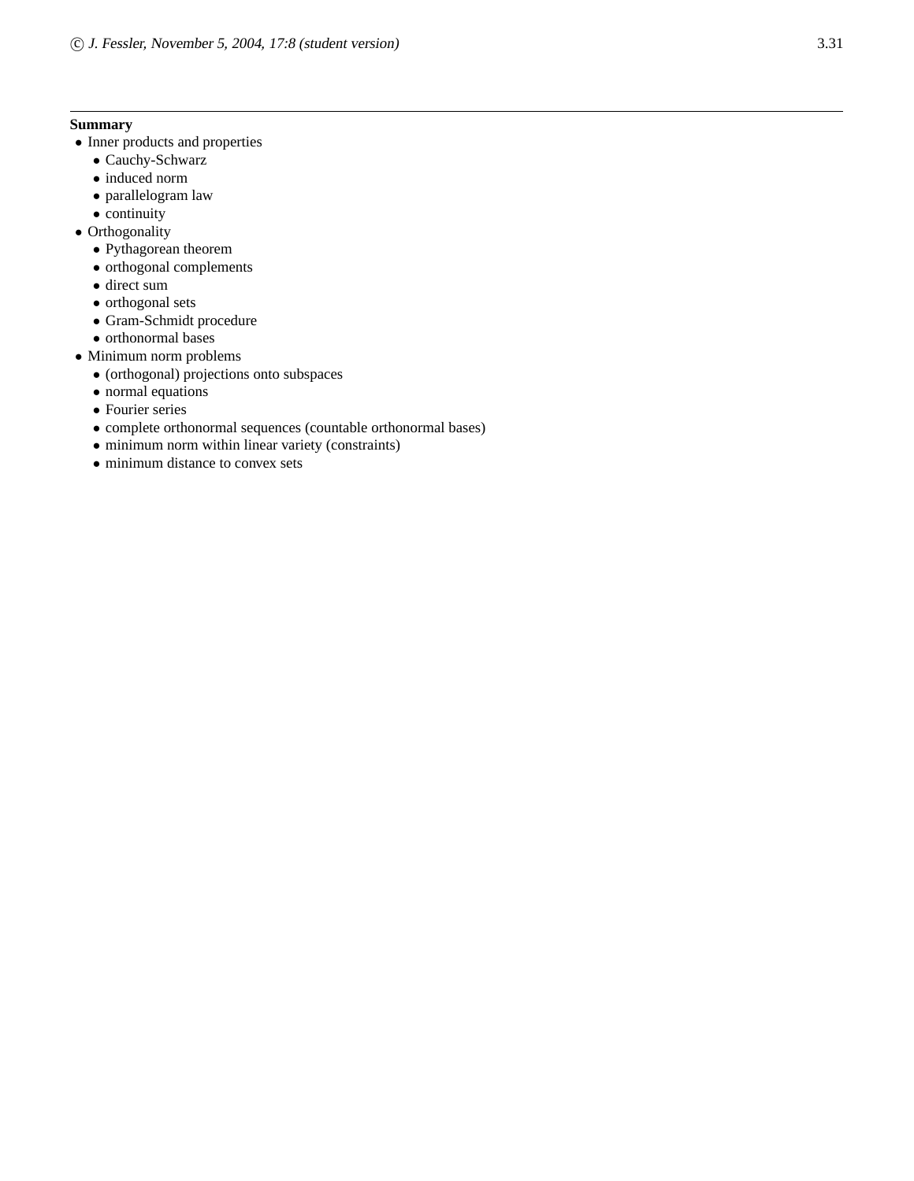#### **Summary**

- Inner products and properties
	- Cauchy-Schwarz
	- induced norm
	- parallelogram law
	- continuity
- Orthogonality
	- Pythagorean theorem
	- orthogonal complements
	- direct sum
	- orthogonal sets
	- Gram-Schmidt procedure
	- orthonormal bases
- Minimum norm problems
	- (orthogonal) projections onto subspaces
	- normal equations
	- Fourier series
	- complete orthonormal sequences (countable orthonormal bases)
	- minimum norm within linear variety (constraints)
	- minimum distance to convex sets